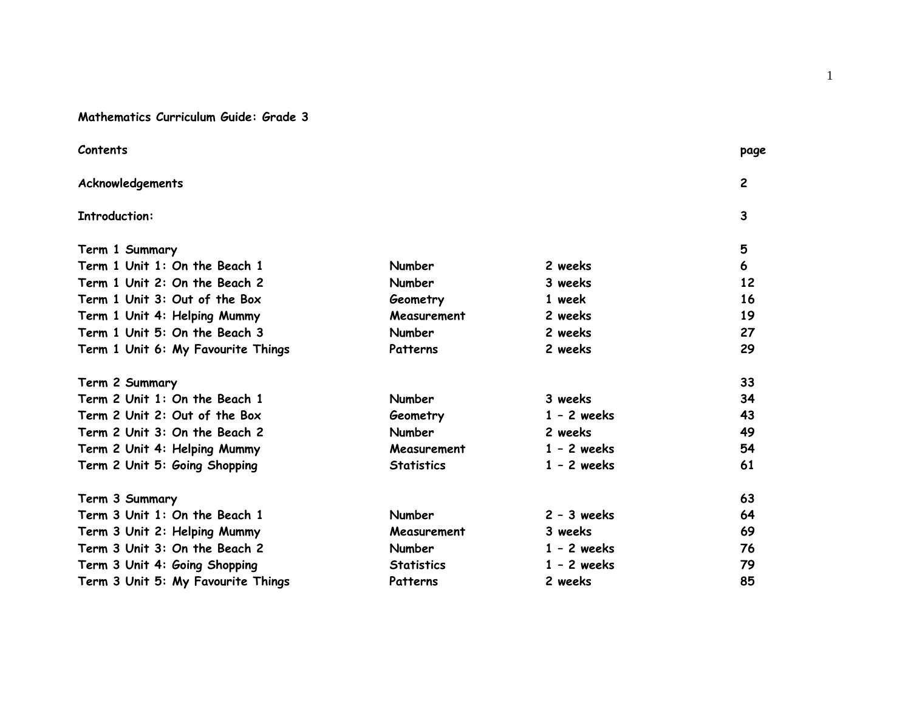# **Mathematics Curriculum Guide: Grade 3**

|                   |               | page           |
|-------------------|---------------|----------------|
|                   |               | $\overline{2}$ |
|                   |               | 3              |
|                   |               | 5              |
| Number            | 2 weeks       | 6              |
| <b>Number</b>     | 3 weeks       | 12             |
| Geometry          | 1 week        | 16             |
| Measurement       | 2 weeks       | 19             |
| <b>Number</b>     | 2 weeks       | 27             |
| Patterns          | 2 weeks       | 29             |
|                   |               | 33             |
| <b>Number</b>     | 3 weeks       | 34             |
| Geometry          | $1 - 2$ weeks | 43             |
| <b>Number</b>     | 2 weeks       | 49             |
| Measurement       | $1 - 2$ weeks | 54             |
| <b>Statistics</b> | $1 - 2$ weeks | 61             |
|                   |               | 63             |
| <b>Number</b>     | $2 - 3$ weeks | 64             |
| Measurement       | 3 weeks       | 69             |
| <b>Number</b>     | $1 - 2$ weeks | 76             |
| <b>Statistics</b> | $1 - 2$ weeks | 79             |
| Patterns          | 2 weeks       | 85             |
|                   |               |                |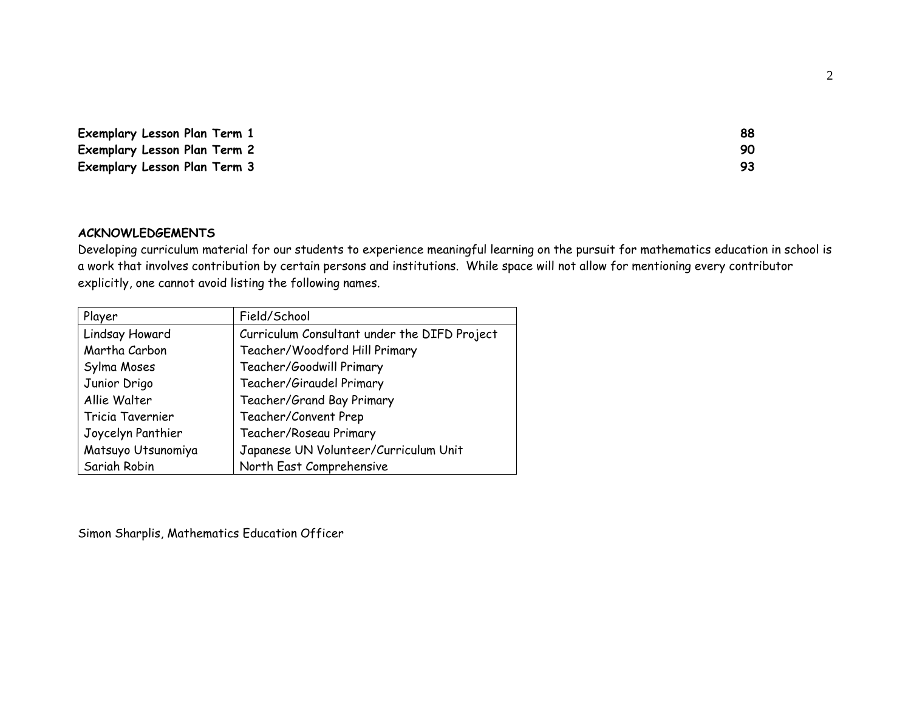| Exemplary Lesson Plan Term 1 | 88 |
|------------------------------|----|
| Exemplary Lesson Plan Term 2 |    |
| Exemplary Lesson Plan Term 3 |    |

#### **ACKNOWLEDGEMENTS**

Developing curriculum material for our students to experience meaningful learning on the pursuit for mathematics education in school is a work that involves contribution by certain persons and institutions. While space will not allow for mentioning every contributor explicitly, one cannot avoid listing the following names.

| Player             | Field/School                                 |
|--------------------|----------------------------------------------|
| Lindsay Howard     | Curriculum Consultant under the DIFD Project |
| Martha Carbon      | Teacher/Woodford Hill Primary                |
| Sylma Moses        | Teacher/Goodwill Primary                     |
| Junior Drigo       | Teacher/Giraudel Primary                     |
| Allie Walter       | Teacher/Grand Bay Primary                    |
| Tricia Tavernier   | Teacher/Convent Prep                         |
| Joycelyn Panthier  | Teacher/Roseau Primary                       |
| Matsuyo Utsunomiya | Japanese UN Volunteer/Curriculum Unit        |
| Sariah Robin       | North East Comprehensive                     |

Simon Sharplis, Mathematics Education Officer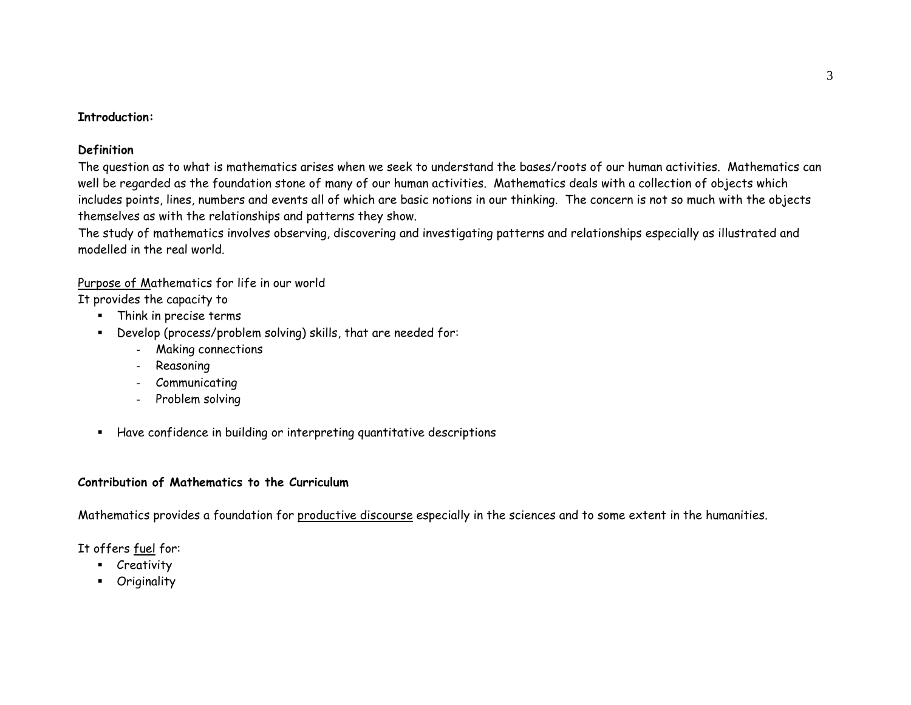#### **Introduction:**

## **Definition**

The question as to what is mathematics arises when we seek to understand the bases/roots of our human activities. Mathematics can well be regarded as the foundation stone of many of our human activities. Mathematics deals with a collection of objects which includes points, lines, numbers and events all of which are basic notions in our thinking. The concern is not so much with the objects themselves as with the relationships and patterns they show.

The study of mathematics involves observing, discovering and investigating patterns and relationships especially as illustrated and modelled in the real world.

# Purpose of Mathematics for life in our world

It provides the capacity to

- Think in precise terms
- Develop (process/problem solving) skills, that are needed for:
	- Making connections
	- Reasoning
	- Communicating
	- Problem solving
- $\blacksquare$ Have confidence in building or interpreting quantitative descriptions

# **Contribution of Mathematics to the Curriculum**

Mathematics provides a foundation for productive discourse especially in the sciences and to some extent in the humanities.

It offers fuel for:

- Creativity
- Originality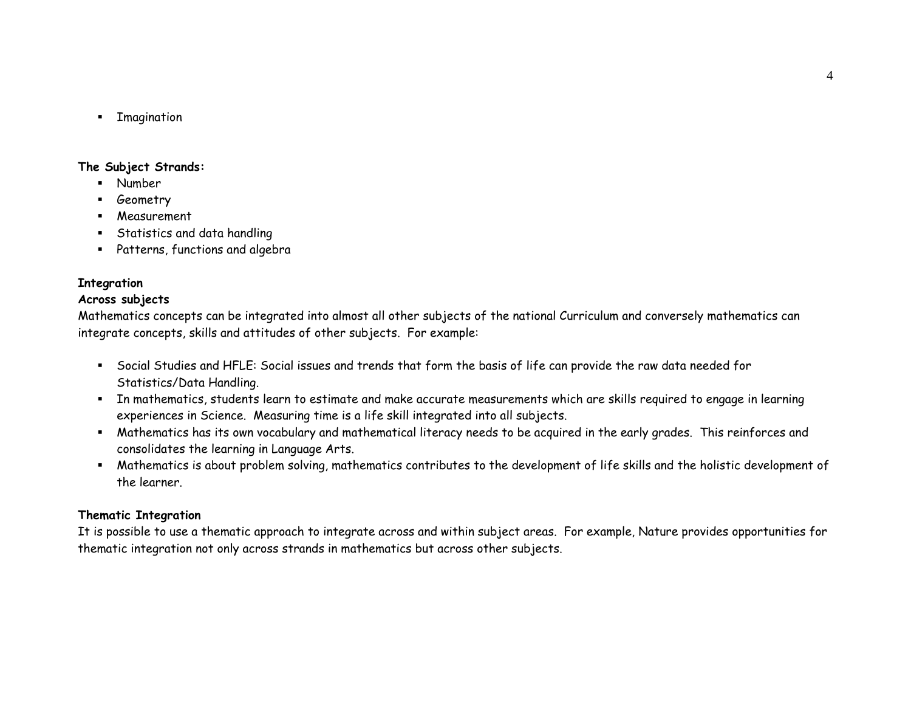$\blacksquare$ Imagination

### **The Subject Strands:**

- Number
- Geometry
- Measurement
- Statistics and data handling
- Patterns, functions and algebra

# **Integration**

# **Across subjects**

Mathematics concepts can be integrated into almost all other subjects of the national Curriculum and conversely mathematics can integrate concepts, skills and attitudes of other subjects. For example:

- Social Studies and HFLE: Social issues and trends that form the basis of life can provide the raw data needed for Statistics/Data Handling.
- In mathematics, students learn to estimate and make accurate measurements which are skills required to engage in learning experiences in Science. Measuring time is a life skill integrated into all subjects.
- Mathematics has its own vocabulary and mathematical literacy needs to be acquired in the early grades. This reinforces and consolidates the learning in Language Arts.
- Mathematics is about problem solving, mathematics contributes to the development of life skills and the holistic development of the learner.

# **Thematic Integration**

It is possible to use a thematic approach to integrate across and within subject areas. For example, Nature provides opportunities for thematic integration not only across strands in mathematics but across other subjects.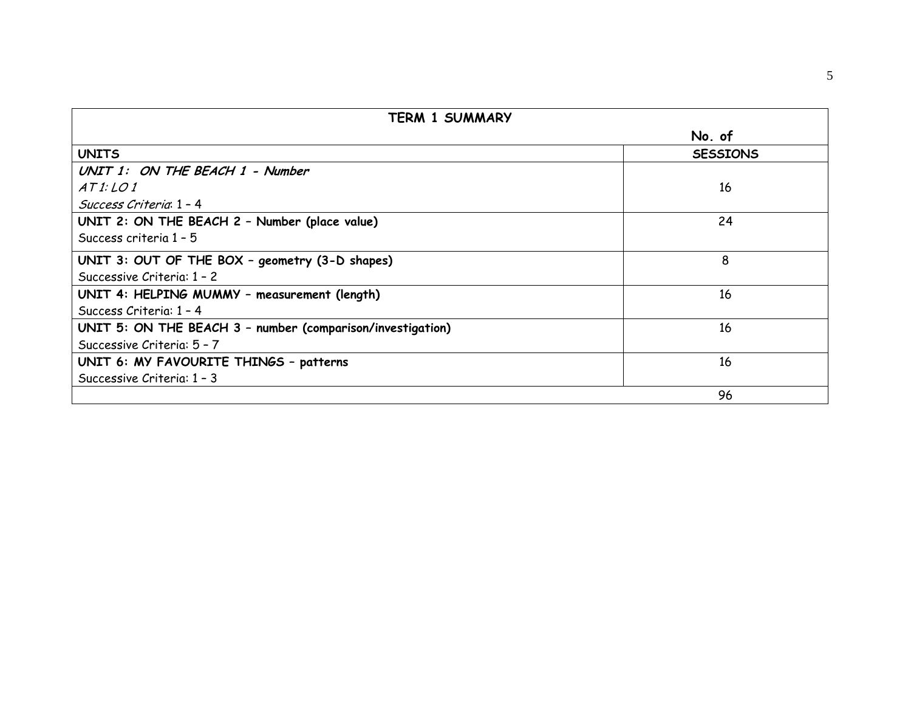| TERM 1 SUMMARY                                             |                 |  |  |  |  |  |
|------------------------------------------------------------|-----------------|--|--|--|--|--|
|                                                            | No. of          |  |  |  |  |  |
| <b>UNITS</b>                                               | <b>SESSIONS</b> |  |  |  |  |  |
| UNIT 1: ON THE BEACH 1 - Number                            |                 |  |  |  |  |  |
| ATI:LOI                                                    | 16              |  |  |  |  |  |
| Success Criteria 1 - 4                                     |                 |  |  |  |  |  |
| UNIT 2: ON THE BEACH 2 - Number (place value)              | 24              |  |  |  |  |  |
| Success criteria 1 - 5                                     |                 |  |  |  |  |  |
| UNIT 3: OUT OF THE BOX - geometry (3-D shapes)             | 8               |  |  |  |  |  |
| Successive Criteria: 1 - 2                                 |                 |  |  |  |  |  |
| UNIT 4: HELPING MUMMY - measurement (length)               | 16              |  |  |  |  |  |
| Success Criteria: 1 - 4                                    |                 |  |  |  |  |  |
| UNIT 5: ON THE BEACH 3 - number (comparison/investigation) | 16              |  |  |  |  |  |
| Successive Criteria: 5 - 7                                 |                 |  |  |  |  |  |
| UNIT 6: MY FAVOURITE THINGS - patterns                     | 16              |  |  |  |  |  |
| Successive Criteria: 1 - 3                                 |                 |  |  |  |  |  |
|                                                            | 96              |  |  |  |  |  |

5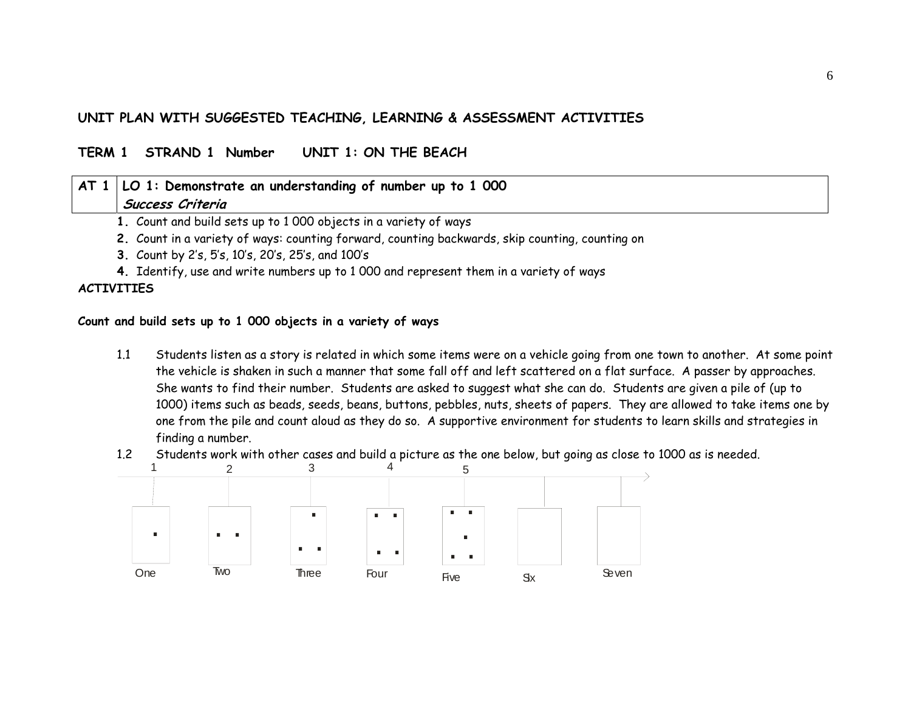# **UNIT PLAN WITH SUGGESTED TEACHING, LEARNING & ASSESSMENT ACTIVITIES**

#### **TERM 1 STRAND 1 Number UNIT 1: ON THE BEACH**

# **AT 1 LO 1: Demonstrate an understanding of number up to 1 000 Success Criteria**

- **1.** Count and build sets up to 1 000 objects in a variety of ways
- **2.** Count in a variety of ways: counting forward, counting backwards, skip counting, counting on
- **3.** Count by 2's, 5's, 10's, 20's, 25's, and 100's
- **4.** Identify, use and write numbers up to 1 000 and represent them in a variety of ways

#### **ACTIVITIES**

#### **Count and build sets up to 1 000 objects in a variety of ways**

- 1.1 Students listen as a story is related in which some items were on a vehicle going from one town to another. At some point the vehicle is shaken in such a manner that some fall off and left scattered on a flat surface. A passer by approaches. She wants to find their number. Students are asked to suggest what she can do. Students are given a pile of (up to 1000) items such as beads, seeds, beans, buttons, pebbles, nuts, sheets of papers. They are allowed to take items one by one from the pile and count aloud as they do so. A supportive environment for students to learn skills and strategies in finding a number.
- 1.2Students work with other cases and build a picture as the one below, but going as close to 1000 as is needed.

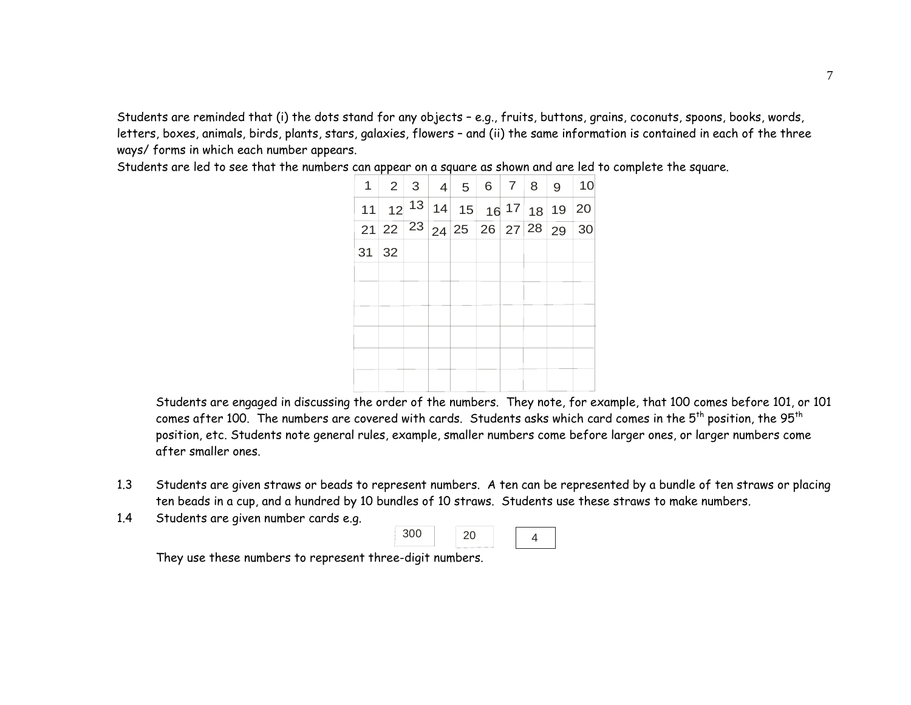Students are reminded that (i) the dots stand for any objects – e.g., fruits, buttons, grains, coconuts, spoons, books, words, letters, boxes, animals, birds, plants, stars, galaxies, flowers – and (ii) the same information is contained in each of the three ways/ forms in which each number appears.

Students are led to see that the numbers can appear on a square as shown and are led to complete the square.

| $\mathbf{1}$ | $\overline{2}$ | $\mathbf{3}$ | $\overline{4}$      | 5                                                                   | $6 \mid 7 \mid$    | 8 <sup>1</sup> | 9  | 10         |
|--------------|----------------|--------------|---------------------|---------------------------------------------------------------------|--------------------|----------------|----|------------|
| 11           | 12             |              | $\overline{13} 14 $ | 15                                                                  | $16 \frac{17}{18}$ |                | 19 | 20         |
| 21           |                |              |                     | $\sqrt{22 \mid 23 \mid 24 \mid 25 \mid 26 \mid 27 \mid 28 \mid 29}$ |                    |                |    | $\vert$ 30 |
| 31           | 32             |              |                     |                                                                     |                    |                |    |            |
|              |                |              |                     |                                                                     |                    |                |    |            |
|              |                |              |                     |                                                                     |                    |                |    |            |
|              |                |              |                     |                                                                     |                    |                |    |            |
|              |                |              |                     |                                                                     |                    |                |    |            |
|              |                |              |                     |                                                                     |                    |                |    |            |
|              |                |              |                     |                                                                     |                    |                |    |            |

Students are engaged in discussing the order of the numbers. They note, for example, that 100 comes before 101, or 101 comes after 100. The numbers are covered with cards. Students asks which card comes in the  $5^{th}$  position, the  $95^{th}$ position, etc. Students note general rules, example, smaller numbers come before larger ones, or larger numbers come after smaller ones.

- 1.3 Students are given straws or beads to represent numbers. A ten can be represented by a bundle of ten straws or placing ten beads in a cup, and a hundred by 10 bundles of 10 straws. Students use these straws to make numbers.
- 1.4Students are given number cards e.g.



They use these numbers to represent three-digit numbers.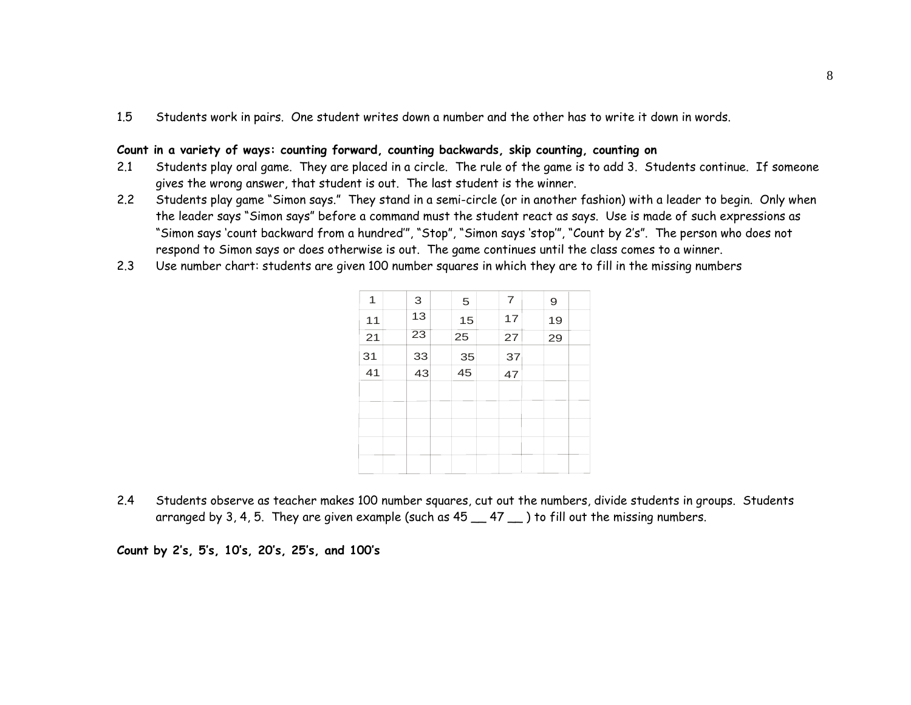1.5Students work in pairs. One student writes down a number and the other has to write it down in words.

#### **Count in a variety of ways: counting forward, counting backwards, skip counting, counting on**

- 2.1 Students play oral game. They are placed in a circle. The rule of the game is to add 3. Students continue. If someone gives the wrong answer, that student is out. The last student is the winner.
- 2.2 Students play game "Simon says." They stand in a semi-circle (or in another fashion) with a leader to begin. Only when the leader says "Simon says" before a command must the student react as says. Use is made of such expressions as "Simon says 'count backward from a hundred'", "Stop", "Simon says 'stop'", "Count by 2's". The person who does not respond to Simon says or does otherwise is out. The game continues until the class comes to a winner.
- 2.3Use number chart: students are given 100 number squares in which they are to fill in the missing numbers

| 1  | 3               | 5  | $\overline{7}$ | 9  |  |
|----|-----------------|----|----------------|----|--|
| 11 | 13              | 15 | 17             | 19 |  |
| 21 | $\overline{23}$ | 25 | 27             | 29 |  |
| 31 | 33              | 35 | 37             |    |  |
| 41 | 43              | 45 | 47             |    |  |
|    |                 |    |                |    |  |
|    |                 |    |                |    |  |
|    |                 |    |                |    |  |
|    |                 |    |                |    |  |
|    |                 |    |                |    |  |
|    |                 |    |                |    |  |

2.4 Students observe as teacher makes 100 number squares, cut out the numbers, divide students in groups. Students arranged by 3, 4, 5. They are given example (such as  $45 - 47 -$ ) to fill out the missing numbers.

**Count by 2's, 5's, 10's, 20's, 25's, and 100's**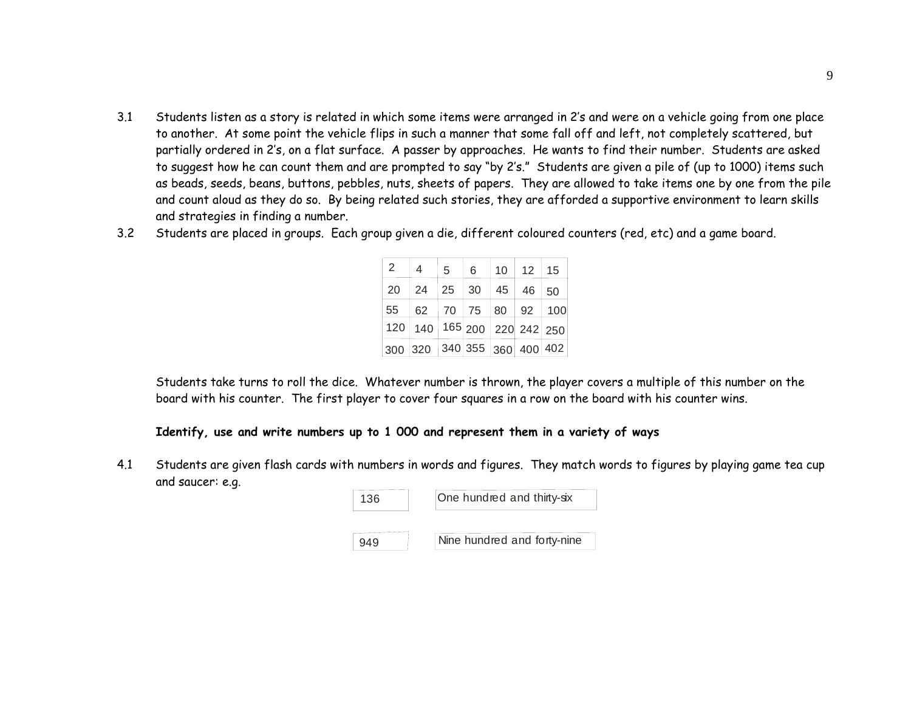- 3.1 Students listen as a story is related in which some items were arranged in 2's and were on a vehicle going from one place to another. At some point the vehicle flips in such a manner that some fall off and left, not completely scattered, but partially ordered in 2's, on a flat surface. A passer by approaches. He wants to find their number. Students are asked to suggest how he can count them and are prompted to say "by 2's." Students are given a pile of (up to 1000) items such as beads, seeds, beans, buttons, pebbles, nuts, sheets of papers. They are allowed to take items one by one from the pile and count aloud as they do so. By being related such stories, they are afforded a supportive environment to learn skills and strategies in finding a number.
- 3.2Students are placed in groups. Each group given a die, different coloured counters (red, etc) and a game board.

| 2  | 4                                       | 5  | 6           | 10 <sup>°</sup> | 12 <sup>2</sup> | 15  |
|----|-----------------------------------------|----|-------------|-----------------|-----------------|-----|
| 20 | 24                                      | 25 | 30          | 45              | 46              | 50  |
| 55 | 62                                      |    | 70 75 80 92 |                 |                 | 100 |
|    | 120   140   165   200   220   242   250 |    |             |                 |                 |     |
|    | 300 320 340 355 360 400 402             |    |             |                 |                 |     |

Students take turns to roll the dice. Whatever number is thrown, the player covers a multiple of this number on the board with his counter. The first player to cover four squares in a row on the board with his counter wins.

#### **Identify, use and write numbers up to 1 000 and represent them in a variety of ways**

4.1 Students are given flash cards with numbers in words and figures. They match words to figures by playing game tea cup and saucer: e.g.

| 136 | One hundred and thirty-six  |
|-----|-----------------------------|
|     |                             |
|     | Nine hundred and forty-nine |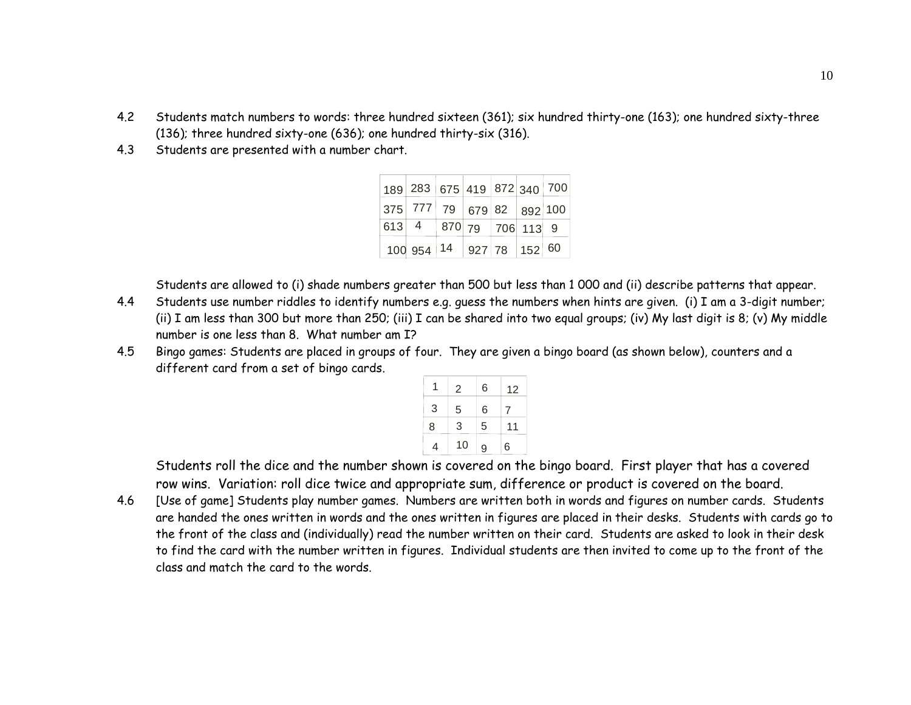- 4.2 Students match numbers to words: three hundred sixteen (361); six hundred thirty-one (163); one hundred sixty-three (136); three hundred sixty-one (636); one hundred thirty-six (316).
- 4.3Students are presented with a number chart.

| $\vert$ 189 $\vert$ 283 $\vert$ 675 $\vert$ 419 $\vert$ 872 $\vert$ 340 $\vert$ 700 $\vert$ |  |  |  |
|---------------------------------------------------------------------------------------------|--|--|--|
| $ 375 $ 777   79 $ 679 82$ $ 892 100 $                                                      |  |  |  |
| $\boxed{613}$ 4   870   79   706   113   9                                                  |  |  |  |
| $100954$   14   927   78   152   60                                                         |  |  |  |

Students are allowed to (i) shade numbers greater than 500 but less than 1 000 and (ii) describe patterns that appear.

- 4.4 Students use number riddles to identify numbers e.g. guess the numbers when hints are given. (i) I am a 3-digit number; (ii) I am less than 300 but more than 250; (iii) I can be shared into two equal groups; (iv) My last digit is 8; (v) My middle number is one less than 8. What number am I?
- 4.5 Bingo games: Students are placed in groups of four. They are given a bingo board (as shown below), counters and a different card from a set of bingo cards.

|   | 2  | 6 | 12 |
|---|----|---|----|
| 3 | 5  | 6 |    |
| 8 | 3  | 5 | 11 |
| 4 | 10 | 9 | 6  |

Students roll the dice and the number shown is covered on the bingo board. First player that has a covered row wins. Variation: roll dice twice and appropriate sum, difference or product is covered on the board.

4.6 [Use of game] Students play number games. Numbers are written both in words and figures on number cards. Students are handed the ones written in words and the ones written in figures are placed in their desks. Students with cards go to the front of the class and (individually) read the number written on their card. Students are asked to look in their desk to find the card with the number written in figures. Individual students are then invited to come up to the front of the class and match the card to the words.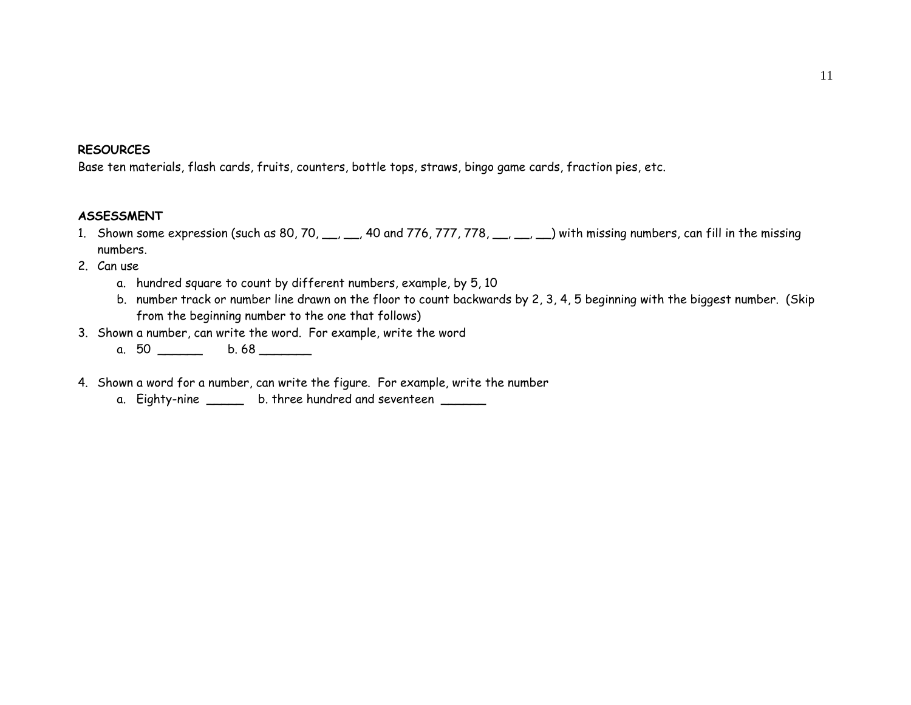#### **RESOURCES**

Base ten materials, flash cards, fruits, counters, bottle tops, straws, bingo game cards, fraction pies, etc.

#### **ASSESSMENT**

- 1. Shown some expression (such as 80, 70, \_\_, \_\_, 40 and 776, 777, 778, \_\_, \_\_, \_\_) with missing numbers, can fill in the missing numbers.
- 2. Can use
	- a. hundred square to count by different numbers, example, by 5, 10
	- b. number track or number line drawn on the floor to count backwards by 2, 3, 4, 5 beginning with the biggest number. (Skip from the beginning number to the one that follows)
- 3. Shown a number, can write the word. For example, write the word
	- a. 50 \_\_\_\_\_\_\_ b. 68 \_\_\_\_\_
- 4. Shown a word for a number, can write the figure. For example, write the number
	- a. Eighty-nine \_\_\_\_\_\_ b. three hundred and seventeen \_\_\_\_\_\_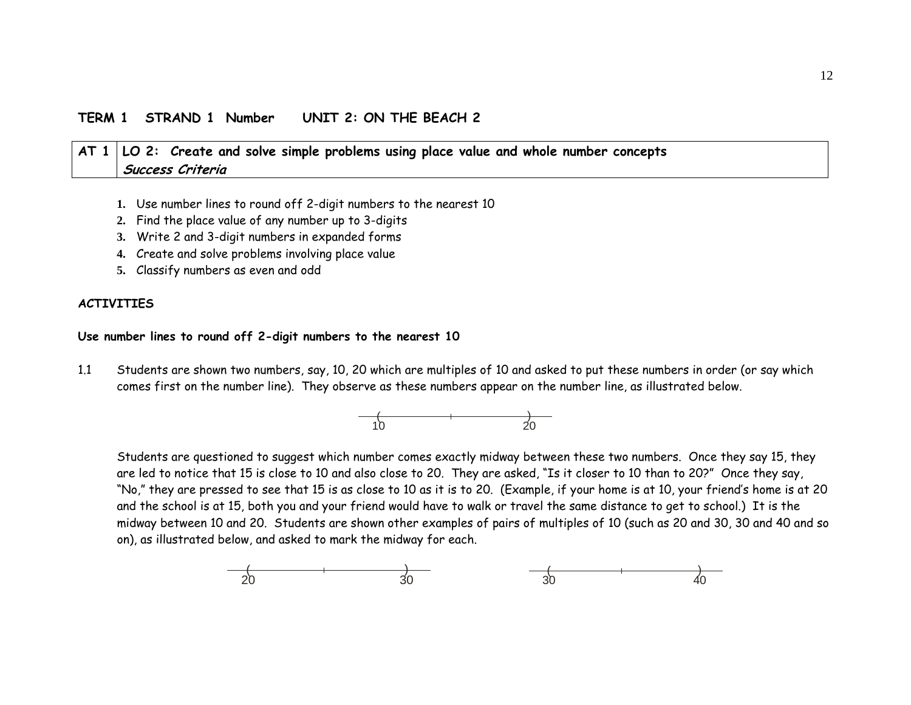#### **TERM 1 STRAND 1 Number UNIT 2: ON THE BEACH 2**

# **AT 1 LO 2: Create and solve simple problems using place value and whole number concepts Success Criteria**

- **1.** Use number lines to round off 2-digit numbers to the nearest 10
- **2.** Find the place value of any number up to 3-digits
- **3.** Write 2 and 3-digit numbers in expanded forms
- **4.** Create and solve problems involving place value
- **5.** Classify numbers as even and odd

#### **ACTIVITIES**

#### **Use number lines to round off 2-digit numbers to the nearest 10**

1.1 Students are shown two numbers, say, 10, 20 which are multiples of 10 and asked to put these numbers in order (or say which comes first on the number line). They observe as these numbers appear on the number line, as illustrated below.



Students are questioned to suggest which number comes exactly midway between these two numbers. Once they say 15, they are led to notice that 15 is close to 10 and also close to 20. They are asked, "Is it closer to 10 than to 20?" Once they say, "No," they are pressed to see that 15 is as close to 10 as it is to 20. (Example, if your home is at 10, your friend's home is at 20 and the school is at 15, both you and your friend would have to walk or travel the same distance to get to school.) It is the midway between 10 and 20. Students are shown other examples of pairs of multiples of 10 (such as 20 and 30, 30 and 40 and so on), as illustrated below, and asked to mark the midway for each.

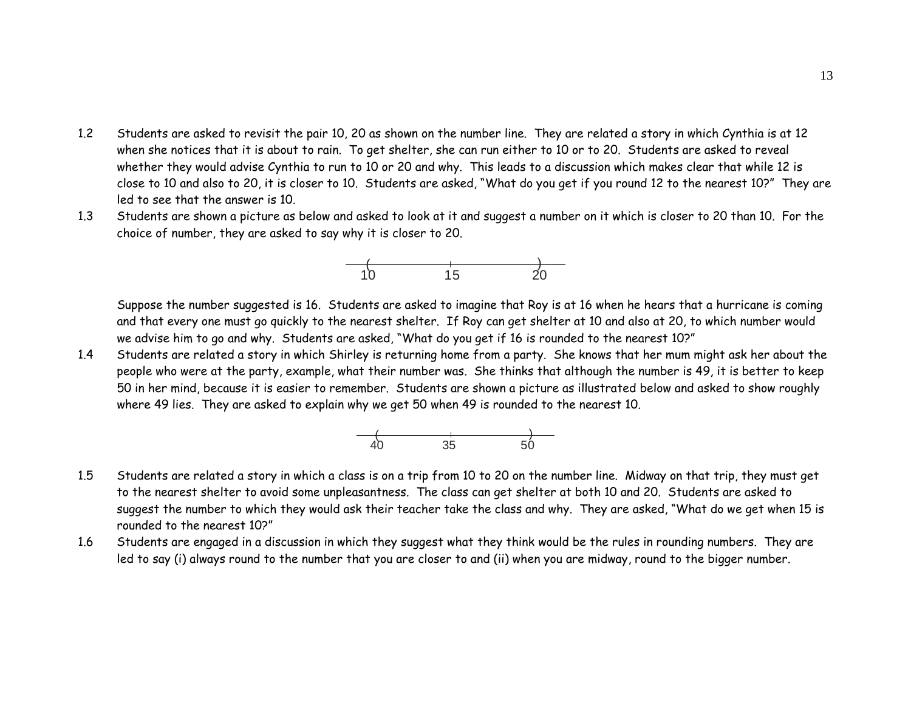- 1.2 Students are asked to revisit the pair 10, 20 as shown on the number line. They are related a story in which Cynthia is at 12 when she notices that it is about to rain. To get shelter, she can run either to 10 or to 20. Students are asked to reveal whether they would advise Cynthia to run to 10 or 20 and why. This leads to a discussion which makes clear that while 12 is close to 10 and also to 20, it is closer to 10. Students are asked, "What do you get if you round 12 to the nearest 10?" They are led to see that the answer is 10.
- 1.3 Students are shown a picture as below and asked to look at it and suggest a number on it which is closer to 20 than 10. For the choice of number, they are asked to say why it is closer to 20.



Suppose the number suggested is 16. Students are asked to imagine that Roy is at 16 when he hears that a hurricane is coming and that every one must go quickly to the nearest shelter. If Roy can get shelter at 10 and also at 20, to which number would we advise him to go and why. Students are asked, "What do you get if 16 is rounded to the nearest 10?"

1.4 Students are related a story in which Shirley is returning home from a party. She knows that her mum might ask her about the people who were at the party, example, what their number was. She thinks that although the number is 49, it is better to keep 50 in her mind, because it is easier to remember. Students are shown a picture as illustrated below and asked to show roughly where 49 lies. They are asked to explain why we get 50 when 49 is rounded to the nearest 10.



- 1.5 Students are related a story in which a class is on a trip from 10 to 20 on the number line. Midway on that trip, they must get to the nearest shelter to avoid some unpleasantness. The class can get shelter at both 10 and 20. Students are asked to suggest the number to which they would ask their teacher take the class and why. They are asked, "What do we get when 15 is rounded to the nearest 10?"
- 1.6 Students are engaged in a discussion in which they suggest what they think would be the rules in rounding numbers. They are led to say (i) always round to the number that you are closer to and (ii) when you are midway, round to the bigger number.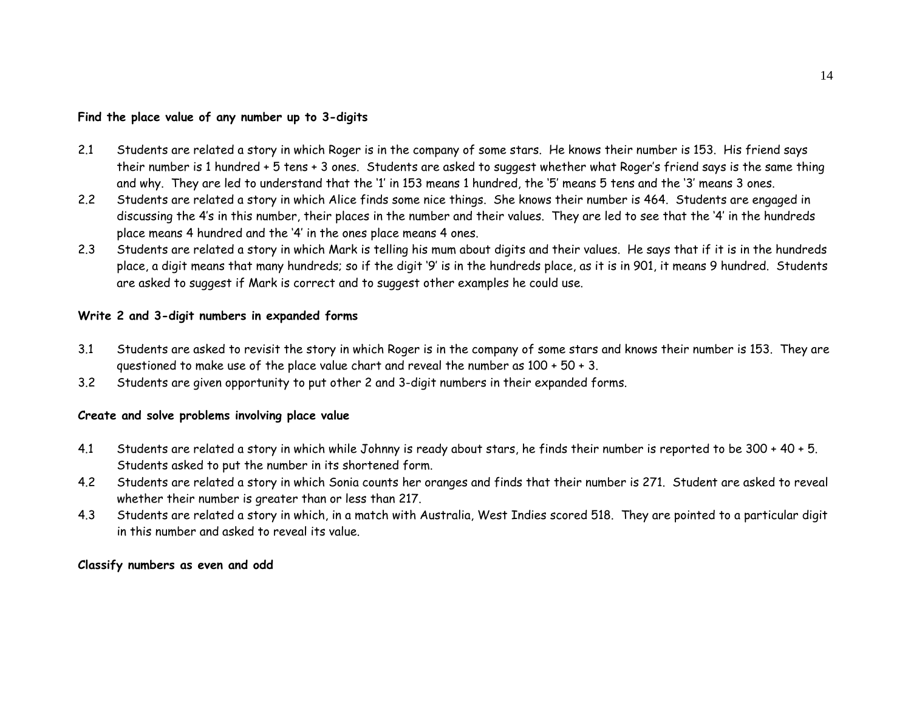#### **Find the place value of any number up to 3-digits**

- 2.1 Students are related a story in which Roger is in the company of some stars. He knows their number is 153. His friend says their number is 1 hundred + 5 tens + 3 ones. Students are asked to suggest whether what Roger's friend says is the same thing and why. They are led to understand that the '1' in 153 means 1 hundred, the '5' means 5 tens and the '3' means 3 ones.
- 2.2 Students are related a story in which Alice finds some nice things. She knows their number is 464. Students are engaged in discussing the 4's in this number, their places in the number and their values. They are led to see that the '4' in the hundreds place means 4 hundred and the '4' in the ones place means 4 ones.
- 2.3 Students are related a story in which Mark is telling his mum about digits and their values. He says that if it is in the hundreds place, a digit means that many hundreds; so if the digit '9' is in the hundreds place, as it is in 901, it means 9 hundred. Students are asked to suggest if Mark is correct and to suggest other examples he could use.

#### **Write 2 and 3-digit numbers in expanded forms**

- 3.1 Students are asked to revisit the story in which Roger is in the company of some stars and knows their number is 153. They are questioned to make use of the place value chart and reveal the number as 100 + 50 + 3.
- 3.2Students are given opportunity to put other 2 and 3-digit numbers in their expanded forms.

#### **Create and solve problems involving place value**

- 4.1 Students are related a story in which while Johnny is ready about stars, he finds their number is reported to be 300 + 40 + 5. Students asked to put the number in its shortened form.
- 4.2 Students are related a story in which Sonia counts her oranges and finds that their number is 271. Student are asked to reveal whether their number is greater than or less than 217.
- 4.3 Students are related a story in which, in a match with Australia, West Indies scored 518. They are pointed to a particular digit in this number and asked to reveal its value.

#### **Classify numbers as even and odd**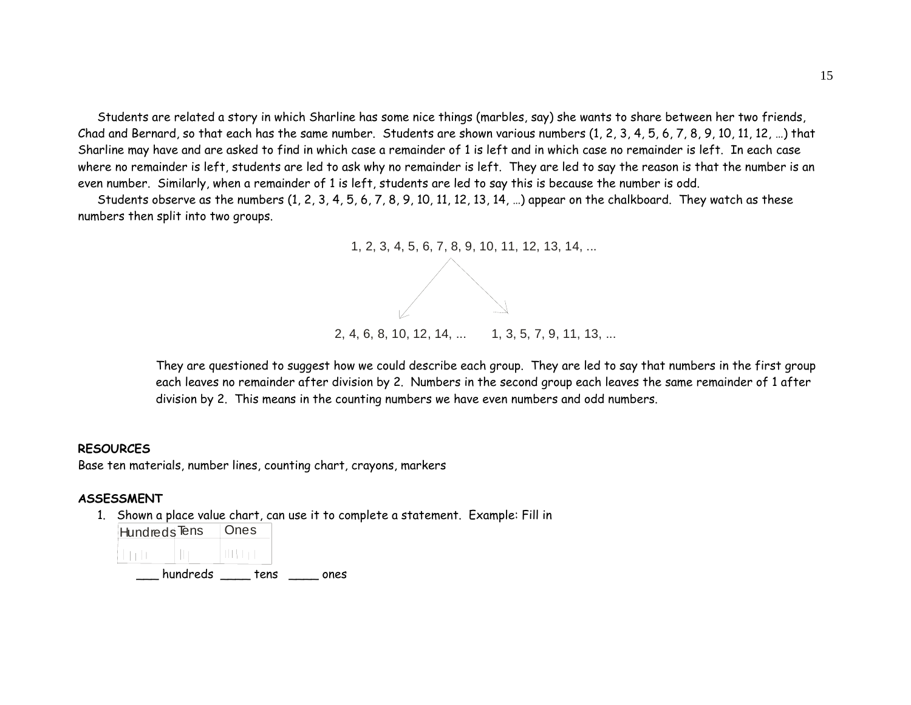Students are related a story in which Sharline has some nice things (marbles, say) she wants to share between her two friends, Chad and Bernard, so that each has the same number. Students are shown various numbers (1, 2, 3, 4, 5, 6, 7, 8, 9, 10, 11, 12, …) that Sharline may have and are asked to find in which case a remainder of 1 is left and in which case no remainder is left. In each case where no remainder is left, students are led to ask why no remainder is left. They are led to say the reason is that the number is an even number. Similarly, when a remainder of 1 is left, students are led to say this is because the number is odd.

Students observe as the numbers  $(1, 2, 3, 4, 5, 6, 7, 8, 9, 10, 11, 12, 13, 14, ...)$  appear on the chalkboard. They watch as these numbers then split into two groups.



They are questioned to suggest how we could describe each group. They are led to say that numbers in the first group each leaves no remainder after division by 2. Numbers in the second group each leaves the same remainder of 1 after division by 2. This means in the counting numbers we have even numbers and odd numbers.

#### **RESOURCES**

Base ten materials, number lines, counting chart, crayons, markers

#### **ASSESSMENT**

1. Shown a place value chart, can use it to complete a statement. Example: Fill in

| Hundreds <sup>Tens</sup> |          | Ones |      |
|--------------------------|----------|------|------|
|                          |          |      |      |
|                          | hundreds | tens | ones |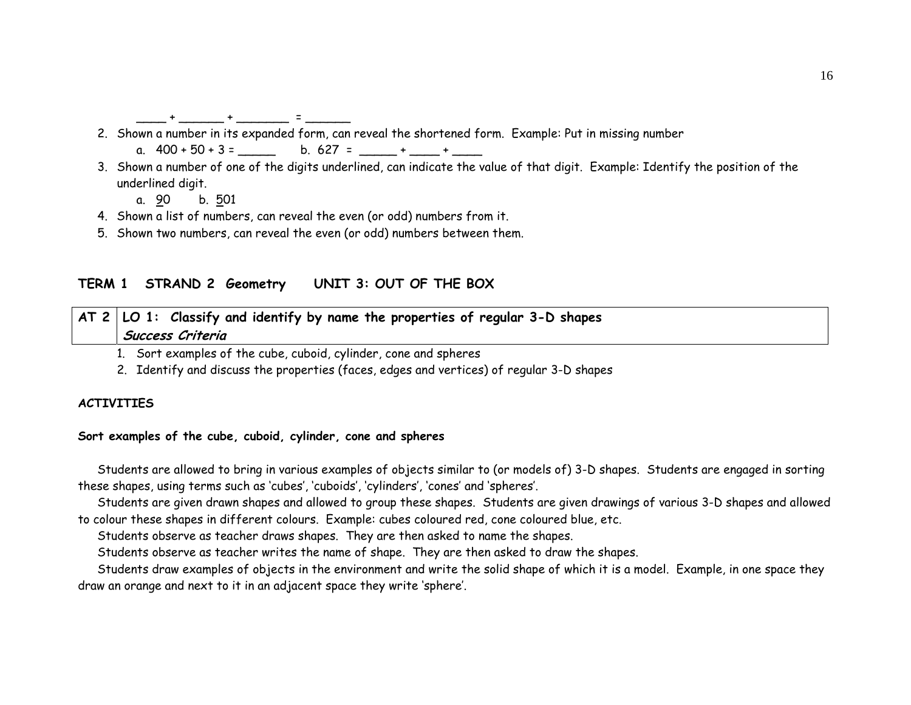\_\_\_\_\_ + \_\_\_\_\_\_ + \_\_\_\_\_\_\_\_ = \_\_\_\_\_\_\_

- 2. Shown a number in its expanded form, can reveal the shortened form. Example: Put in missing number
	- a.  $400 + 50 + 3 =$  \_\_\_\_\_ b. 627 = \_\_\_\_\_ + \_\_\_\_ + \_\_\_\_
- 3. Shown a number of one of the digits underlined, can indicate the value of that digit. Example: Identify the position of the underlined digit.
	- a. 90 b. 501
- 4. Shown a list of numbers, can reveal the even (or odd) numbers from it.
- 5. Shown two numbers, can reveal the even (or odd) numbers between them.

# **TERM 1 STRAND 2 Geometry UNIT 3: OUT OF THE BOX**

|  |                  |  |  | $\vert$ AT 2 $\vert$ LO 1: Classify and identify by name the properties of regular 3-D shapes |  |
|--|------------------|--|--|-----------------------------------------------------------------------------------------------|--|
|  | Success Criteria |  |  |                                                                                               |  |

1. Sort examples of the cube, cuboid, cylinder, cone and spheres

2. Identify and discuss the properties (faces, edges and vertices) of regular 3-D shapes

# **ACTIVITIES**

#### **Sort examples of the cube, cuboid, cylinder, cone and spheres**

Students are allowed to bring in various examples of objects similar to (or models of) 3-D shapes. Students are engaged in sorting these shapes, using terms such as 'cubes', 'cuboids', 'cylinders', 'cones' and 'spheres'.

Students are given drawn shapes and allowed to group these shapes. Students are given drawings of various 3-D shapes and allowed to colour these shapes in different colours. Example: cubes coloured red, cone coloured blue, etc.

Students observe as teacher draws shapes. They are then asked to name the shapes.

Students observe as teacher writes the name of shape. They are then asked to draw the shapes.

Students draw examples of objects in the environment and write the solid shape of which it is a model. Example, in one space they draw an orange and next to it in an adjacent space they write 'sphere'.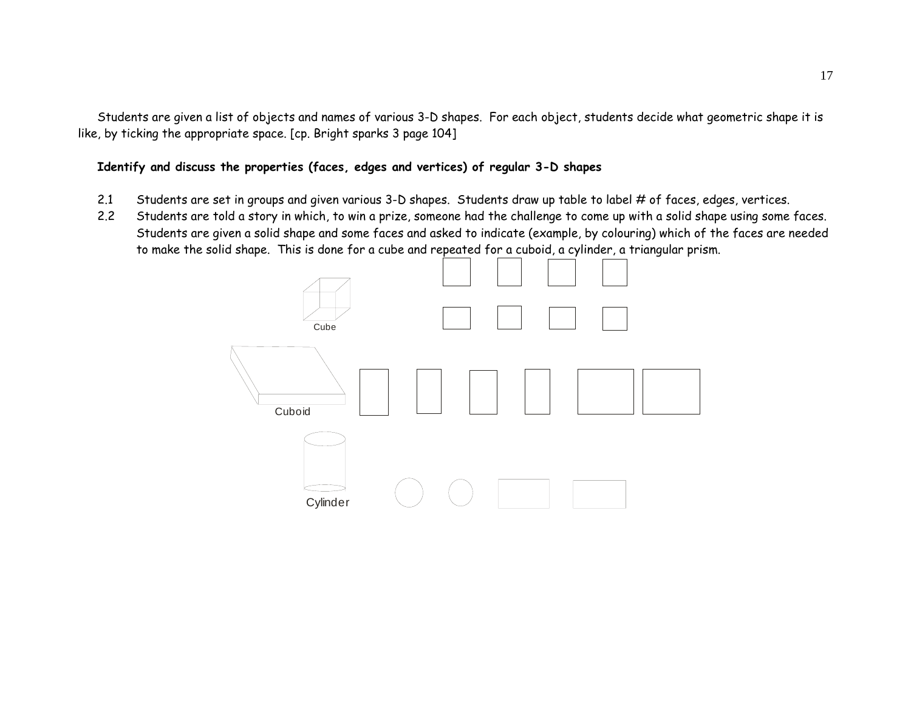Students are given a list of objects and names of various 3-D shapes. For each object, students decide what geometric shape it is like, by ticking the appropriate space. [cp. Bright sparks 3 page 104]

# **Identify and discuss the properties (faces, edges and vertices) of regular 3-D shapes**

- 2.1 Students are set in groups and given various 3-D shapes. Students draw up table to label # of faces, edges, vertices.
- 2.2 Students are told a story in which, to win a prize, someone had the challenge to come up with a solid shape using some faces. Students are given a solid shape and some faces and asked to indicate (example, by colouring) which of the faces are needed to make the solid shape. This is done for a cube and repeated for a cuboid, a cylinder, a triangular prism.

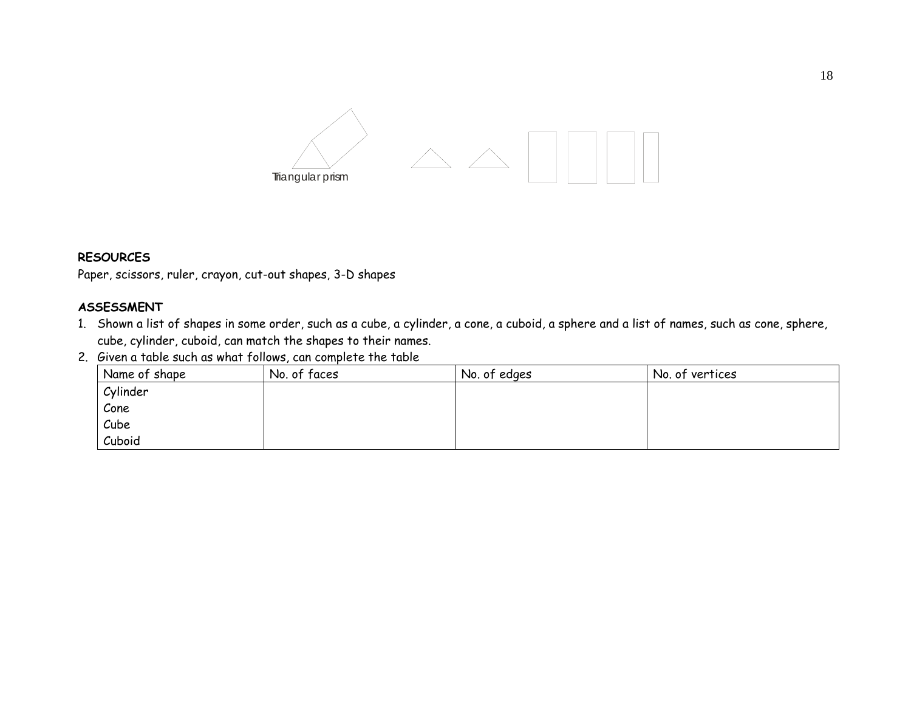

### **RESOURCES**

Paper, scissors, ruler, crayon, cut-out shapes, 3-D shapes

#### **ASSESSMENT**

- 1. Shown a list of shapes in some order, such as a cube, a cylinder, a cone, a cuboid, a sphere and a list of names, such as cone, sphere, cube, cylinder, cuboid, can match the shapes to their names.
- 2. Given a table such as what follows, can complete the table

| Name of shape | No. of faces | No. of edges | No. of vertices |
|---------------|--------------|--------------|-----------------|
| Cylinder      |              |              |                 |
| Cone          |              |              |                 |
| Cube          |              |              |                 |
| Cuboid        |              |              |                 |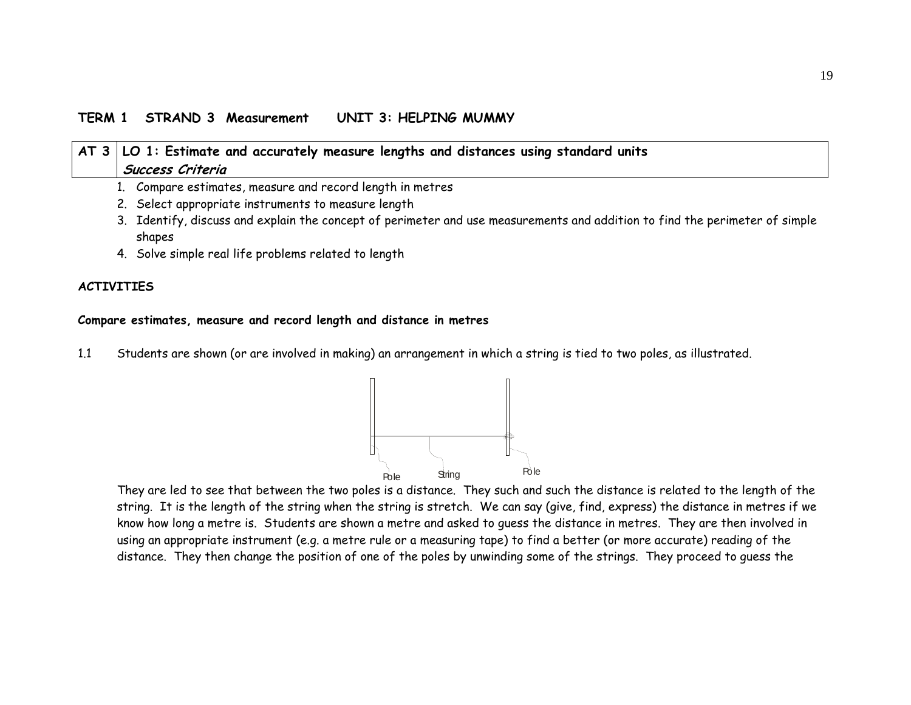## **TERM 1 STRAND 3 Measurement UNIT 3: HELPING MUMMY**

| AT 3   LO 1: Estimate and accurately measure lengths and distances using standard units                                               |
|---------------------------------------------------------------------------------------------------------------------------------------|
| Success Criteria                                                                                                                      |
| 1. Compare estimates, measure and record length in metres                                                                             |
| 2. Select appropriate instruments to measure length                                                                                   |
| 3. Identify, discuss and explain the concept of perimeter and use measurements and addition to find the perimeter of simple<br>shapes |
| A Solve cinnle need life problems neleted to length                                                                                   |

4. Solve simple real life problems related to length

#### **ACTIVITIES**

#### **Compare estimates, measure and record length and distance in metres**

1.1 Students are shown (or are involved in making) an arrangement in which a string is tied to two poles, as illustrated.



They are led to see that between the two poles is a distance. They such and such the distance is related to the length of the string. It is the length of the string when the string is stretch. We can say (give, find, express) the distance in metres if we know how long a metre is. Students are shown a metre and asked to guess the distance in metres. They are then involved in using an appropriate instrument (e.g. a metre rule or a measuring tape) to find a better (or more accurate) reading of the distance. They then change the position of one of the poles by unwinding some of the strings. They proceed to guess the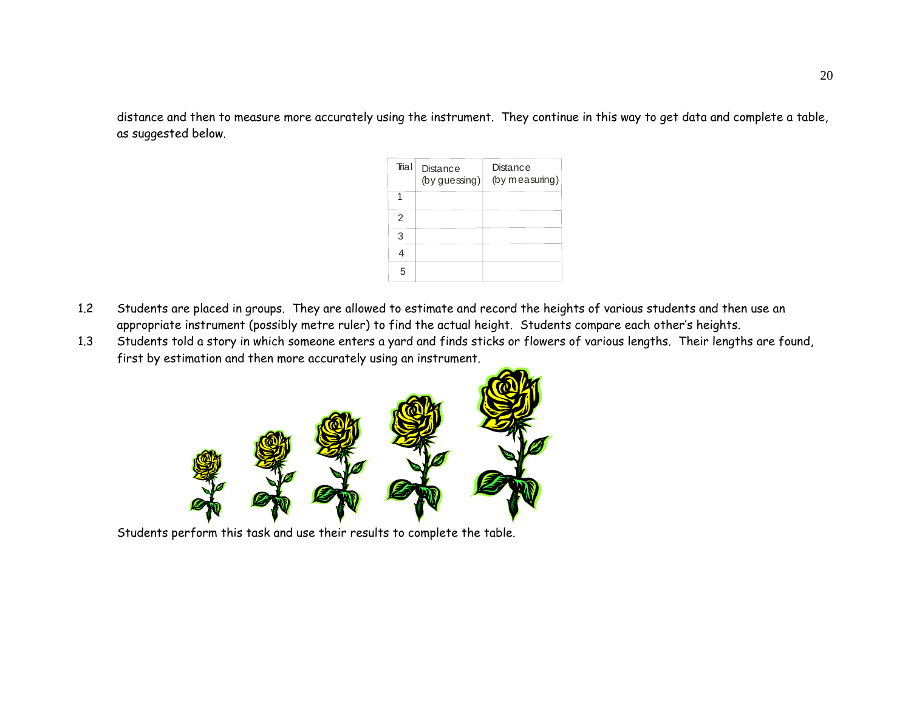distance and then to measure more accurately using the instrument. They continue in this way to get data and complete a table, as suggested below.

| Trial          | <b>Distance</b><br>(by guessing) | Distance<br>(by measuring) |
|----------------|----------------------------------|----------------------------|
|                |                                  |                            |
| $\mathfrak{p}$ |                                  |                            |
| 3              |                                  |                            |
|                |                                  |                            |
| 5              |                                  |                            |

- 1.2 Students are placed in groups. They are allowed to estimate and record the heights of various students and then use an appropriate instrument (possibly metre ruler) to find the actual height. Students compare each other's heights.
- 1.3 Students told a story in which someone enters a yard and finds sticks or flowers of various lengths. Their lengths are found, first by estimation and then more accurately using an instrument.



Students perform this task and use their results to complete the table.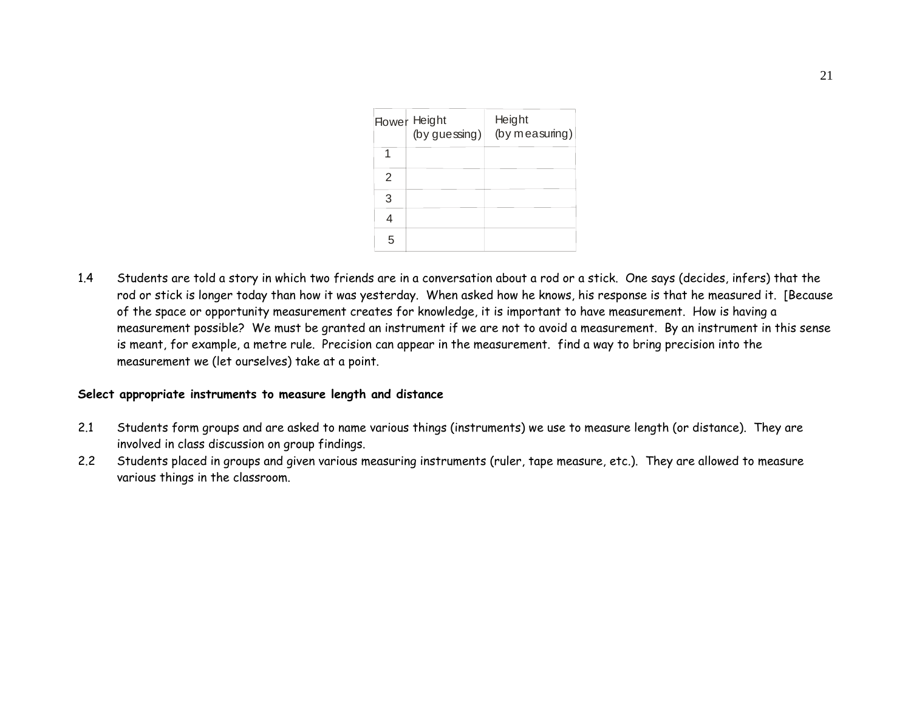|   | <b>Flower</b> Height<br>$(by$ guessing) | Height<br>(by measuring) |
|---|-----------------------------------------|--------------------------|
|   |                                         |                          |
| 2 |                                         |                          |
| 3 |                                         |                          |
|   |                                         |                          |
| 5 |                                         |                          |

1.4 Students are told a story in which two friends are in a conversation about a rod or a stick. One says (decides, infers) that the rod or stick is longer today than how it was yesterday. When asked how he knows, his response is that he measured it. [Because of the space or opportunity measurement creates for knowledge, it is important to have measurement. How is having a measurement possible? We must be granted an instrument if we are not to avoid a measurement. By an instrument in this sense is meant, for example, a metre rule. Precision can appear in the measurement. find a way to bring precision into the measurement we (let ourselves) take at a point.

#### **Select appropriate instruments to measure length and distance**

- 2.1 Students form groups and are asked to name various things (instruments) we use to measure length (or distance). They are involved in class discussion on group findings.
- 2.2 Students placed in groups and given various measuring instruments (ruler, tape measure, etc.). They are allowed to measure various things in the classroom.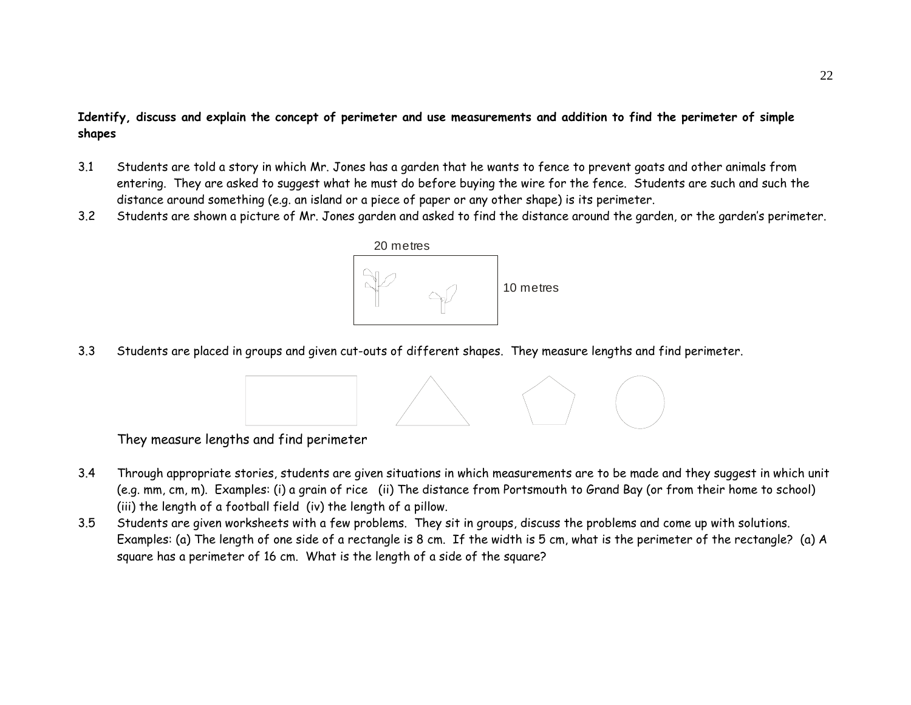# **Identify, discuss and explain the concept of perimeter and use measurements and addition to find the perimeter of simple shapes**

- 3.1 Students are told a story in which Mr. Jones has a garden that he wants to fence to prevent goats and other animals from entering. They are asked to suggest what he must do before buying the wire for the fence. Students are such and such the distance around something (e.g. an island or a piece of paper or any other shape) is its perimeter.
- 3.2Students are shown a picture of Mr. Jones garden and asked to find the distance around the garden, or the garden's perimeter.



3.3Students are placed in groups and given cut-outs of different shapes. They measure lengths and find perimeter.



They measure lengths and find perimeter

- 3.4 Through appropriate stories, students are given situations in which measurements are to be made and they suggest in which unit (e.g. mm, cm, m). Examples: (i) a grain of rice (ii) The distance from Portsmouth to Grand Bay (or from their home to school) (iii) the length of a football field (iv) the length of a pillow.
- 3.5 Students are given worksheets with a few problems. They sit in groups, discuss the problems and come up with solutions. Examples: (a) The length of one side of a rectangle is 8 cm. If the width is 5 cm, what is the perimeter of the rectangle? (a) A square has a perimeter of 16 cm. What is the length of a side of the square?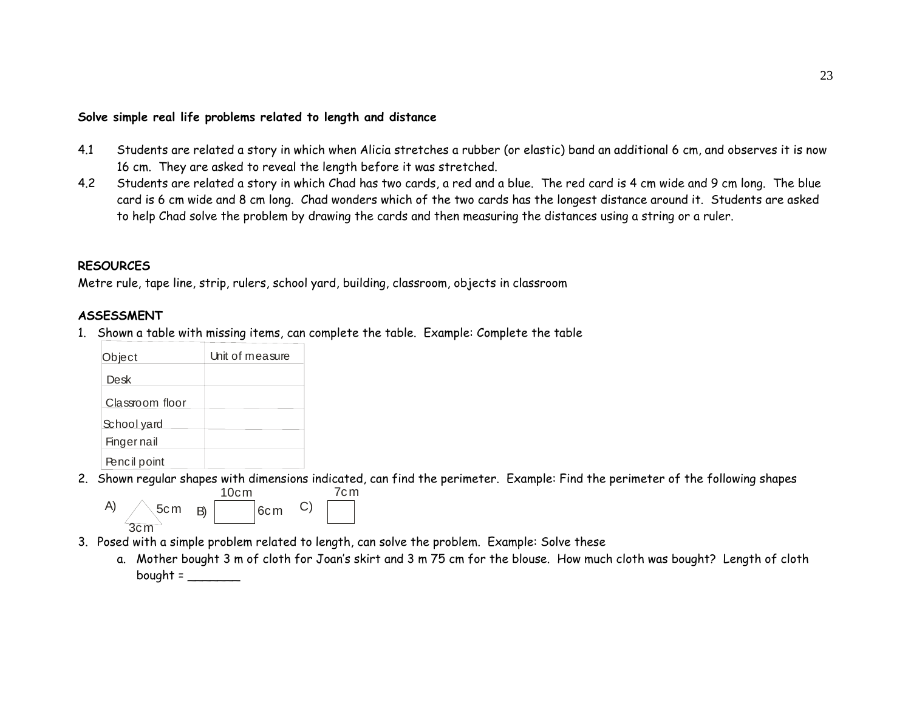#### **Solve simple real life problems related to length and distance**

- 4.1 Students are related a story in which when Alicia stretches a rubber (or elastic) band an additional 6 cm, and observes it is now 16 cm. They are asked to reveal the length before it was stretched.
- 4.2 Students are related a story in which Chad has two cards, a red and a blue. The red card is 4 cm wide and 9 cm long. The blue card is 6 cm wide and 8 cm long. Chad wonders which of the two cards has the longest distance around it. Students are asked to help Chad solve the problem by drawing the cards and then measuring the distances using a string or a ruler.

#### **RESOURCES**

Metre rule, tape line, strip, rulers, school yard, building, classroom, objects in classroom

#### **ASSESSMENT**

1. Shown a table with missing items, can complete the table. Example: Complete the table

| Object             | Unit of measure |
|--------------------|-----------------|
| Desk               |                 |
| Classroom floor    |                 |
| School yard        |                 |
| <b>Finger nail</b> |                 |
| Pencil point       |                 |

2. Shown regular shapes with dimensions indicated, can find the perimeter. Example: Find the perimeter of the following shapes



- 3. Posed with a simple problem related to length, can solve the problem. Example: Solve these
	- a. Mother bought 3 m of cloth for Joan's skirt and 3 m 75 cm for the blouse. How much cloth was bought? Length of cloth bought =  $\frac{1}{2}$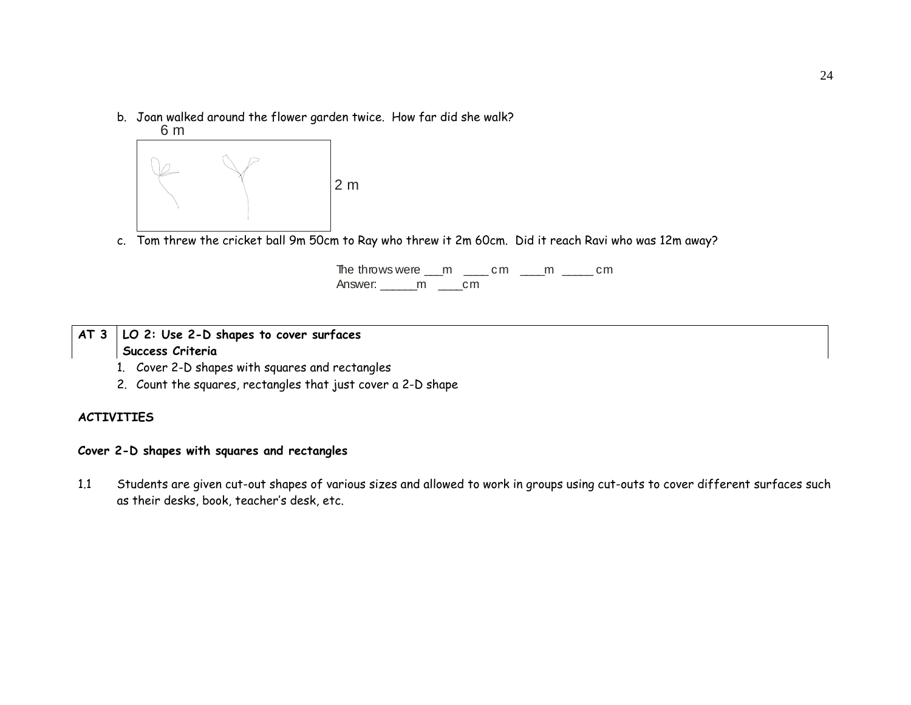b. Joan walked around the flower garden twice. How far did she walk?



c. Tom threw the cricket ball 9m 50cm to Ray who threw it 2m 60cm. Did it reach Ravi who was 12m away?

The throws were  $\text{m}$   $\text{m}$   $\text{m}$   $\text{m}$   $\text{m}$   $\text{m}$ Answer: \_\_\_\_\_\_m \_\_\_\_cm

# **AT 3 LO 2: Use 2-D shapes to cover surfaces Success Criteria**

- 1. Cover 2-D shapes with squares and rectangles
- 2. Count the squares, rectangles that just cover a 2-D shape

#### **ACTIVITIES**

# **Cover 2-D shapes with squares and rectangles**

1.1 Students are given cut-out shapes of various sizes and allowed to work in groups using cut-outs to cover different surfaces such as their desks, book, teacher's desk, etc.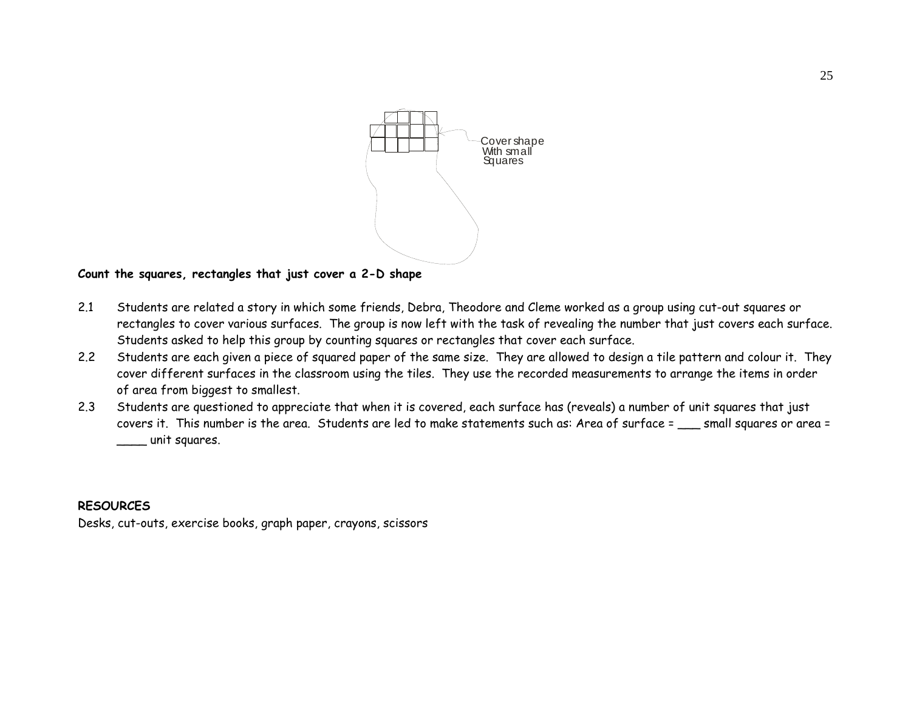

#### **Count the squares, rectangles that just cover a 2-D shape**

- 2.1 Students are related a story in which some friends, Debra, Theodore and Cleme worked as a group using cut-out squares or rectangles to cover various surfaces. The group is now left with the task of revealing the number that just covers each surface. Students asked to help this group by counting squares or rectangles that cover each surface.
- 2.2 Students are each given a piece of squared paper of the same size. They are allowed to design a tile pattern and colour it. They cover different surfaces in the classroom using the tiles. They use the recorded measurements to arrange the items in order of area from biggest to smallest.
- 2.3 Students are questioned to appreciate that when it is covered, each surface has (reveals) a number of unit squares that just covers it. This number is the area. Students are led to make statements such as: Area of surface = \_\_\_ small squares or area = \_\_\_\_ unit squares.

#### **RESOURCES**

Desks, cut-outs, exercise books, graph paper, crayons, scissors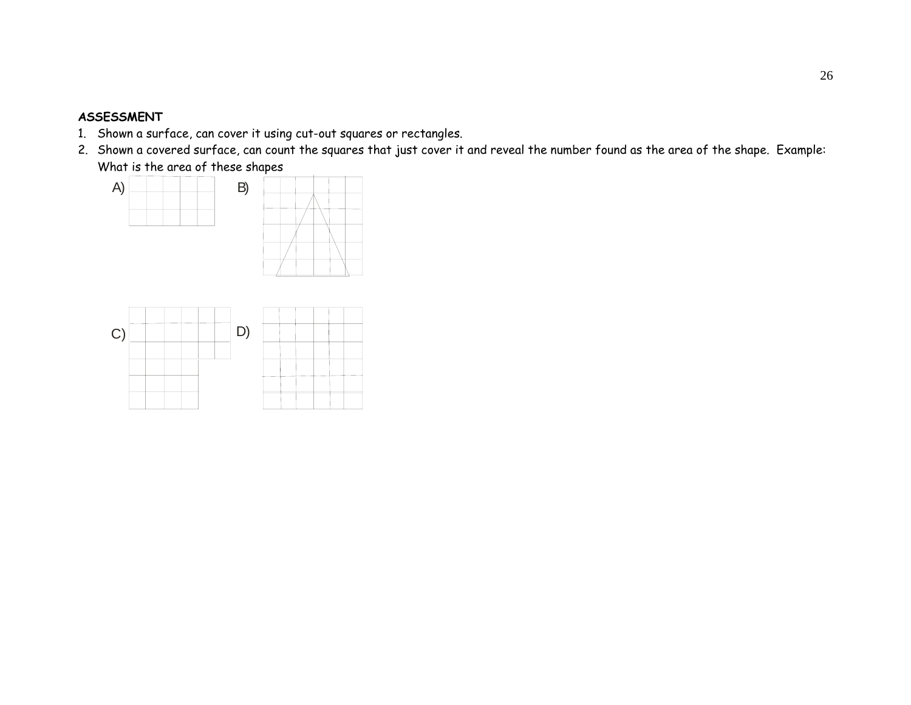#### **ASSESSMENT**

- 1. Shown a surface, can cover it using cut-out squares or rectangles.
- 2. Shown a covered surface, can count the squares that just cover it and reveal the number found as the area of the shape. Example: What is the area of these shapes



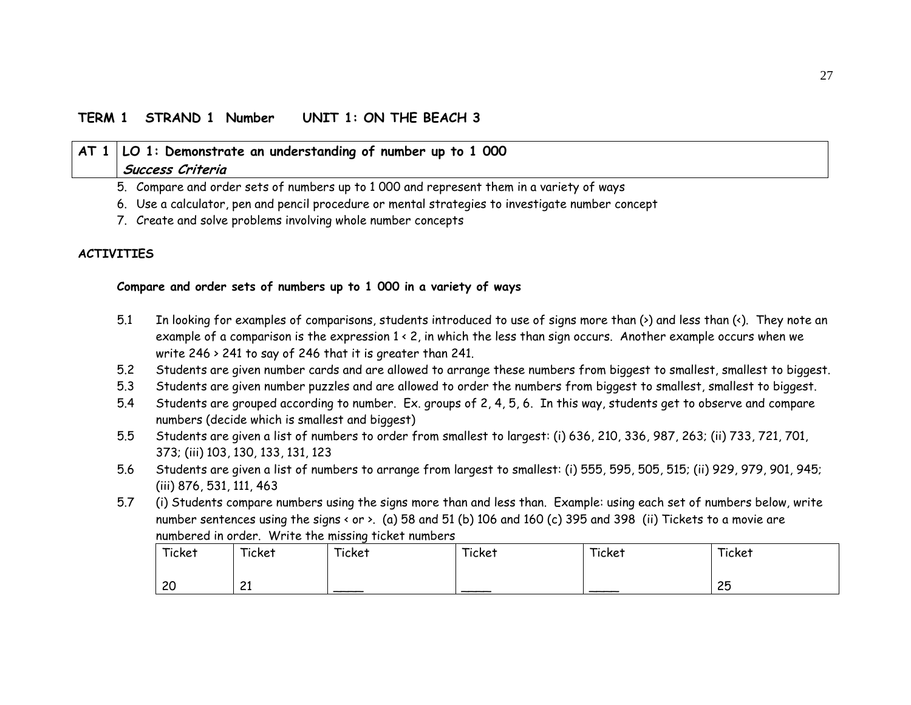# **TERM 1 STRAND 1 Number UNIT 1: ON THE BEACH 3**

| $\vert$ AT 1 $\vert$ LO 1: Demonstrate an understanding of number up to 1 000<br>Success Criteria |
|---------------------------------------------------------------------------------------------------|
| 5. Compare and order sets of numbers up to 1 000 and represent them in a variety of ways          |
| 6. Use a calculator, pen and pencil procedure or mental strategies to investigate number concept  |
| 7. Create and solve problems involving whole number concepts                                      |

# **ACTIVITIES**

#### **Compare and order sets of numbers up to 1 000 in a variety of ways**

- 5.1 In looking for examples of comparisons, students introduced to use of signs more than (>) and less than (<). They note an example of a comparison is the expression 1 < 2, in which the less than sign occurs. Another example occurs when we write 246 > 241 to say of 246 that it is greater than 241.
- 5.2Students are given number cards and are allowed to arrange these numbers from biggest to smallest, smallest to biggest.
- 5.3Students are given number puzzles and are allowed to order the numbers from biggest to smallest, smallest to biggest.
- 5.4 Students are grouped according to number. Ex. groups of 2, 4, 5, 6. In this way, students get to observe and compare numbers (decide which is smallest and biggest)
- 5.5 Students are given a list of numbers to order from smallest to largest: (i) 636, 210, 336, 987, 263; (ii) 733, 721, 701, 373; (iii) 103, 130, 133, 131, 123
- 5.6 Students are given a list of numbers to arrange from largest to smallest: (i) 555, 595, 505, 515; (ii) 929, 979, 901, 945; (iii) 876, 531, 111, 463
- 5.7 (i) Students compare numbers using the signs more than and less than. Example: using each set of numbers below, write number sentences using the signs < or >. (a) 58 and 51 (b) 106 and 160 (c) 395 and 398 (ii) Tickets to a movie are numbered in order. Write the missing ticket numbers

| Ticket | Ticket          | Ticket | Ticket | Ticket | Ticket |
|--------|-----------------|--------|--------|--------|--------|
|        |                 |        |        |        |        |
| 20     | $^{\sim}$<br>-- |        |        |        | 25     |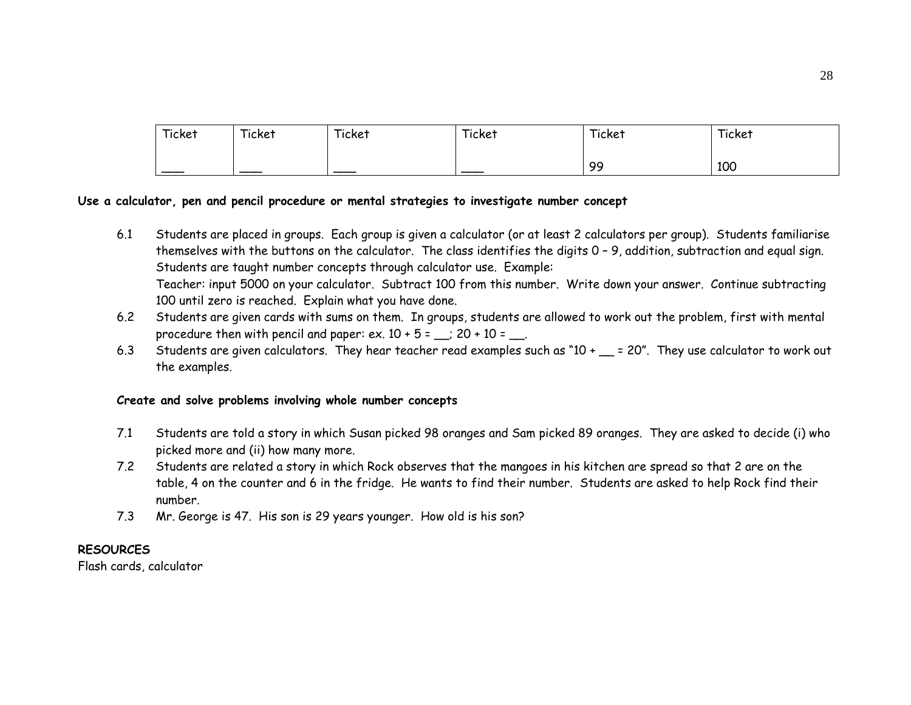| Ticket | Ticket | Ticket | Ticket | Ticket | Ticket |
|--------|--------|--------|--------|--------|--------|
|        |        |        |        | 99     | 100    |

#### **Use a calculator, pen and pencil procedure or mental strategies to investigate number concept**

- 6.1 Students are placed in groups. Each group is given a calculator (or at least 2 calculators per group). Students familiarise themselves with the buttons on the calculator. The class identifies the digits 0 – 9, addition, subtraction and equal sign. Students are taught number concepts through calculator use. Example: Teacher: input 5000 on your calculator. Subtract 100 from this number. Write down your answer. Continue subtracting 100 until zero is reached. Explain what you have done.
- 6.2 Students are given cards with sums on them. In groups, students are allowed to work out the problem, first with mental procedure then with pencil and paper: ex.  $10 + 5 =$   $\therefore$  20 + 10 =  $\therefore$
- 6.3Students are given calculators. They hear teacher read examples such as " $10 + \_\_\_\_$  = 20". They use calculator to work out the examples.

#### **Create and solve problems involving whole number concepts**

- 7.1 Students are told a story in which Susan picked 98 oranges and Sam picked 89 oranges. They are asked to decide (i) who picked more and (ii) how many more.
- 7.2 Students are related a story in which Rock observes that the mangoes in his kitchen are spread so that 2 are on the table, 4 on the counter and 6 in the fridge. He wants to find their number. Students are asked to help Rock find their number.
- 7.3Mr. George is 47. His son is 29 years younger. How old is his son?

#### **RESOURCES**

Flash cards, calculator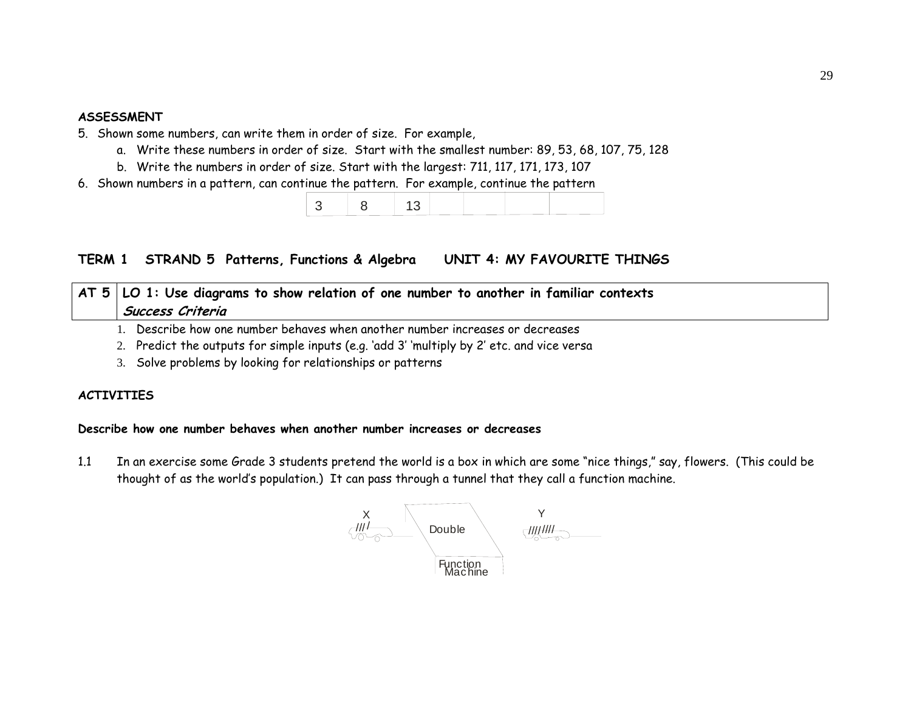#### **ASSESSMENT**

- 5. Shown some numbers, can write them in order of size. For example,
	- a. Write these numbers in order of size. Start with the smallest number: 89, 53, 68, 107, 75, 128
	- b. Write the numbers in order of size. Start with the largest: 711, 117, 171, 173, 107
- 6. Shown numbers in a pattern, can continue the pattern. For example, continue the pattern

|--|--|

# **TERM 1 STRAND 5 Patterns, Functions & Algebra UNIT 4: MY FAVOURITE THINGS**

# **AT 5 LO 1: Use diagrams to show relation of one number to another in familiar contexts Success Criteria**

- 1. Describe how one number behaves when another number increases or decreases
- 2. Predict the outputs for simple inputs (e.g. 'add 3' 'multiply by 2' etc. and vice versa
- 3. Solve problems by looking for relationships or patterns

# **ACTIVITIES**

# **Describe how one number behaves when another number increases or decreases**

1.1 In an exercise some Grade 3 students pretend the world is a box in which are some "nice things," say, flowers. (This could be thought of as the world's population.) It can pass through a tunnel that they call a function machine.

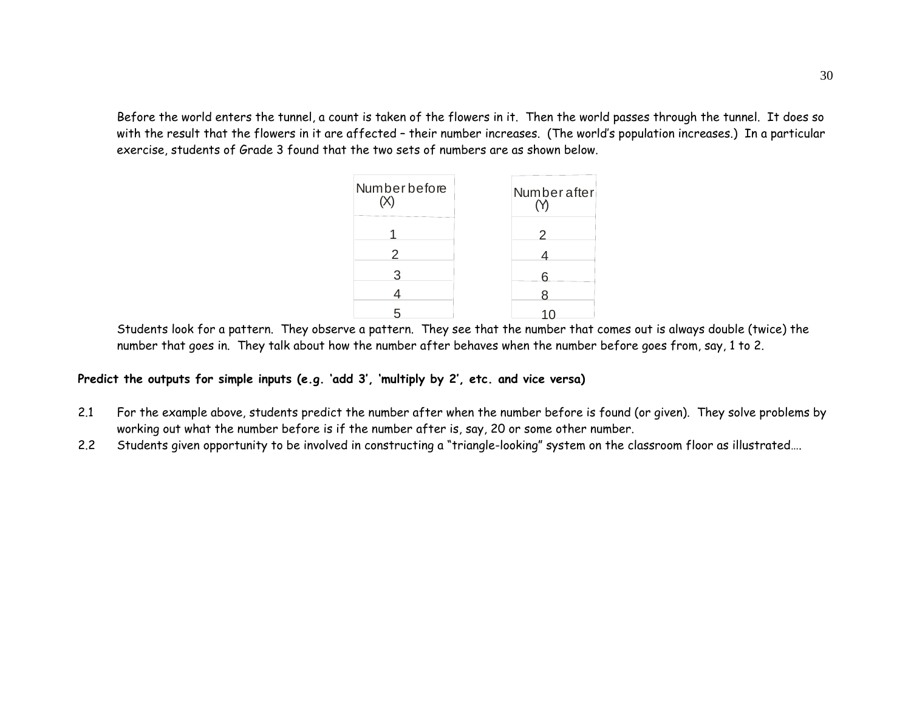Before the world enters the tunnel, a count is taken of the flowers in it. Then the world passes through the tunnel. It does so with the result that the flowers in it are affected – their number increases. (The world's population increases.) In a particular exercise, students of Grade 3 found that the two sets of numbers are as shown below.



Students look for a pattern. They observe a pattern. They see that the number that comes out is always double (twice) the number that goes in. They talk about how the number after behaves when the number before goes from, say, 1 to 2.

**Predict the outputs for simple inputs (e.g. 'add 3', 'multiply by 2', etc. and vice versa)** 

- 2.1 For the example above, students predict the number after when the number before is found (or given). They solve problems by working out what the number before is if the number after is, say, 20 or some other number.
- 2.2Students given opportunity to be involved in constructing a "triangle-looking" system on the classroom floor as illustrated….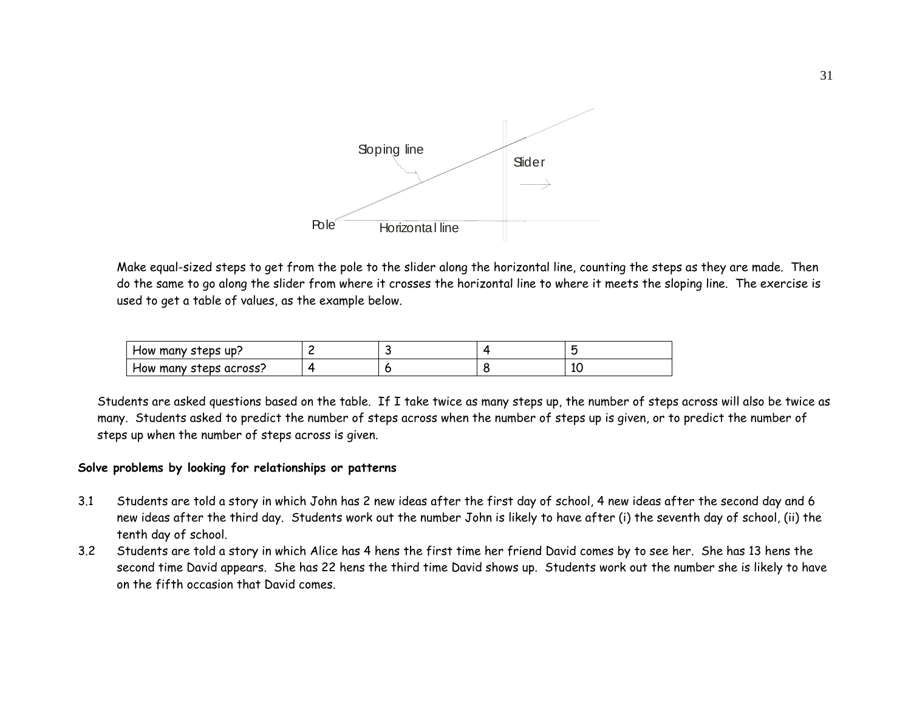

Make equal-sized steps to get from the pole to the slider along the horizontal line, counting the steps as they are made. Then do the same to go along the slider from where it crosses the horizontal line to where it meets the sloping line. The exercise is used to get a table of values, as the example below.

| How many steps up?     |  |   |
|------------------------|--|---|
| How many steps across? |  | ∸ |

Students are asked questions based on the table. If I take twice as many steps up, the number of steps across will also be twice as many. Students asked to predict the number of steps across when the number of steps up is given, or to predict the number of steps up when the number of steps across is given.

#### **Solve problems by looking for relationships or patterns**

- 3.1 Students are told a story in which John has 2 new ideas after the first day of school, 4 new ideas after the second day and 6 new ideas after the third day. Students work out the number John is likely to have after (i) the seventh day of school, (ii) the tenth day of school.
- 3.2 Students are told a story in which Alice has 4 hens the first time her friend David comes by to see her. She has 13 hens the second time David appears. She has 22 hens the third time David shows up. Students work out the number she is likely to have on the fifth occasion that David comes.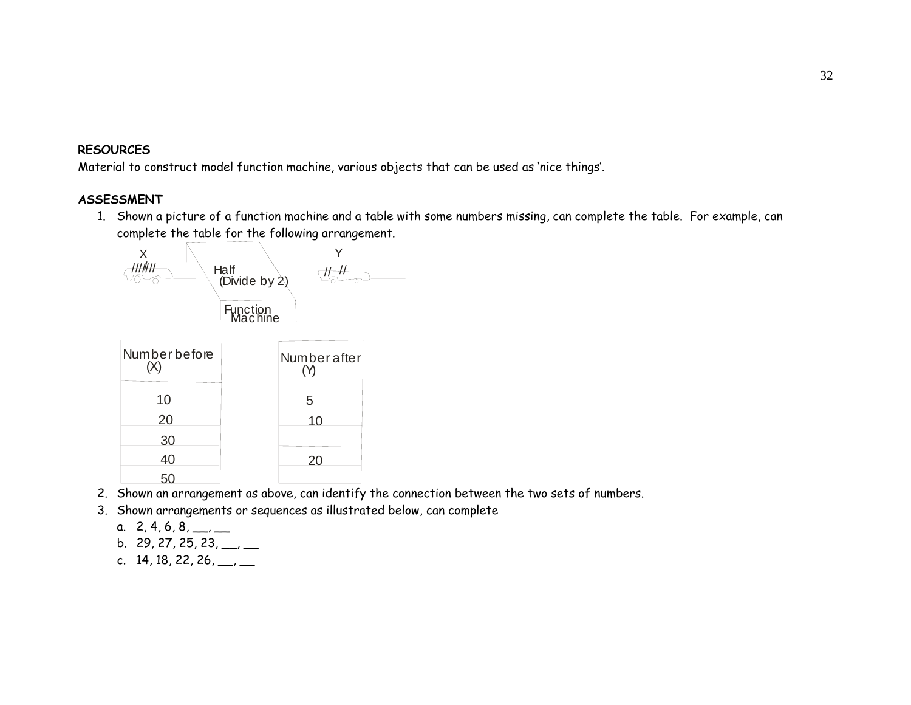#### **RESOURCES**

Material to construct model function machine, various objects that can be used as 'nice things'.

# **ASSESSMENT**

1. Shown a picture of a function machine and a table with some numbers missing, can complete the table. For example, can complete the table for the following arrangement.



- 2. Shown an arrangement as above, can identify the connection between the two sets of numbers.
- 3. Shown arrangements or sequences as illustrated below, can complete
	- a.  $2, 4, 6, 8, \underline{\qquad \qquad }$
	- b.  $29, 27, 25, 23, \underline{\hspace{1cm}}$
	- c.  $14, 18, 22, 26, \underline{\hspace{1cm}}$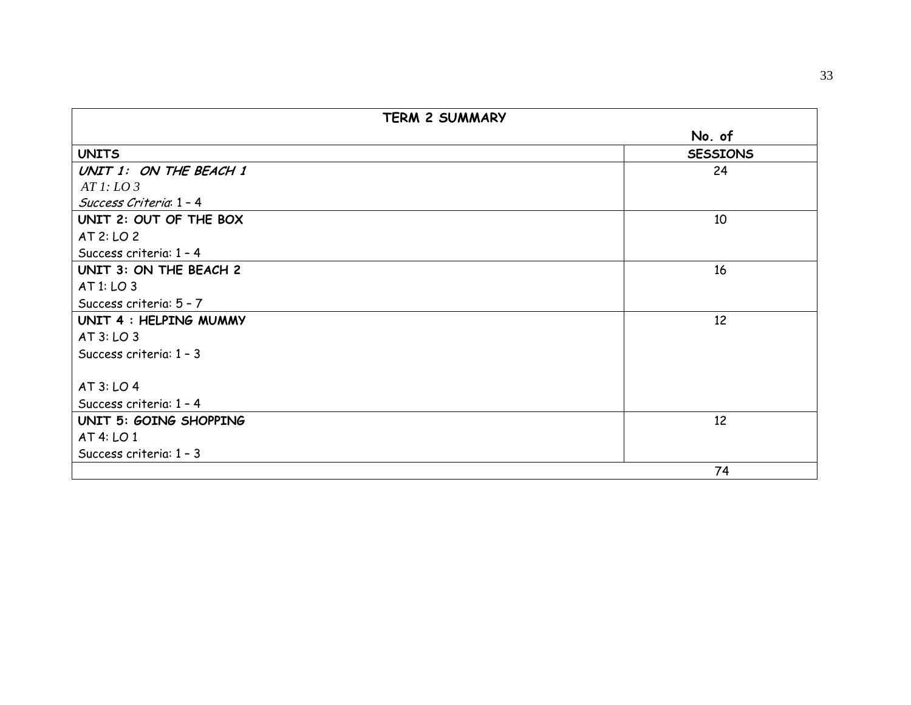| <b>TERM 2 SUMMARY</b>   |                 |
|-------------------------|-----------------|
|                         | No. of          |
| <b>UNITS</b>            | <b>SESSIONS</b> |
| UNIT 1: ON THE BEACH 1  | 24              |
| ATl: LO3                |                 |
| Success Criteria 1 - 4  |                 |
| UNIT 2: OUT OF THE BOX  | 10              |
| AT 2: LO 2              |                 |
| Success criteria: 1 - 4 |                 |
| UNIT 3: ON THE BEACH 2  | 16              |
| AT 1: LO 3              |                 |
| Success criteria: 5 - 7 |                 |
| UNIT 4 : HELPING MUMMY  | 12              |
| AT3: LO3                |                 |
| Success criteria: 1 - 3 |                 |
|                         |                 |
| AT 3: LO 4              |                 |
| Success criteria: 1 - 4 |                 |
| UNIT 5: GOING SHOPPING  | 12              |
| AT 4: LO 1              |                 |
| Success criteria: 1 - 3 |                 |
|                         | 74              |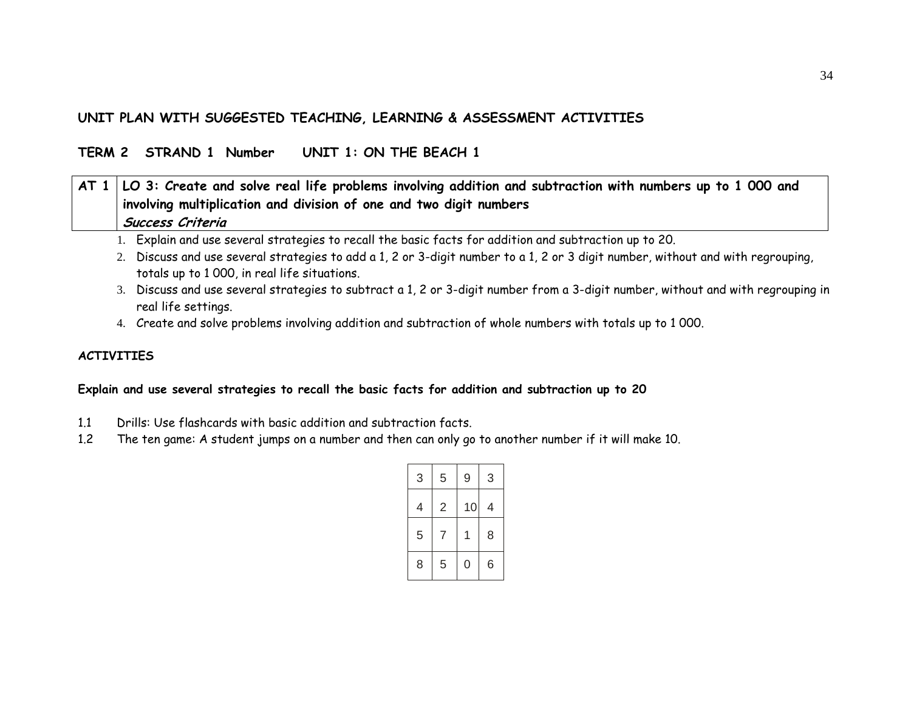# **UNIT PLAN WITH SUGGESTED TEACHING, LEARNING & ASSESSMENT ACTIVITIES**

# **TERM 2 STRAND 1 Number UNIT 1: ON THE BEACH 1**

| $\vert$ AT 1 $\vert$ LO 3: Create and solve real life problems involving addition and subtraction with numbers up to 1 000 and |
|--------------------------------------------------------------------------------------------------------------------------------|
| involving multiplication and division of one and two digit numbers                                                             |
| Success Criteria                                                                                                               |

- 1. Explain and use several strategies to recall the basic facts for addition and subtraction up to 20.
- 2. Discuss and use several strategies to add a 1, 2 or 3-digit number to a 1, 2 or 3 digit number, without and with regrouping, totals up to 1 000, in real life situations.
- 3. Discuss and use several strategies to subtract a 1, 2 or 3-digit number from a 3-digit number, without and with regrouping in real life settings.
- 4. Create and solve problems involving addition and subtraction of whole numbers with totals up to 1 000.

#### **ACTIVITIES**

#### **Explain and use several strategies to recall the basic facts for addition and subtraction up to 20**

- 1.1 Drills: Use flashcards with basic addition and subtraction facts.
- 1.2The ten game: A student jumps on a number and then can only go to another number if it will make 10.

| 3 | 5 | 9  | 3 |
|---|---|----|---|
| 4 | 2 | 10 | 4 |
| 5 | 7 | 1  | 8 |
| 8 | 5 | 0  | 6 |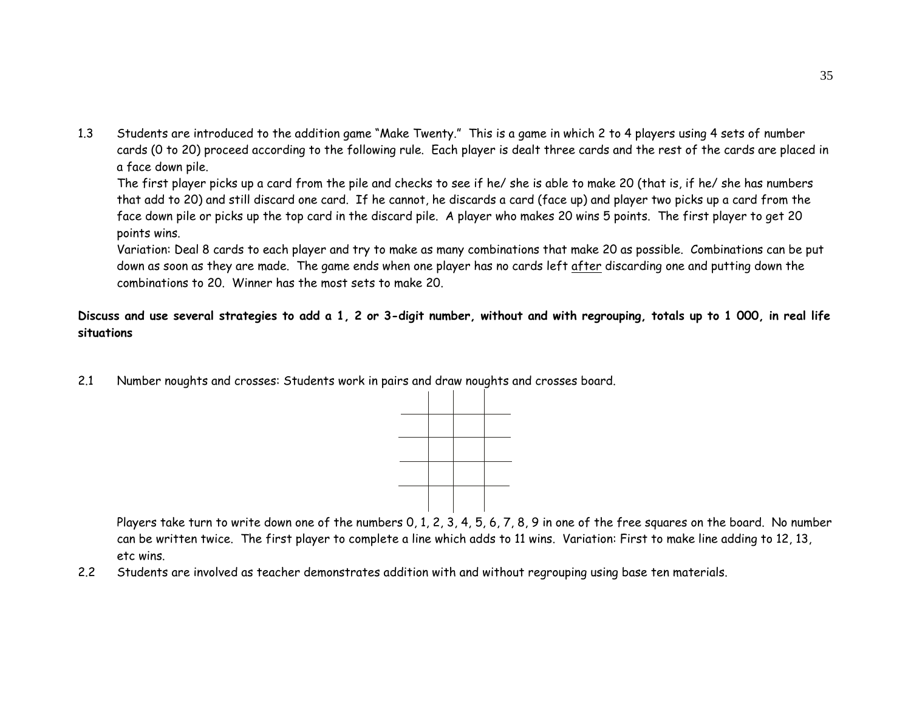1.3 Students are introduced to the addition game "Make Twenty." This is a game in which 2 to 4 players using 4 sets of number cards (0 to 20) proceed according to the following rule. Each player is dealt three cards and the rest of the cards are placed in a face down pile.

The first player picks up a card from the pile and checks to see if he/ she is able to make 20 (that is, if he/ she has numbers that add to 20) and still discard one card. If he cannot, he discards a card (face up) and player two picks up a card from the face down pile or picks up the top card in the discard pile. A player who makes 20 wins 5 points. The first player to get 20 points wins.

Variation: Deal 8 cards to each player and try to make as many combinations that make 20 as possible. Combinations can be put down as soon as they are made. The game ends when one player has no cards left after discarding one and putting down the combinations to 20. Winner has the most sets to make 20.

# **Discuss and use several strategies to add a 1, 2 or 3-digit number, without and with regrouping, totals up to 1 000, in real life situations**

2.1 Number noughts and crosses: Students work in pairs and draw noughts and crosses board.



Players take turn to write down one of the numbers 0, 1, 2, 3, 4, 5, 6, 7, 8, 9 in one of the free squares on the board. No number can be written twice. The first player to complete a line which adds to 11 wins. Variation: First to make line adding to 12, 13, etc wins.

2.2Students are involved as teacher demonstrates addition with and without regrouping using base ten materials.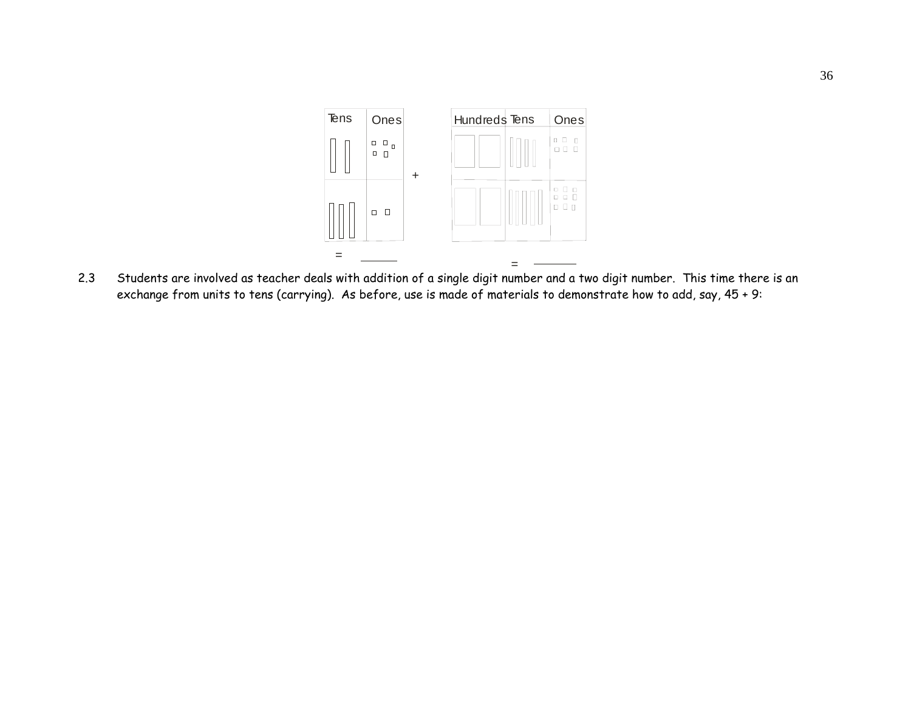

 Students are involved as teacher deals with addition of a single digit number and a two digit number. This time there is an 2.3exchange from units to tens (carrying). As before, use is made of materials to demonstrate how to add, say, 45 + 9: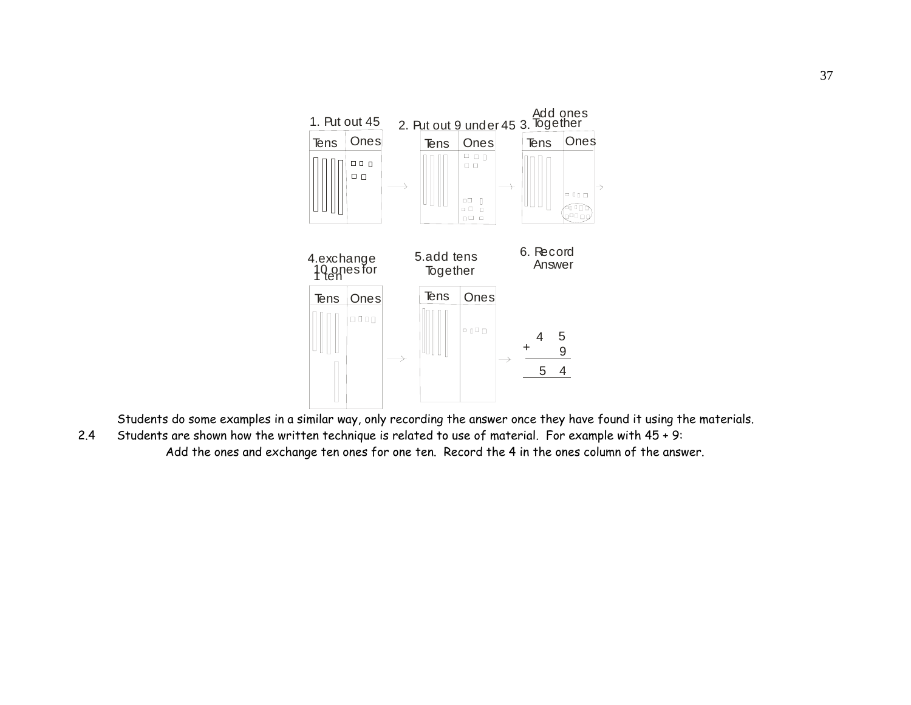

Students do some examples in a similar way, only recording the answer once they have found it using the materials.

2.4 Students are shown how the written technique is related to use of material. For example with 45 + 9: Add the ones and exchange ten ones for one ten. Record the 4 in the ones column of the answer.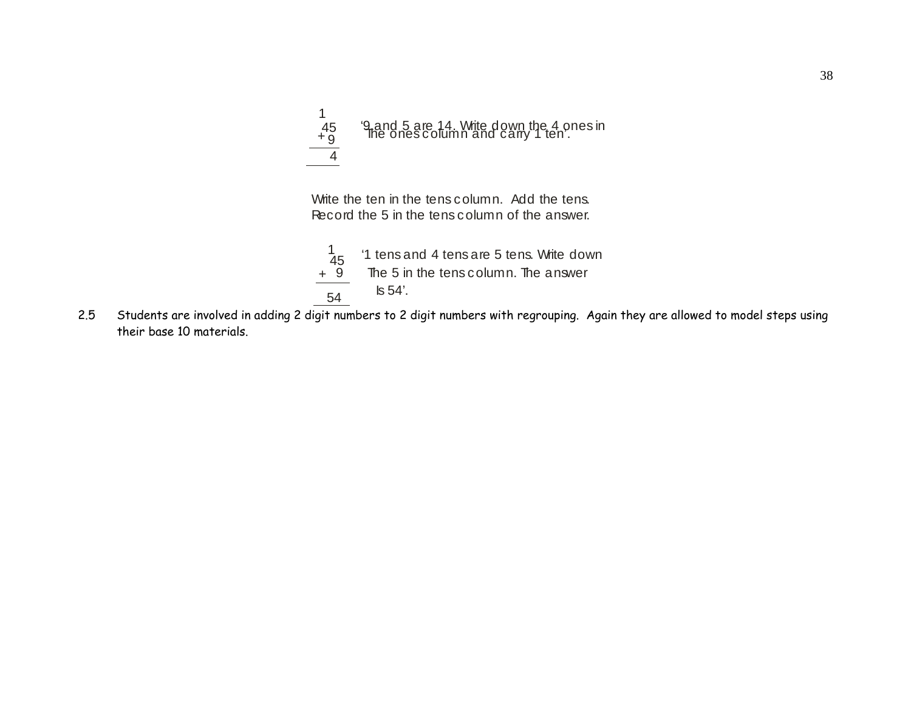

Write the ten in the tens column. Add the tens. Record the 5 in the tens column of the answer.



2.5 Students are involved in adding 2 digit numbers to 2 digit numbers with regrouping. Again they are allowed to model steps using their base 10 materials.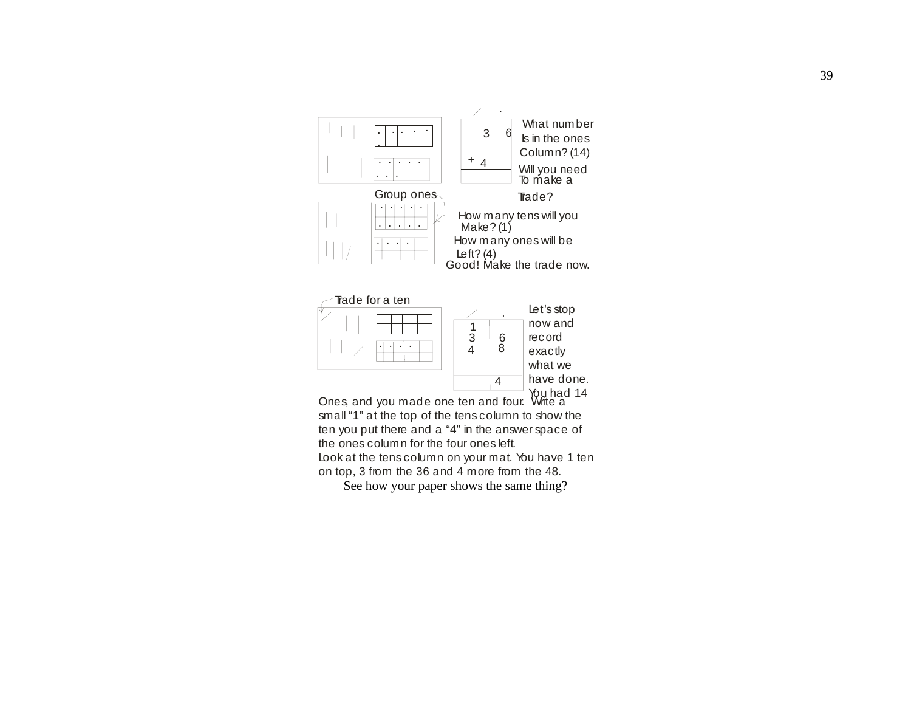

ten you put there and a "4" in the answer space of the ones column for the four ones left. Look at the tens column on your mat. You have 1 ten on top, 3 from the 36 and 4 more from the 48.

See how your paper shows the same thing?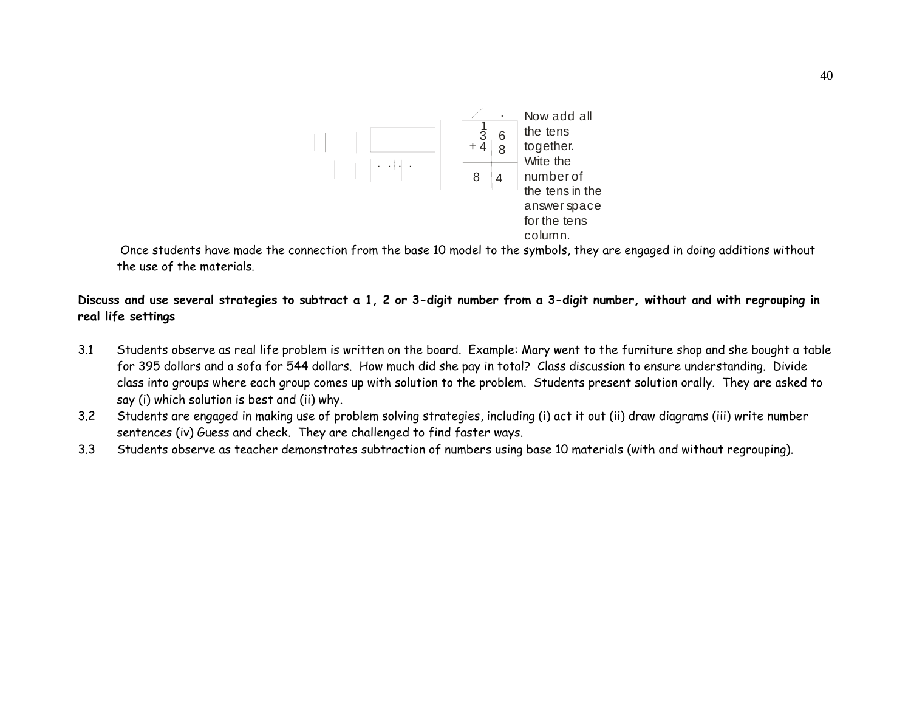

 Once students have made the connection from the base 10 model to the symbols, they are engaged in doing additions without the use of the materials.

## **Discuss and use several strategies to subtract a 1, 2 or 3-digit number from a 3-digit number, without and with regrouping in real life settings**

- 3.1 Students observe as real life problem is written on the board. Example: Mary went to the furniture shop and she bought a table for 395 dollars and a sofa for 544 dollars. How much did she pay in total? Class discussion to ensure understanding. Divide class into groups where each group comes up with solution to the problem. Students present solution orally. They are asked to say (i) which solution is best and (ii) why.
- 3.2 Students are engaged in making use of problem solving strategies, including (i) act it out (ii) draw diagrams (iii) write number sentences (iv) Guess and check. They are challenged to find faster ways.
- 3.3Students observe as teacher demonstrates subtraction of numbers using base 10 materials (with and without regrouping).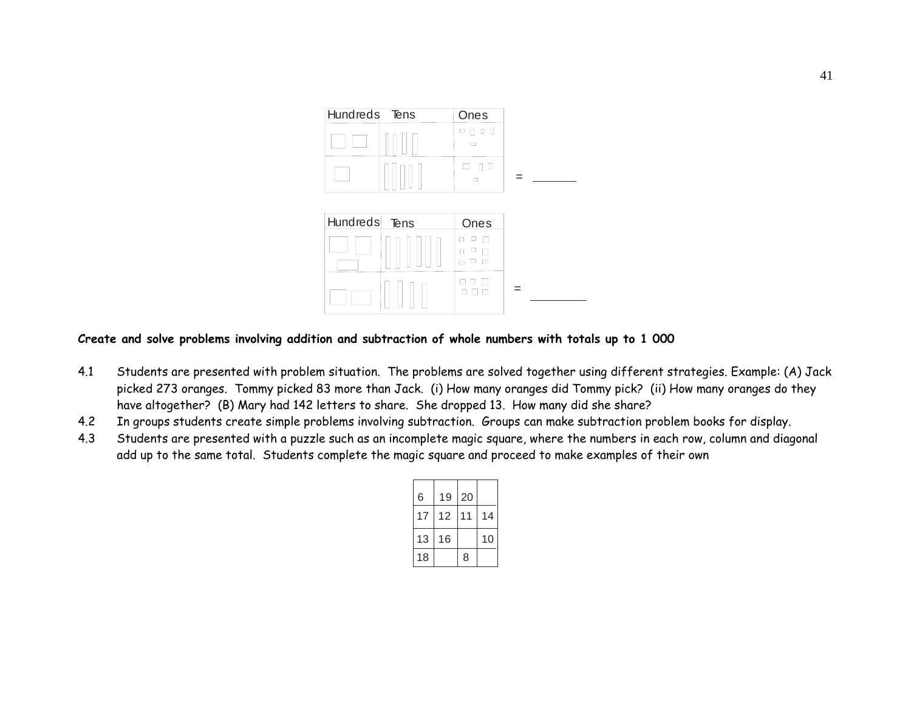



#### **Create and solve problems involving addition and subtraction of whole numbers with totals up to 1 000**

- 4.1 Students are presented with problem situation. The problems are solved together using different strategies. Example: (A) Jack picked 273 oranges. Tommy picked 83 more than Jack. (i) How many oranges did Tommy pick? (ii) How many oranges do they have altogether? (B) Mary had 142 letters to share. She dropped 13. How many did she share?
- 4.2In groups students create simple problems involving subtraction. Groups can make subtraction problem books for display.
- 4.3 Students are presented with a puzzle such as an incomplete magic square, where the numbers in each row, column and diagonal add up to the same total. Students complete the magic square and proceed to make examples of their own

| 6  | 19 | 20 |    |
|----|----|----|----|
| 17 | 12 | 11 | 14 |
| 13 | 16 |    | 10 |
| 18 |    | 8  |    |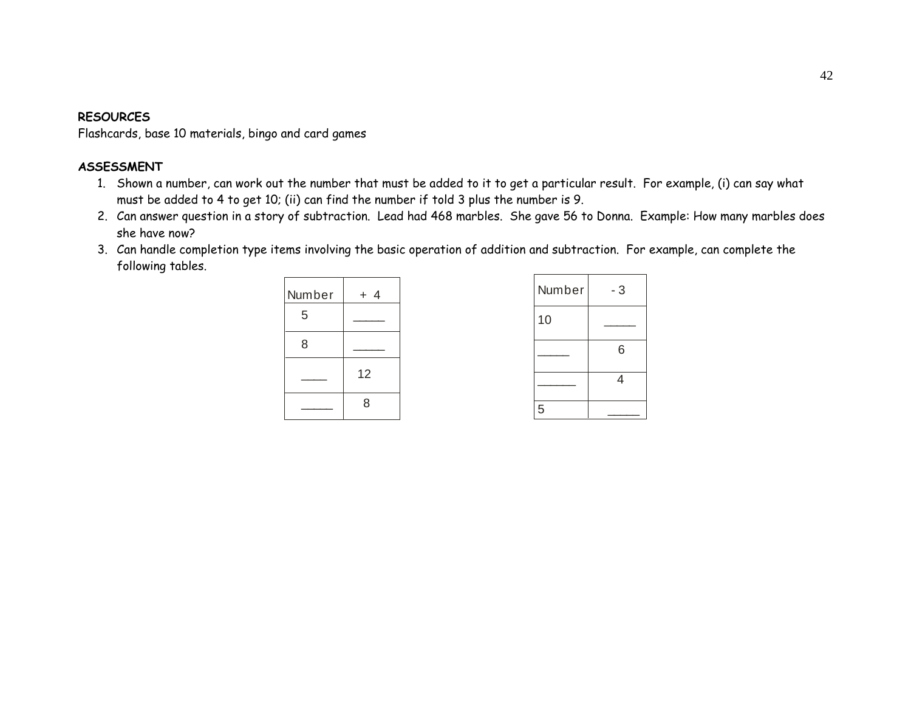#### **RESOURCES**

Flashcards, base 10 materials, bingo and card games

## **ASSESSMENT**

- 1. Shown a number, can work out the number that must be added to it to get a particular result. For example, (i) can say what must be added to 4 to get 10; (ii) can find the number if told 3 plus the number is 9.
- 2. Can answer question in a story of subtraction. Lead had 468 marbles. She gave 56 to Donna. Example: How many marbles does she have now?
- 3. Can handle completion type items involving the basic operation of addition and subtraction. For example, can complete the following tables.



| Number | - 3 |
|--------|-----|
| 10     |     |
|        | 6   |
|        | 4   |
| 5      |     |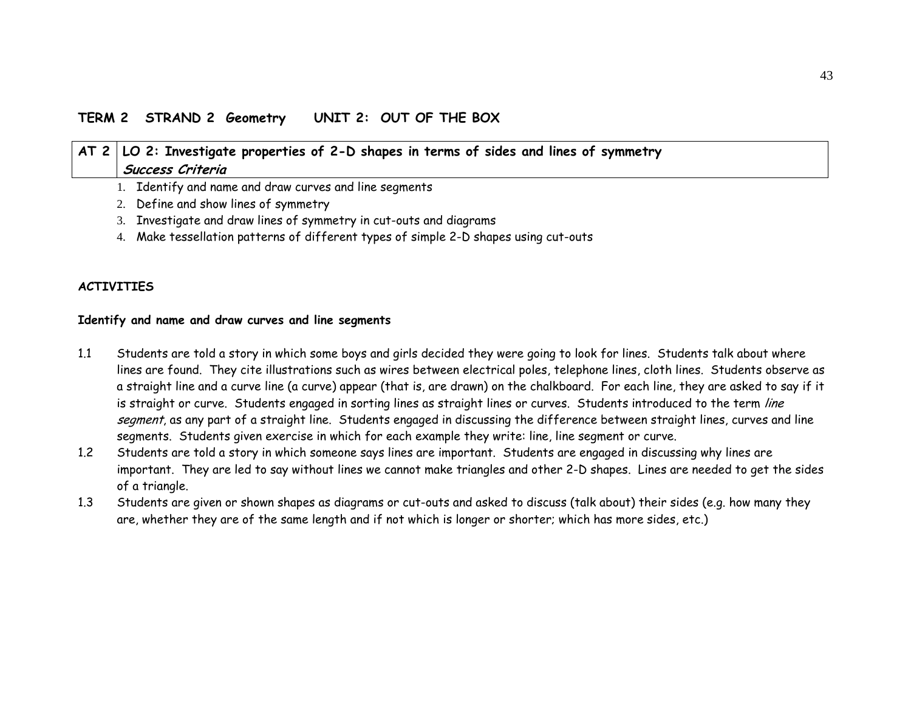# **AT 2 LO 2: Investigate properties of 2-D shapes in terms of sides and lines of symmetry Success Criteria**

- 1. Identify and name and draw curves and line segments
- 2. Define and show lines of symmetry
- 3. Investigate and draw lines of symmetry in cut-outs and diagrams
- 4. Make tessellation patterns of different types of simple 2-D shapes using cut-outs

#### **ACTIVITIES**

#### **Identify and name and draw curves and line segments**

- 1.1 Students are told a story in which some boys and girls decided they were going to look for lines. Students talk about where lines are found. They cite illustrations such as wires between electrical poles, telephone lines, cloth lines. Students observe as a straight line and a curve line (a curve) appear (that is, are drawn) on the chalkboard. For each line, they are asked to say if it is straight or curve. Students engaged in sorting lines as straight lines or curves. Students introduced to the term line segment, as any part of a straight line. Students engaged in discussing the difference between straight lines, curves and line segments. Students given exercise in which for each example they write: line, line segment or curve.
- 1.2 Students are told a story in which someone says lines are important. Students are engaged in discussing why lines are important. They are led to say without lines we cannot make triangles and other 2-D shapes. Lines are needed to get the sides of a triangle.
- 1.3 Students are given or shown shapes as diagrams or cut-outs and asked to discuss (talk about) their sides (e.g. how many they are, whether they are of the same length and if not which is longer or shorter; which has more sides, etc.)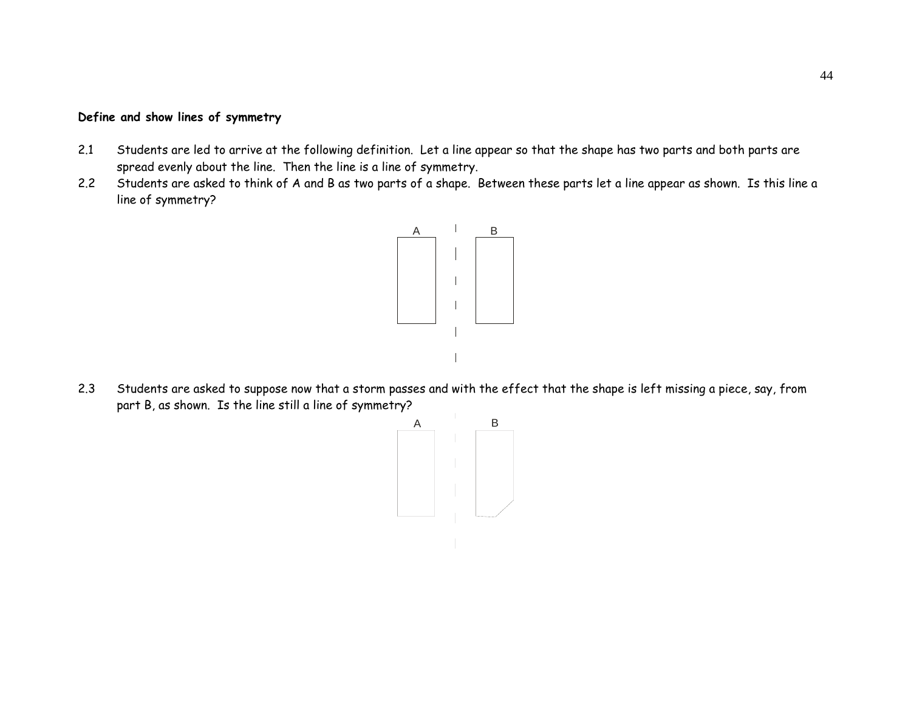#### **Define and show lines of symmetry**

- 2.1 Students are led to arrive at the following definition. Let a line appear so that the shape has two parts and both parts are spread evenly about the line. Then the line is a line of symmetry.
- 2.2 Students are asked to think of A and B as two parts of a shape. Between these parts let a line appear as shown. Is this line a line of symmetry?



2.3 Students are asked to suppose now that a storm passes and with the effect that the shape is left missing a piece, say, from part B, as shown. Is the line still a line of symmetry?

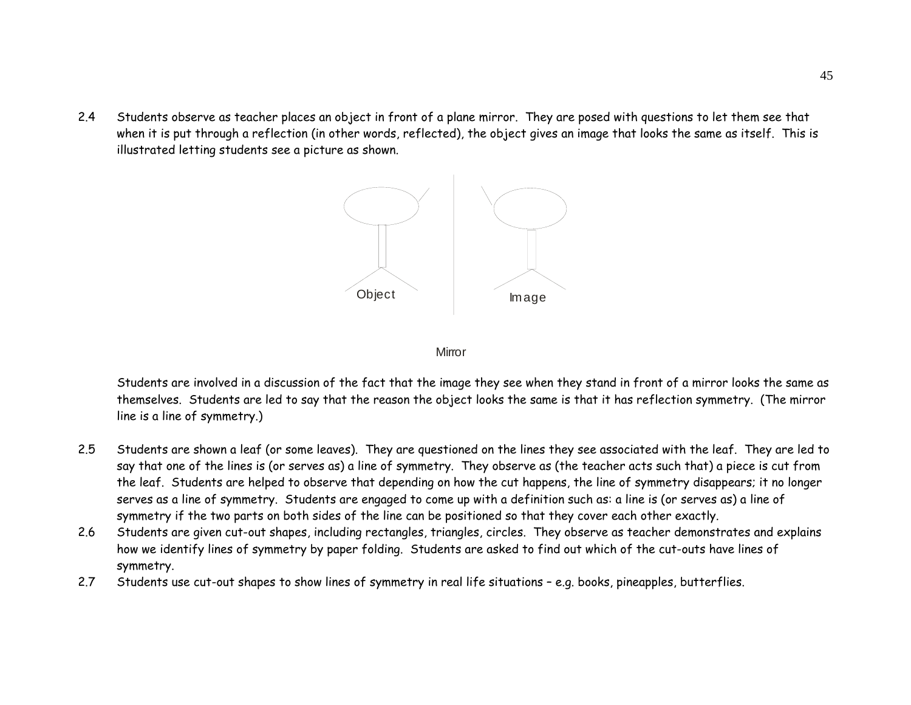2.4 Students observe as teacher places an object in front of a plane mirror. They are posed with questions to let them see that when it is put through a reflection (in other words, reflected), the object gives an image that looks the same as itself. This is illustrated letting students see a picture as shown.



**Mirror** 

Students are involved in a discussion of the fact that the image they see when they stand in front of a mirror looks the same as themselves. Students are led to say that the reason the object looks the same is that it has reflection symmetry. (The mirror line is a line of symmetry.)

- 2.5 Students are shown a leaf (or some leaves). They are questioned on the lines they see associated with the leaf. They are led to say that one of the lines is (or serves as) a line of symmetry. They observe as (the teacher acts such that) a piece is cut from the leaf. Students are helped to observe that depending on how the cut happens, the line of symmetry disappears; it no longer serves as a line of symmetry. Students are engaged to come up with a definition such as: a line is (or serves as) a line of symmetry if the two parts on both sides of the line can be positioned so that they cover each other exactly.
- 2.6 Students are given cut-out shapes, including rectangles, triangles, circles. They observe as teacher demonstrates and explains how we identify lines of symmetry by paper folding. Students are asked to find out which of the cut-outs have lines of symmetry.
- 2.7Students use cut-out shapes to show lines of symmetry in real life situations – e.g. books, pineapples, butterflies.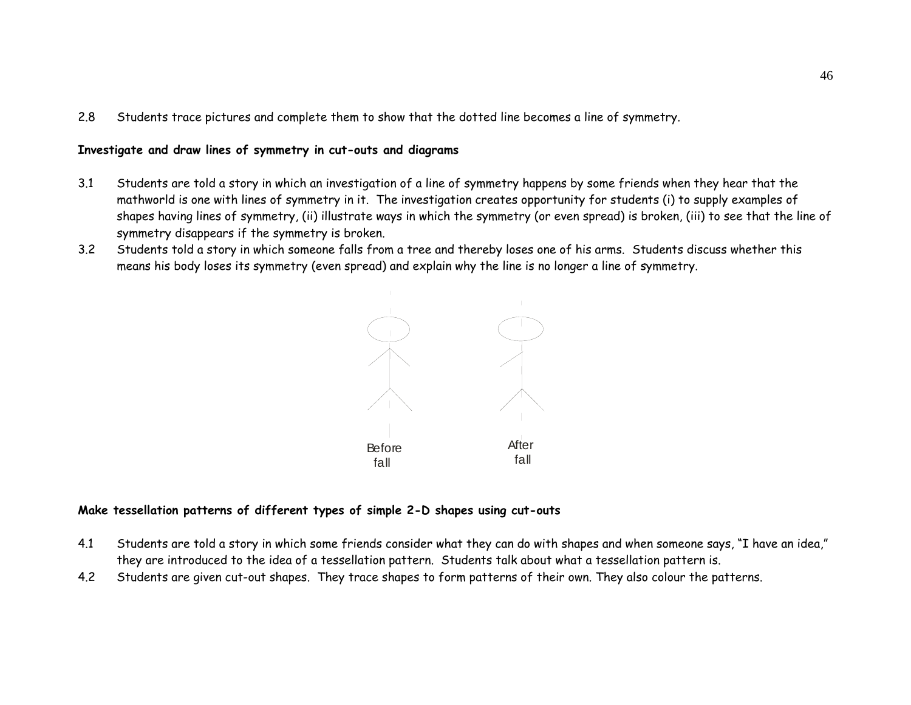2.8Students trace pictures and complete them to show that the dotted line becomes a line of symmetry.

#### **Investigate and draw lines of symmetry in cut-outs and diagrams**

- 3.1 Students are told a story in which an investigation of a line of symmetry happens by some friends when they hear that the mathworld is one with lines of symmetry in it. The investigation creates opportunity for students (i) to supply examples of shapes having lines of symmetry, (ii) illustrate ways in which the symmetry (or even spread) is broken, (iii) to see that the line of symmetry disappears if the symmetry is broken.
- 3.2 Students told a story in which someone falls from a tree and thereby loses one of his arms. Students discuss whether this means his body loses its symmetry (even spread) and explain why the line is no longer a line of symmetry.



#### **Make tessellation patterns of different types of simple 2-D shapes using cut-outs**

- 4.1 Students are told a story in which some friends consider what they can do with shapes and when someone says, "I have an idea," they are introduced to the idea of a tessellation pattern. Students talk about what a tessellation pattern is.
- 4.2Students are given cut-out shapes. They trace shapes to form patterns of their own. They also colour the patterns.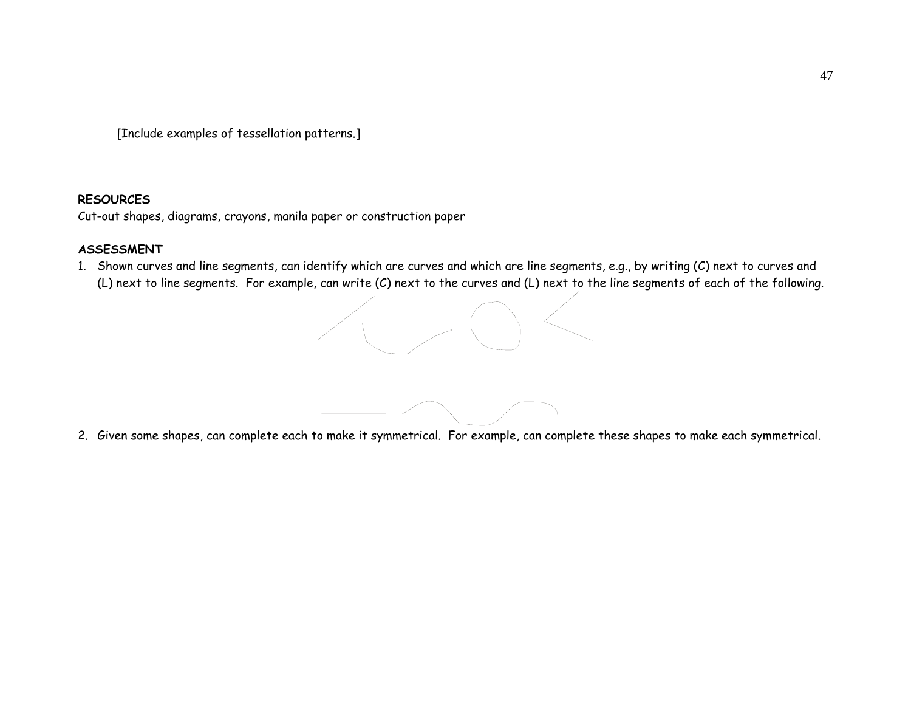[Include examples of tessellation patterns.]

#### **RESOURCES**

Cut-out shapes, diagrams, crayons, manila paper or construction paper

## **ASSESSMENT**

1. Shown curves and line segments, can identify which are curves and which are line segments, e.g., by writing (C) next to curves and (L) next to line segments. For example, can write (C) next to the curves and (L) next to the line segments of each of the following.



2. Given some shapes, can complete each to make it symmetrical. For example, can complete these shapes to make each symmetrical.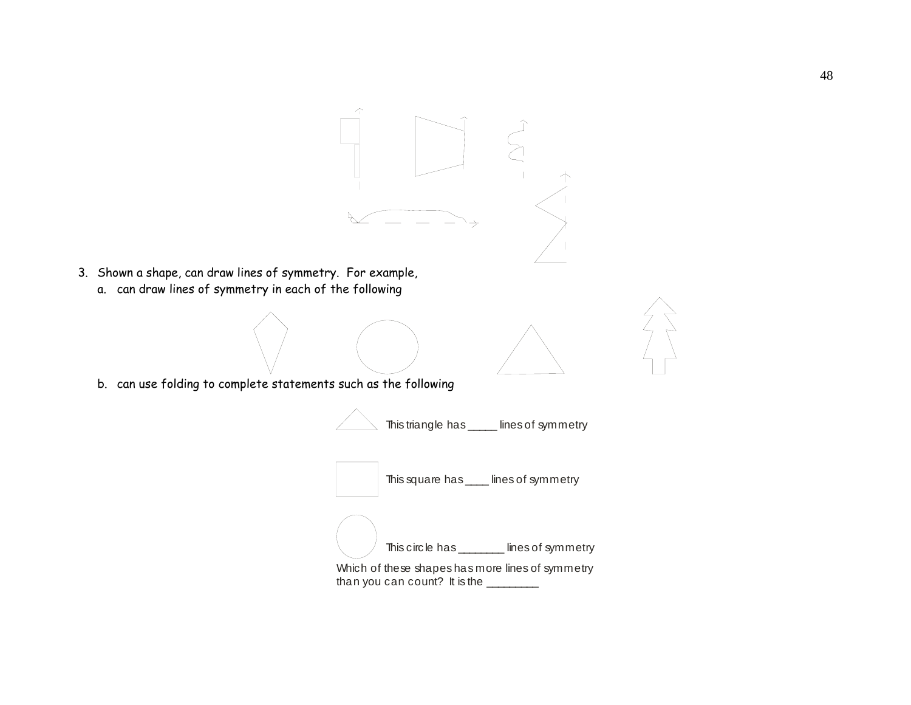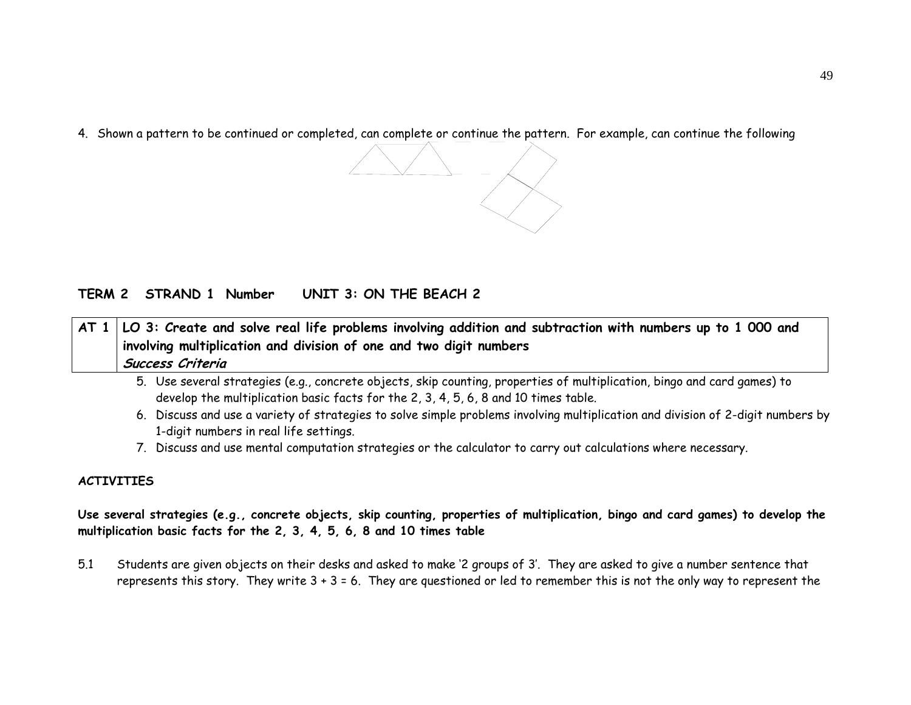4. Shown a pattern to be continued or completed, can complete or continue the pattern. For example, can continue the following



| $\mid$ AT 1 $\mid$ LO 3: Create and solve real life problems involving addition and subtraction with numbers up to 1 000 and |
|------------------------------------------------------------------------------------------------------------------------------|
| involving multiplication and division of one and two digit numbers                                                           |
| Success Criteria                                                                                                             |

- 5. Use several strategies (e.g., concrete objects, skip counting, properties of multiplication, bingo and card games) to develop the multiplication basic facts for the 2, 3, 4, 5, 6, 8 and 10 times table.
- 6. Discuss and use a variety of strategies to solve simple problems involving multiplication and division of 2-digit numbers by 1-digit numbers in real life settings.
- 7. Discuss and use mental computation strategies or the calculator to carry out calculations where necessary.

## **ACTIVITIES**

**Use several strategies (e.g., concrete objects, skip counting, properties of multiplication, bingo and card games) to develop the multiplication basic facts for the 2, 3, 4, 5, 6, 8 and 10 times table** 

5.1 Students are given objects on their desks and asked to make '2 groups of 3'. They are asked to give a number sentence that represents this story. They write 3 + 3 = 6. They are questioned or led to remember this is not the only way to represent the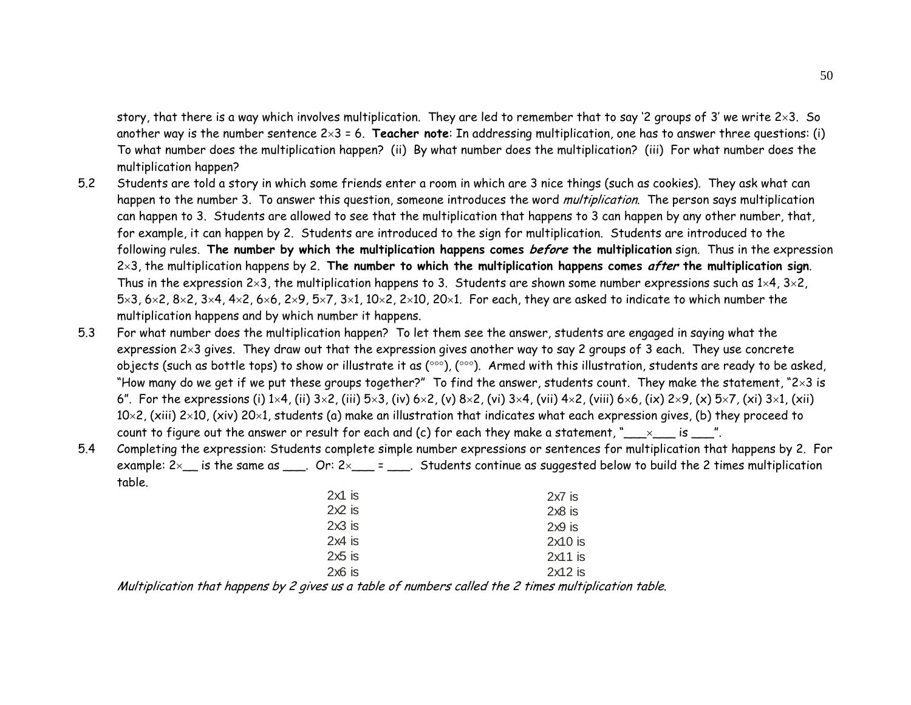story, that there is a way which involves multiplication. They are led to remember that to say '2 groups of 3' we write 2×3. So another way is the number sentence 2×3 = 6. **Teacher note**: In addressing multiplication, one has to answer three questions: (i) To what number does the multiplication happen? (ii) By what number does the multiplication? (iii) For what number does the multiplication happen?

- 5.2 Students are told a story in which some friends enter a room in which are 3 nice things (such as cookies). They ask what can happen to the number 3. To answer this question, someone introduces the word *multiplication*. The person says multiplication can happen to 3. Students are allowed to see that the multiplication that happens to 3 can happen by any other number, that, for example, it can happen by 2. Students are introduced to the sign for multiplication. Students are introduced to the following rules. **The number by which the multiplication happens comes before the multiplication** sign. Thus in the expression 2×3, the multiplication happens by 2. **The number to which the multiplication happens comes after the multiplication sign**. Thus in the expression  $2\times3$ , the multiplication happens to 3. Students are shown some number expressions such as  $1\times4$ ,  $3\times2$ ,  $5\times3$ , 6 $\times2$ , 8 $\times2$ , 3 $\times4$ , 4 $\times2$ , 6 $\times6$ , 2 $\times9$ , 5 $\times7$ , 3 $\times1$ , 10 $\times2$ , 2 $\times10$ , 20 $\times1$ . For each, they are asked to indicate to which number the multiplication happens and by which number it happens.
- 5.3 For what number does the multiplication happen? To let them see the answer, students are engaged in saying what the expression 2×3 gives. They draw out that the expression gives another way to say 2 groups of 3 each. They use concrete objects (such as bottle tops) to show or illustrate it as (°°°), (°°°). Armed with this illustration, students are ready to be asked, "How many do we get if we put these groups together?" To find the answer, students count. They make the statement, "2×3 is 6". For the expressions (i) 1×4, (ii) 3×2, (iii) 5×3, (iv) 6×2, (v) 8×2, (vi) 3×4, (vii) 4×2, (viii) 6×6, (ix) 2×9, (x) 5×7, (xi) 3×1, (xii)  $10\times2$ , (xiii) 2×10, (xiv) 20×1, students (a) make an illustration that indicates what each expression gives, (b) they proceed to count to figure out the answer or result for each and (c) for each they make a statement, " $\_\_\_ \times \_\_$  is  $\_\_$ ".
- 5.4 Completing the expression: Students complete simple number expressions or sentences for multiplication that happens by 2. For example:  $2 \times \_$  is the same as \odots 2. Or:  $2 \times \_$  = \odots Students continue as suggested below to build the 2 times multiplication table.

| $2x1$ is | $2x7$ is  |
|----------|-----------|
| $2x2$ is | $2x8$ is  |
| $2x3$ is | $2x9$ is  |
| $2x4$ is | $2x10$ is |
| $2x5$ is | $2x11$ is |
| $2x6$ is | $2x12$ is |
|          |           |

Multiplication that happens by 2 gives us a table of numbers called the 2 times multiplication table.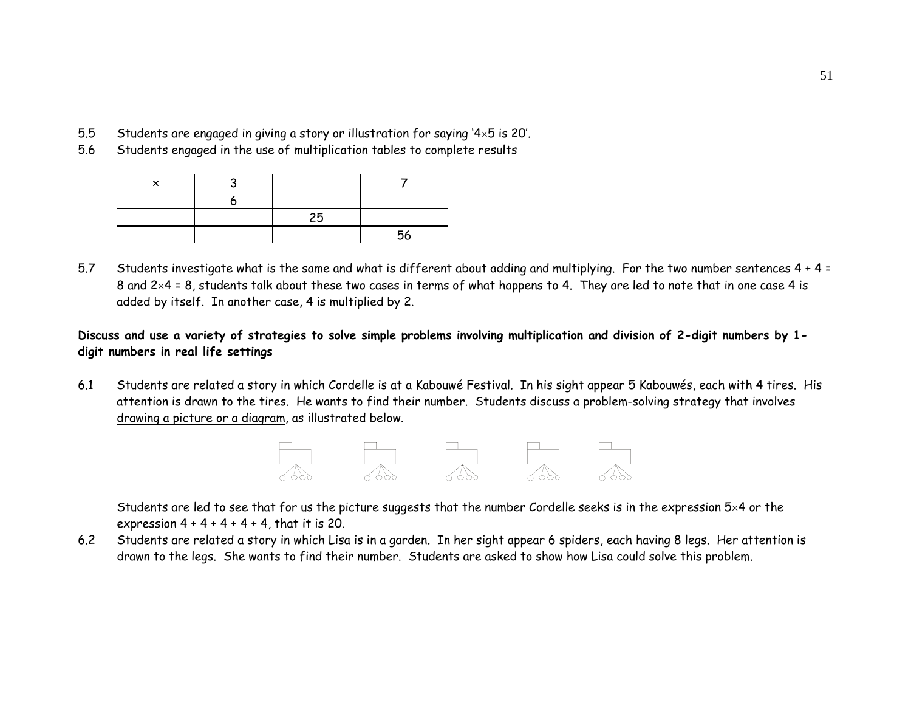- 5.5Students are engaged in giving a story or illustration for saying '4×5 is 20'.
- 5.6Students engaged in the use of multiplication tables to complete results

|  | 25 |    |
|--|----|----|
|  |    | 56 |

5.7 Students investigate what is the same and what is different about adding and multiplying. For the two number sentences 4 + 4 = 8 and  $2\times4$  = 8, students talk about these two cases in terms of what happens to 4. They are led to note that in one case 4 is added by itself. In another case, 4 is multiplied by 2.

**Discuss and use a variety of strategies to solve simple problems involving multiplication and division of 2-digit numbers by 1 digit numbers in real life settings** 

6.1 Students are related a story in which Cordelle is at a Kabouwé Festival. In his sight appear 5 Kabouwés, each with 4 tires. His attention is drawn to the tires. He wants to find their number. Students discuss a problem-solving strategy that involves drawing a picture or a diagram, as illustrated below.



Students are led to see that for us the picture suggests that the number Cordelle seeks is in the expression 5×4 or the expression  $4 + 4 + 4 + 4 + 4$ , that it is 20.

6.2 Students are related a story in which Lisa is in a garden. In her sight appear 6 spiders, each having 8 legs. Her attention is drawn to the legs. She wants to find their number. Students are asked to show how Lisa could solve this problem.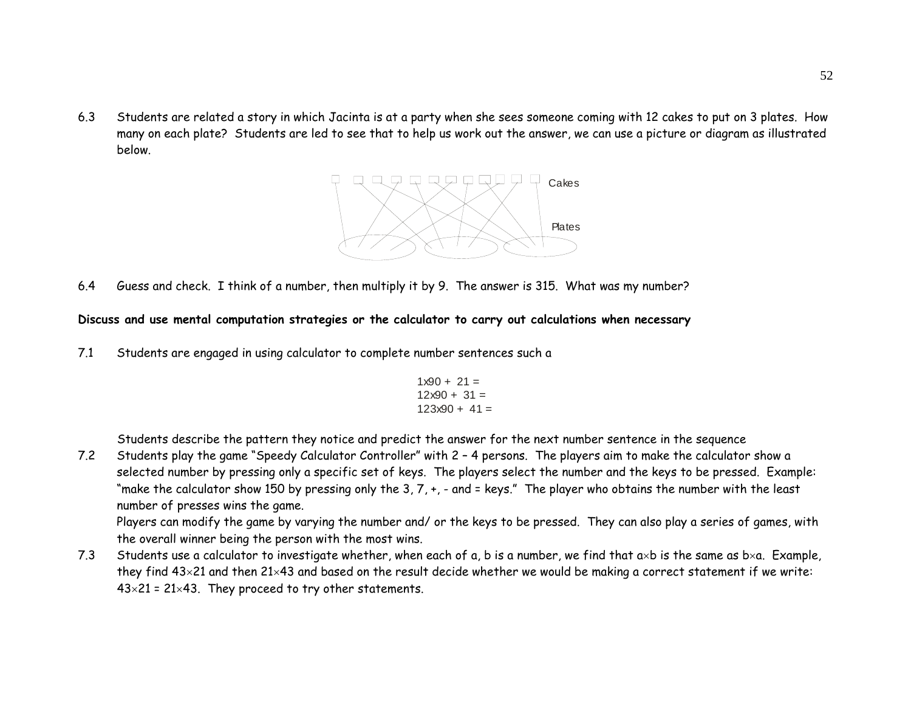6.3 Students are related a story in which Jacinta is at a party when she sees someone coming with 12 cakes to put on 3 plates. How many on each plate? Students are led to see that to help us work out the answer, we can use a picture or diagram as illustrated below.



6.4Guess and check. I think of a number, then multiply it by 9. The answer is 315. What was my number?

#### **Discuss and use mental computation strategies or the calculator to carry out calculations when necessary**

7.1 Students are engaged in using calculator to complete number sentences such a

$$
1 \times 90 + 21 =
$$
  

$$
12 \times 90 + 31 =
$$
  

$$
123 \times 90 + 41 =
$$

Students describe the pattern they notice and predict the answer for the next number sentence in the sequence

7.2 Students play the game "Speedy Calculator Controller" with 2 – 4 persons. The players aim to make the calculator show a selected number by pressing only a specific set of keys. The players select the number and the keys to be pressed. Example: "make the calculator show 150 by pressing only the 3, 7, +, - and = keys." The player who obtains the number with the least number of presses wins the game.

Players can modify the game by varying the number and/ or the keys to be pressed. They can also play a series of games, with the overall winner being the person with the most wins.

7.3Students use a calculator to investigate whether, when each of a, b is a number, we find that  $a \times b$  is the same as  $b \times a$ . Example, they find 43×21 and then 21×43 and based on the result decide whether we would be making a correct statement if we write:  $43\times21 = 21\times43$ . They proceed to try other statements.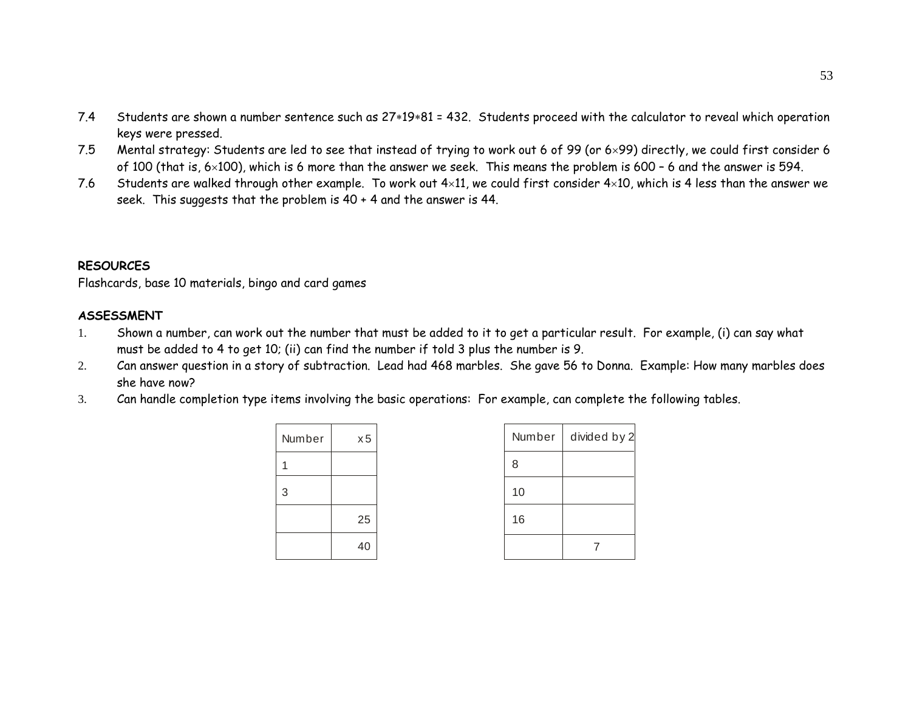- 7.4 Students are shown a number sentence such as 27∗19∗81 = 432. Students proceed with the calculator to reveal which operation keys were pressed.
- 7.5 Mental strategy: Students are led to see that instead of trying to work out 6 of 99 (or 6×99) directly, we could first consider 6 of 100 (that is, 6×100), which is 6 more than the answer we seek. This means the problem is 600 – 6 and the answer is 594.
- 7.6Students are walked through other example. To work out  $4\times11$ , we could first consider  $4\times10$ , which is 4 less than the answer we seek. This suggests that the problem is 40 + 4 and the answer is 44.

#### **RESOURCES**

Flashcards, base 10 materials, bingo and card games

#### **ASSESSMENT**

- 1. Shown a number, can work out the number that must be added to it to get a particular result. For example, (i) can say what must be added to 4 to get 10; (ii) can find the number if told 3 plus the number is 9.
- 2. Can answer question in a story of subtraction. Lead had 468 marbles. She gave 56 to Donna. Example: How many marbles does she have now?
- 3.Can handle completion type items involving the basic operations: For example, can complete the following tables.

| Number | x5 |
|--------|----|
| 1      |    |
| 3      |    |
|        | 25 |
|        | 40 |

| Number | divided by 2 |
|--------|--------------|
| 8      |              |
| 10     |              |
| 16     |              |
|        |              |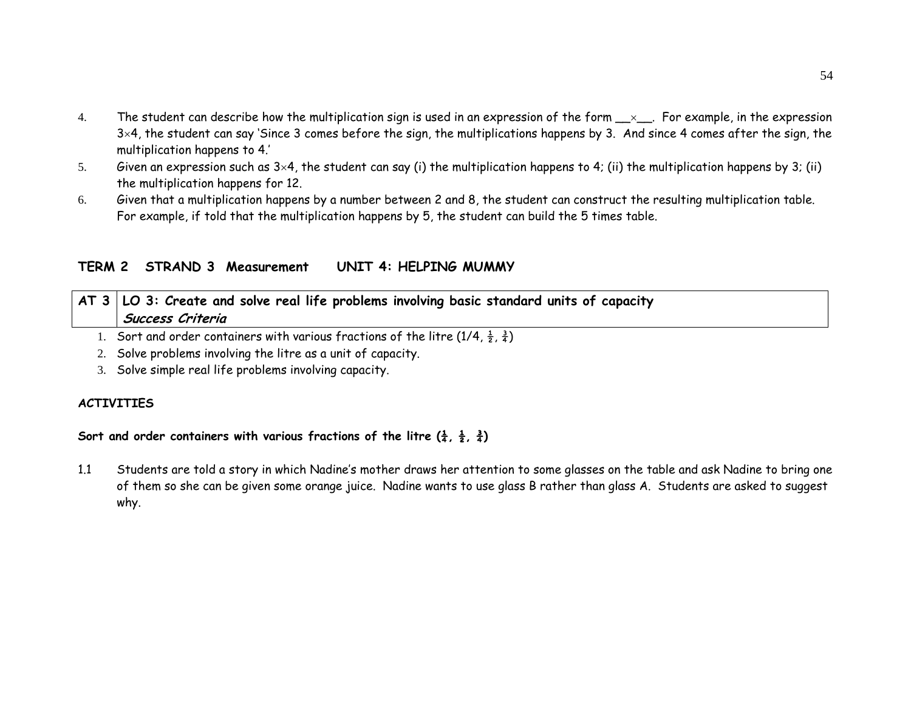- 4.The student can describe how the multiplication sign is used in an expression of the form  $x$ , For example, in the expression  $3\times4$ , the student can say 'Since 3 comes before the sign, the multiplications happens by 3. And since 4 comes after the sign, the multiplication happens to 4.'
- 5.Given an expression such as  $3\times4$ , the student can say (i) the multiplication happens to 4; (ii) the multiplication happens by 3; (ii) the multiplication happens for 12.
- 6. Given that a multiplication happens by a number between 2 and 8, the student can construct the resulting multiplication table. For example, if told that the multiplication happens by 5, the student can build the 5 times table.

## **TERM 2 STRAND 3 Measurement UNIT 4: HELPING MUMMY**

| $AT$ 3   LO 3: Create and solve real life problems involving basic standard units of capacity |
|-----------------------------------------------------------------------------------------------|
| Success Criteria                                                                              |

- 1. Sort and order containers with various fractions of the litre (1/4,  $\frac{1}{2}$ ,  $\frac{3}{4}$ )
- 2. Solve problems involving the litre as a unit of capacity.
- 3. Solve simple real life problems involving capacity.

## **ACTIVITIES**

#### Sort and order containers with various fractions of the litre  $(\frac{1}{4}, \frac{1}{2}, \frac{3}{4})$

1.1 Students are told a story in which Nadine's mother draws her attention to some glasses on the table and ask Nadine to bring one of them so she can be given some orange juice. Nadine wants to use glass B rather than glass A. Students are asked to suggest why.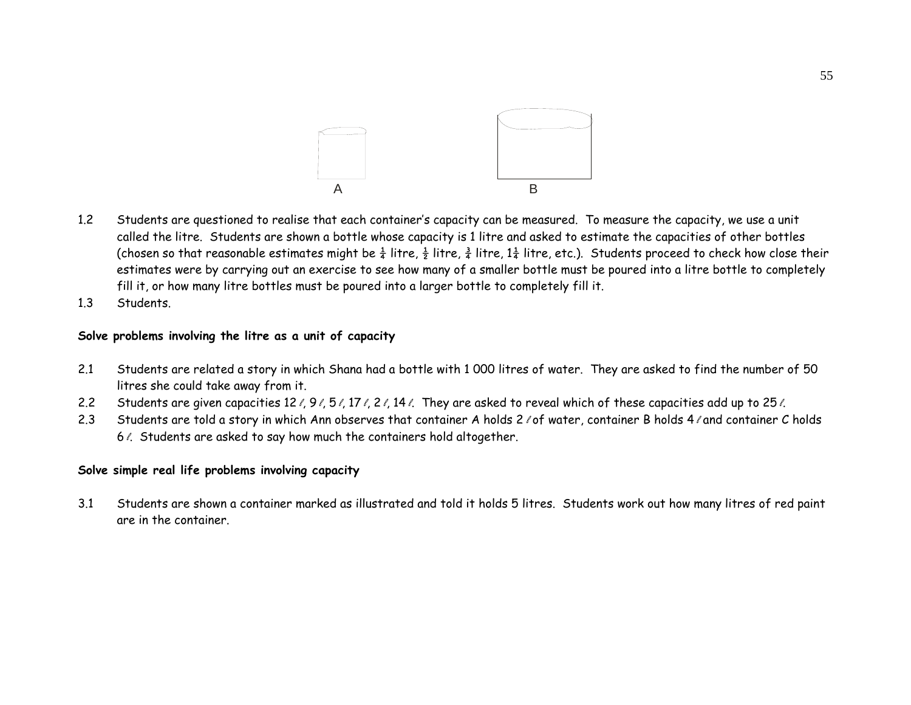

- 1.2 Students are questioned to realise that each container's capacity can be measured. To measure the capacity, we use a unit called the litre. Students are shown a bottle whose capacity is 1 litre and asked to estimate the capacities of other bottles (chosen so that reasonable estimates might be  $\frac{1}{4}$  litre,  $\frac{1}{2}$  litre,  $\frac{1}{4}$  litre, etc.). Students proceed to check how close their estimates were by carrying out an exercise to see how many of a smaller bottle must be poured into a litre bottle to completely fill it, or how many litre bottles must be poured into a larger bottle to completely fill it.
- 1.3Students.

#### **Solve problems involving the litre as a unit of capacity**

- 2.1 Students are related a story in which Shana had a bottle with 1 000 litres of water. They are asked to find the number of 50 litres she could take away from it.
- 2.2Students are given capacities 12  $\ell$ , 9  $\ell$ , 5  $\ell$ , 17  $\ell$ , 2  $\ell$ , 14  $\ell$ . They are asked to reveal which of these capacities add up to 25  $\ell$ .
- 2.3Students are told a story in which Ann observes that container A holds 2 / of water, container B holds 4 / and container C holds 6%. Students are asked to say how much the containers hold altogether.

#### **Solve simple real life problems involving capacity**

3.1 Students are shown a container marked as illustrated and told it holds 5 litres. Students work out how many litres of red paint are in the container.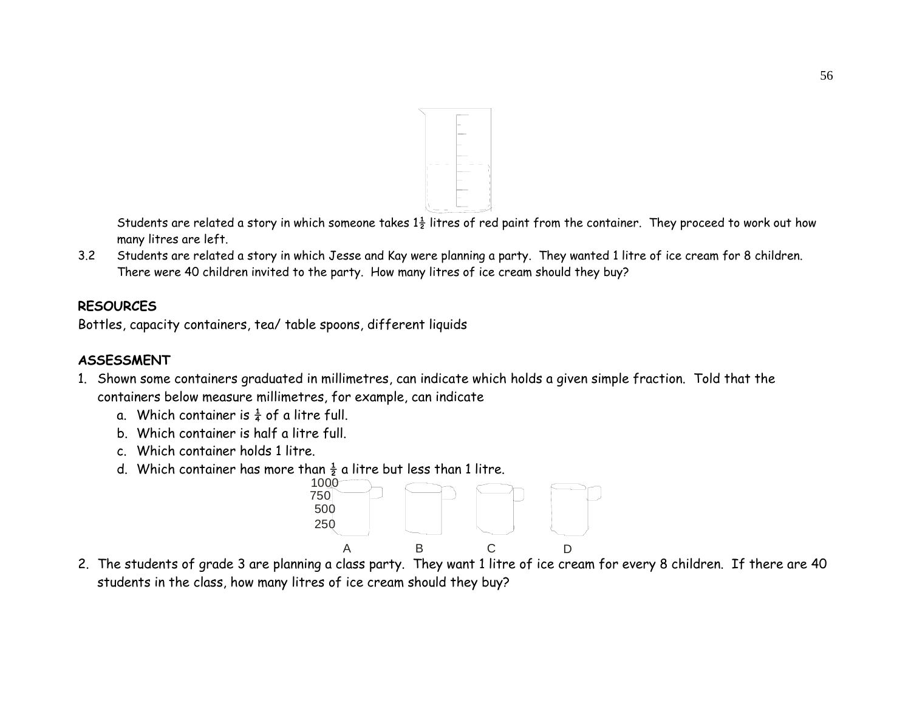

Students are related a story in which someone takes  $1\frac{1}{2}$  litres of red paint from the container. They proceed to work out how many litres are left.

3.2 Students are related a story in which Jesse and Kay were planning a party. They wanted 1 litre of ice cream for 8 children. There were 40 children invited to the party. How many litres of ice cream should they buy?

# **RESOURCES**

Bottles, capacity containers, tea/ table spoons, different liquids

# **ASSESSMENT**

- 1. Shown some containers graduated in millimetres, can indicate which holds a given simple fraction. Told that the containers below measure millimetres, for example, can indicate
	- a. Which container is  $\frac{1}{4}$  of a litre full.
	- b. Which container is half a litre full.
	- c. Which container holds 1 litre.
	- d. Which container has more than  $\frac{1}{2}$  a litre but less than 1 litre.



2. The students of grade 3 are planning a class party. They want 1 litre of ice cream for every 8 children. If there are 40 students in the class, how many litres of ice cream should they buy?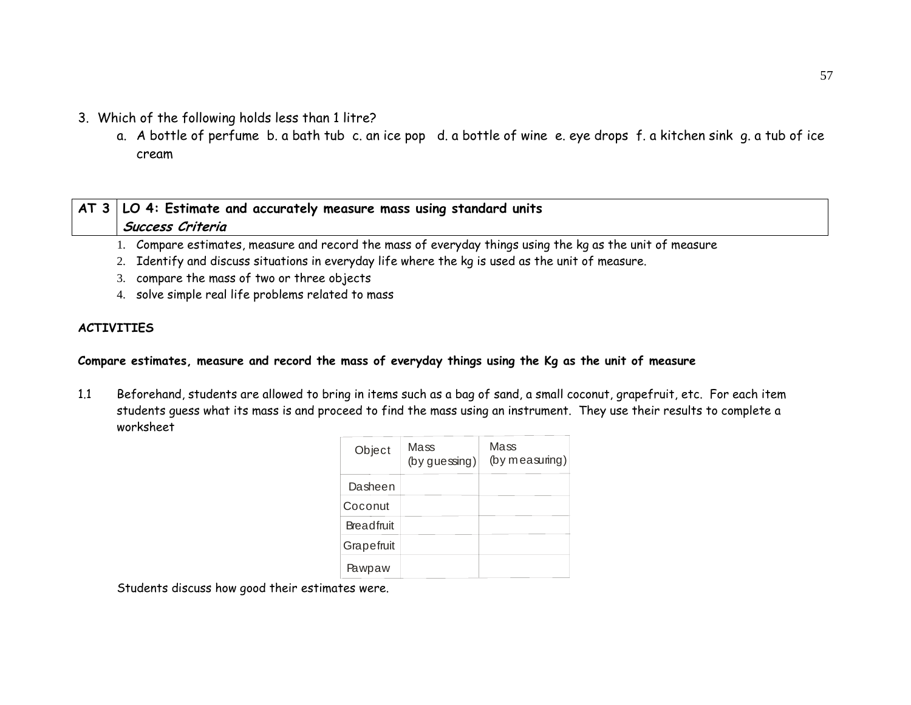- 3. Which of the following holds less than 1 litre?
	- a. A bottle of perfume b. a bath tub c. an ice pop d. a bottle of wine e. eye drops f. a kitchen sink g. a tub of ice cream

# **AT 3 LO 4: Estimate and accurately measure mass using standard units Success Criteria**

- 1. Compare estimates, measure and record the mass of everyday things using the kg as the unit of measure
- 2. Identify and discuss situations in everyday life where the kg is used as the unit of measure.
- 3. compare the mass of two or three objects
- 4. solve simple real life problems related to mass

## **ACTIVITIES**

## **Compare estimates, measure and record the mass of everyday things using the Kg as the unit of measure**

1.1 Beforehand, students are allowed to bring in items such as a bag of sand, a small coconut, grapefruit, etc. For each item students guess what its mass is and proceed to find the mass using an instrument. They use their results to complete a worksheet

| Object     | Mass<br>$(by$ guessing) | Mass<br>(by measuring) |
|------------|-------------------------|------------------------|
| Dasheen    |                         |                        |
| Coconut    |                         |                        |
| Breadfruit |                         |                        |
| Grapefruit |                         |                        |
| Pawpaw     |                         |                        |

Students discuss how good their estimates were.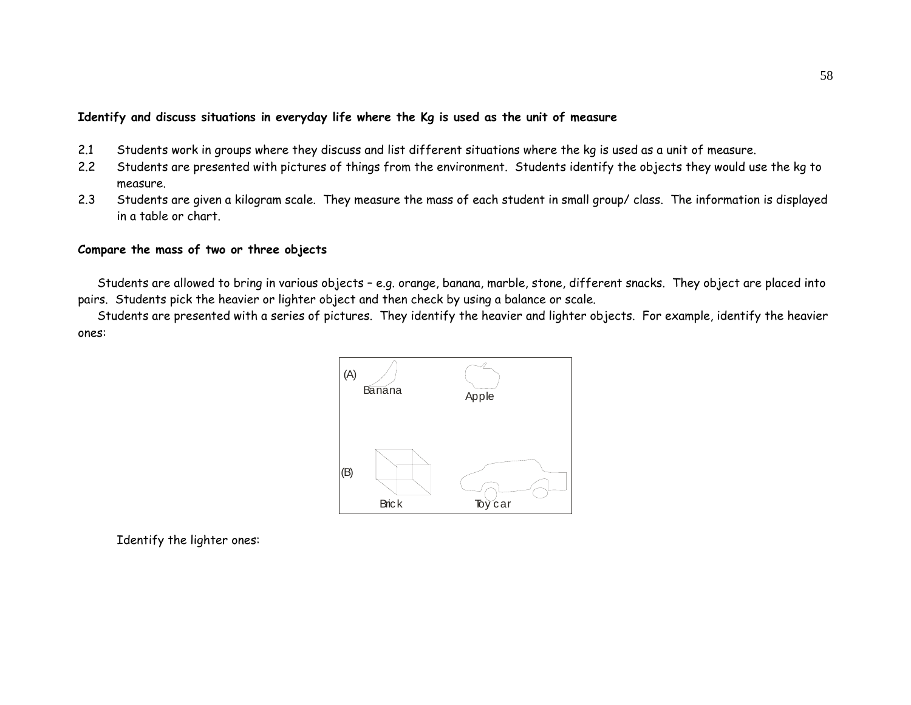#### **Identify and discuss situations in everyday life where the Kg is used as the unit of measure**

- 2.1 Students work in groups where they discuss and list different situations where the kg is used as a unit of measure.
- 2.2 Students are presented with pictures of things from the environment. Students identify the objects they would use the kg to measure.
- 2.3 Students are given a kilogram scale. They measure the mass of each student in small group/ class. The information is displayed in a table or chart.

#### **Compare the mass of two or three objects**

Students are allowed to bring in various objects – e.g. orange, banana, marble, stone, different snacks. They object are placed into pairs. Students pick the heavier or lighter object and then check by using a balance or scale.

Students are presented with a series of pictures. They identify the heavier and lighter objects. For example, identify the heavier ones:



Identify the lighter ones: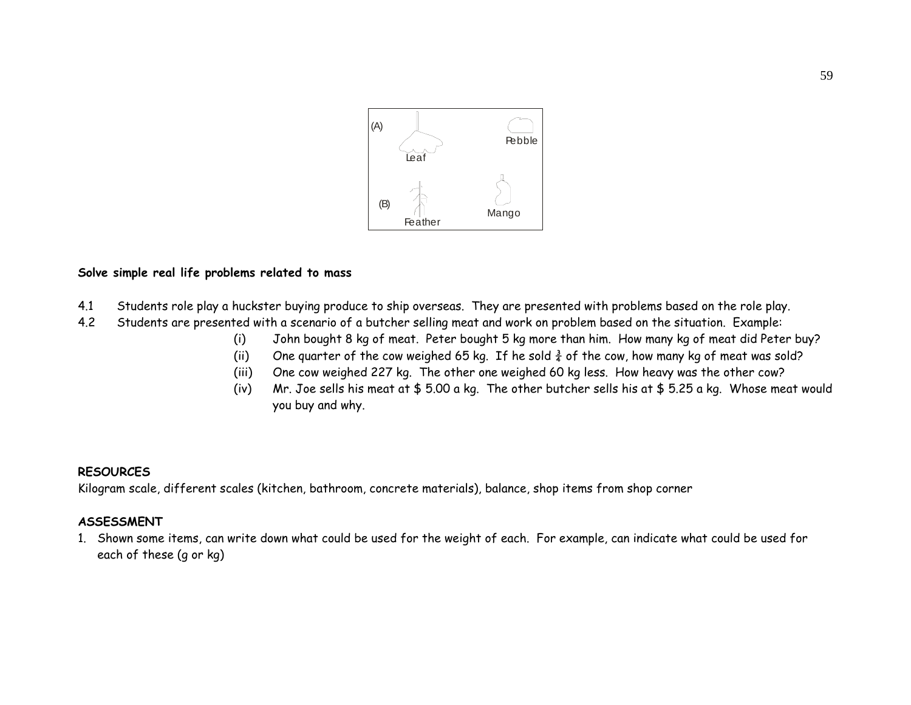

#### **Solve simple real life problems related to mass**

- 4.1 Students role play a huckster buying produce to ship overseas. They are presented with problems based on the role play.
- 4.2 Students are presented with a scenario of a butcher selling meat and work on problem based on the situation. Example:
	- (i) John bought 8 kg of meat. Peter bought 5 kg more than him. How many kg of meat did Peter buy?
	- (ii) One quarter of the cow weighed 65 kg. If he sold  $\frac{3}{4}$  of the cow, how many kg of meat was sold?
	- (iii) One cow weighed 227 kg. The other one weighed 60 kg less. How heavy was the other cow?
	- (iv) Mr. Joe sells his meat at \$ 5.00 a kg. The other butcher sells his at \$ 5.25 a kg. Whose meat would you buy and why.

#### **RESOURCES**

Kilogram scale, different scales (kitchen, bathroom, concrete materials), balance, shop items from shop corner

#### **ASSESSMENT**

1. Shown some items, can write down what could be used for the weight of each. For example, can indicate what could be used for each of these (g or kg)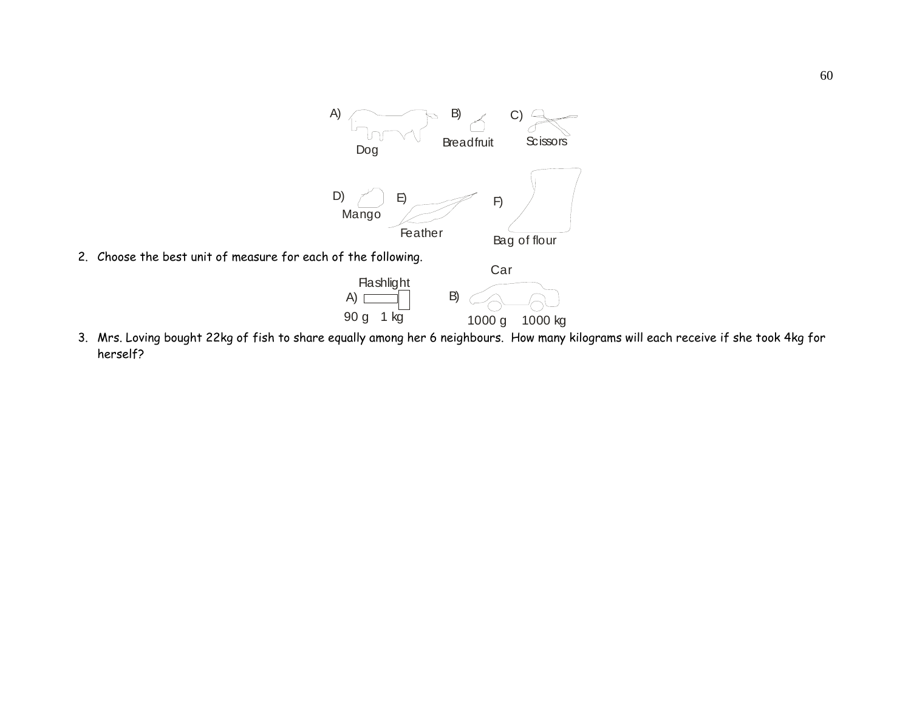

2. Choose the best unit of measure for each of the following.



3. Mrs. Loving bought 22kg of fish to share equally among her 6 neighbours. How many kilograms will each receive if she took 4kg for herself?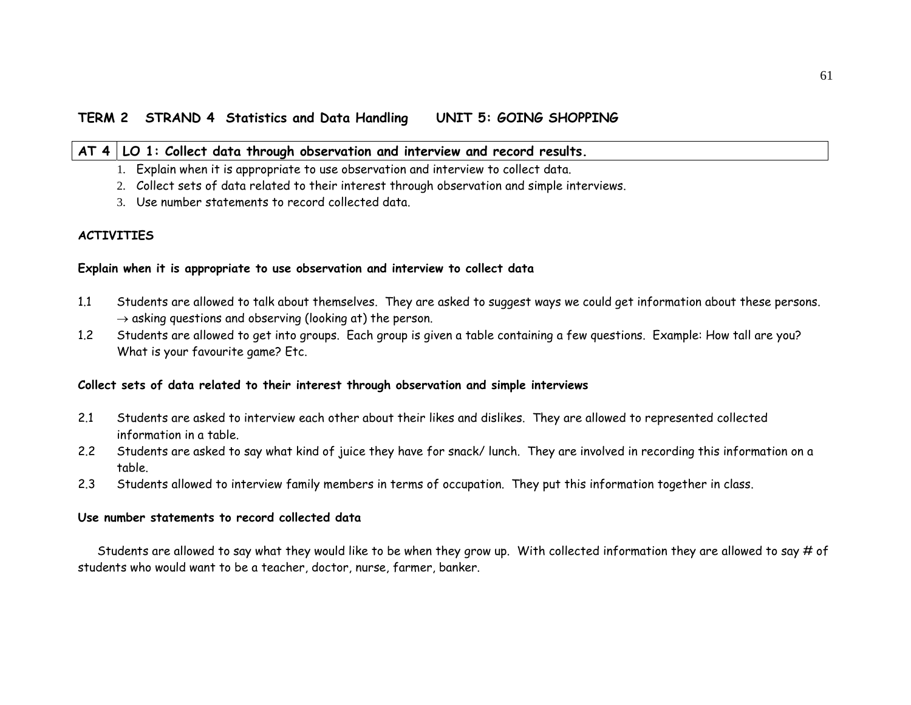#### **AT 4 LO 1: Collect data through observation and interview and record results.**

- 1. Explain when it is appropriate to use observation and interview to collect data.
- 2. Collect sets of data related to their interest through observation and simple interviews.
- 3. Use number statements to record collected data.

#### **ACTIVITIES**

#### **Explain when it is appropriate to use observation and interview to collect data**

- 1.1 Students are allowed to talk about themselves. They are asked to suggest ways we could get information about these persons.  $\rightarrow$  asking questions and observing (looking at) the person.
- 1.2 Students are allowed to get into groups. Each group is given a table containing a few questions. Example: How tall are you? What is your favourite game? Etc.

#### **Collect sets of data related to their interest through observation and simple interviews**

- 2.1 Students are asked to interview each other about their likes and dislikes. They are allowed to represented collected information in a table.
- 2.2 Students are asked to say what kind of juice they have for snack/ lunch. They are involved in recording this information on a table.
- 2.3Students allowed to interview family members in terms of occupation. They put this information together in class.

#### **Use number statements to record collected data**

Students are allowed to say what they would like to be when they grow up. With collected information they are allowed to say # of students who would want to be a teacher, doctor, nurse, farmer, banker.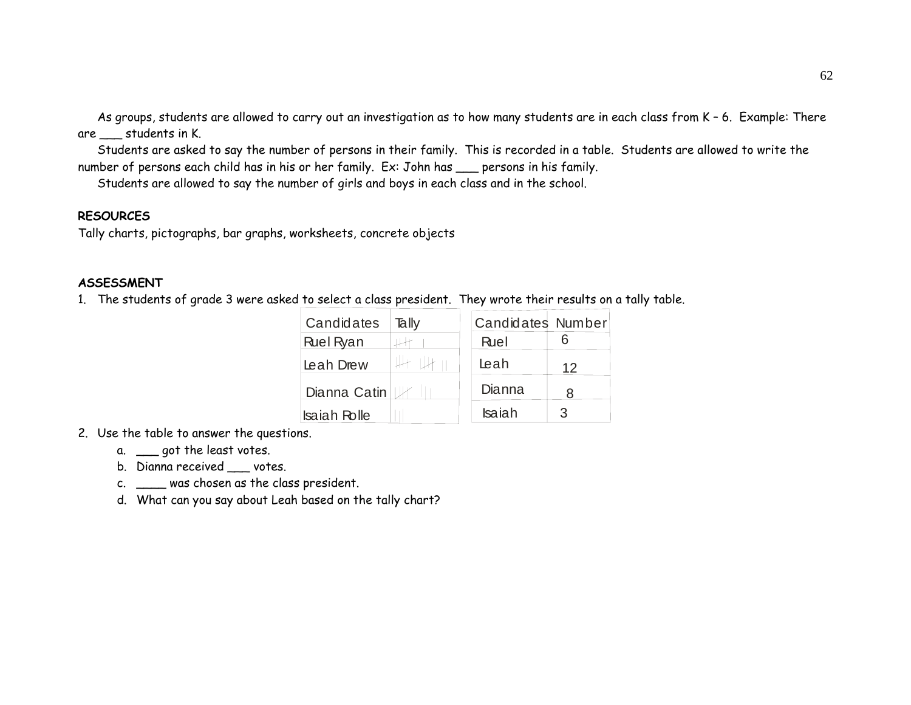As groups, students are allowed to carry out an investigation as to how many students are in each class from K – 6. Example: There are students in K.

Students are asked to say the number of persons in their family. This is recorded in a table. Students are allowed to write the number of persons each child has in his or her family. Ex: John has \_\_\_ persons in his family.

Students are allowed to say the number of girls and boys in each class and in the school.

### **RESOURCES**

Tally charts, pictographs, bar graphs, worksheets, concrete objects

## **ASSESSMENT**

1. The students of grade 3 were asked to select a class president. They wrote their results on a tally table.

| Candidates          | Tally | <b>Candidates Number</b> |    |
|---------------------|-------|--------------------------|----|
| <b>Ruel Ryan</b>    |       | Ruel                     |    |
| Leah Drew           |       | Leah                     | 12 |
| Dianna Catin        |       | Dianna                   | 8  |
| <b>Isaiah Rolle</b> |       | <b>Isaiah</b>            | 3  |

- 2. Use the table to answer the questions.
	- a. \_\_\_ got the least votes.
	- b. Dianna received \_\_\_ votes.
	- c. \_\_\_\_ was chosen as the class president.
	- d. What can you say about Leah based on the tally chart?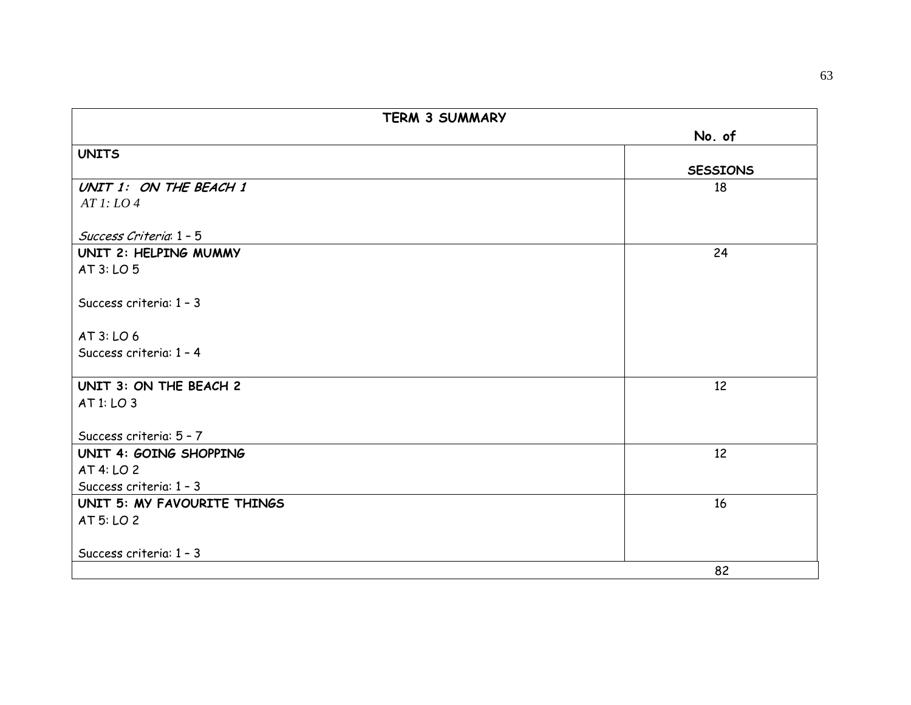| <b>TERM 3 SUMMARY</b>       |                 |
|-----------------------------|-----------------|
|                             | No. of          |
| <b>UNITS</b>                |                 |
|                             | <b>SESSIONS</b> |
| UNIT 1: ON THE BEACH 1      | 18              |
| ATl: LO4                    |                 |
|                             |                 |
| Success Criteria 1 - 5      |                 |
| UNIT 2: HELPING MUMMY       | 24              |
| AT 3: LO 5                  |                 |
| Success criteria: 1 - 3     |                 |
| AT 3: LO 6                  |                 |
| Success criteria: 1 - 4     |                 |
| UNIT 3: ON THE BEACH 2      | 12              |
| AT 1: LO 3                  |                 |
| Success criteria: 5 - 7     |                 |
| UNIT 4: GOING SHOPPING      | 12 <sup>2</sup> |
| AT 4: LO 2                  |                 |
| Success criteria: 1 - 3     |                 |
| UNIT 5: MY FAVOURITE THINGS | 16              |
| AT 5: LO 2                  |                 |
| Success criteria: 1 - 3     |                 |
|                             | 82              |
|                             |                 |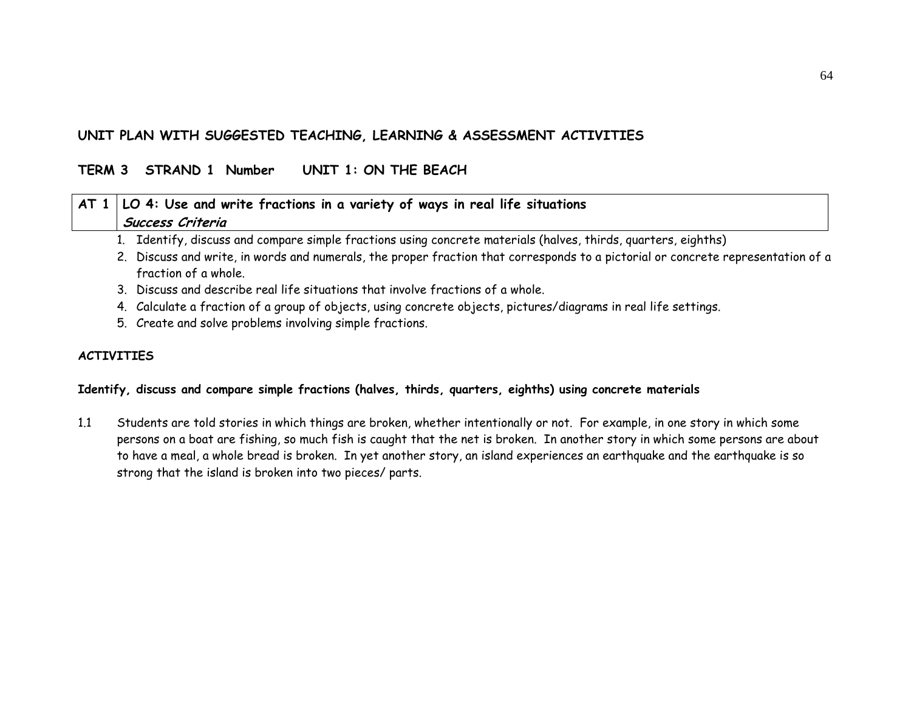## **UNIT PLAN WITH SUGGESTED TEACHING, LEARNING & ASSESSMENT ACTIVITIES**

## **TERM 3 STRAND 1 Number UNIT 1: ON THE BEACH**

| $AT 1   LO 4$ : Use and write fractions in a variety of ways in real life situations                                             |
|----------------------------------------------------------------------------------------------------------------------------------|
| Success Criteria                                                                                                                 |
| 1. Identify, discuss and compare simple fractions using concrete materials (halves, thirds, quarters, eighths)                   |
| 2. Discuss and write, in words and numerals, the proper fraction that corresponds to a pictorial or concrete representation of a |
| fraction of a whole.                                                                                                             |
| 3. Discuss and describe real life situations that involve fractions of a whole.                                                  |
| 4. Calculate a fraction of a group of objects, using concrete objects, pictures/diagrams in real life settings.                  |

5. Create and solve problems involving simple fractions.

### **ACTIVITIES**

#### **Identify, discuss and compare simple fractions (halves, thirds, quarters, eighths) using concrete materials**

1.1 Students are told stories in which things are broken, whether intentionally or not. For example, in one story in which some persons on a boat are fishing, so much fish is caught that the net is broken. In another story in which some persons are about to have a meal, a whole bread is broken. In yet another story, an island experiences an earthquake and the earthquake is so strong that the island is broken into two pieces/ parts.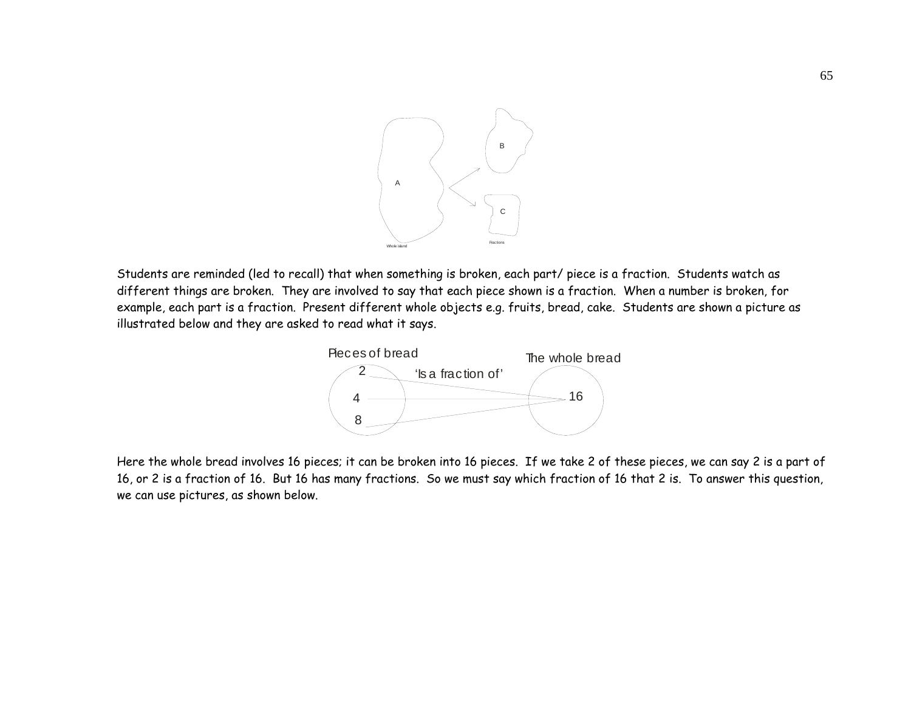

Students are reminded (led to recall) that when something is broken, each part/ piece is a fraction. Students watch as different things are broken. They are involved to say that each piece shown is a fraction. When a number is broken, for example, each part is a fraction. Present different whole objects e.g. fruits, bread, cake. Students are shown a picture as illustrated below and they are asked to read what it says.



Here the whole bread involves 16 pieces; it can be broken into 16 pieces. If we take 2 of these pieces, we can say 2 is a part of 16, or 2 is a fraction of 16. But 16 has many fractions. So we must say which fraction of 16 that 2 is. To answer this question, we can use pictures, as shown below.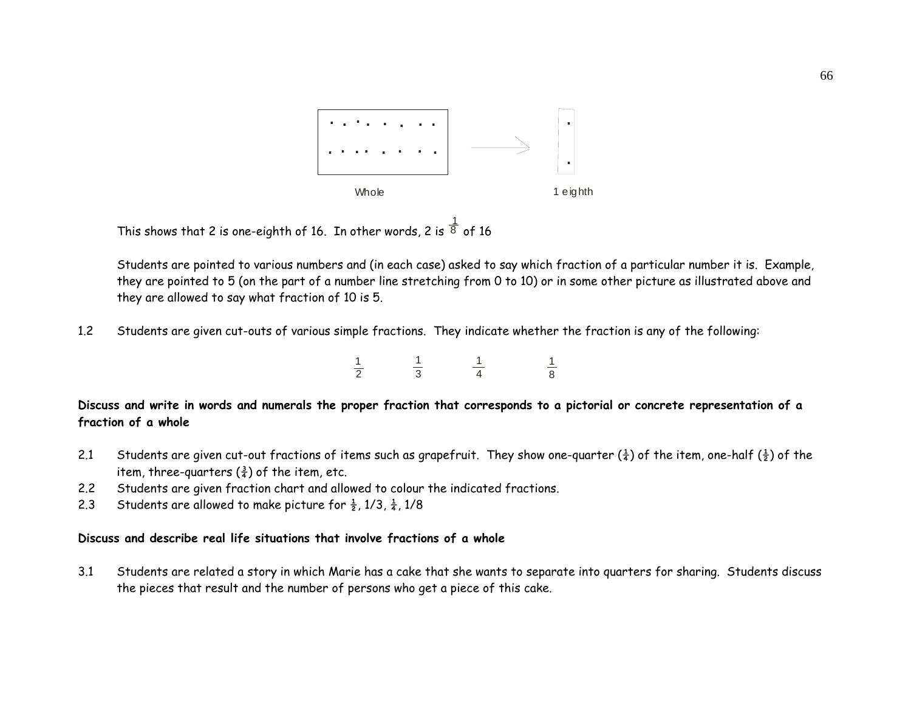

This shows that 2 is one-eighth of 16. In other words, 2 is  $^{\tfrac{1}{8}}$  of 16

Students are pointed to various numbers and (in each case) asked to say which fraction of a particular number it is. Example, they are pointed to 5 (on the part of a number line stretching from 0 to 10) or in some other picture as illustrated above and they are allowed to say what fraction of 10 is 5.

1.2Students are given cut-outs of various simple fractions. They indicate whether the fraction is any of the following:

| ۰ | $-$ | ______ | __ |
|---|-----|--------|----|

**Discuss and write in words and numerals the proper fraction that corresponds to a pictorial or concrete representation of a fraction of a whole** 

- 2.1 Students are given cut-out fractions of items such as grapefruit. They show one-quarter  $(\frac{1}{4})$  of the item, one-half  $(\frac{1}{2})$  of the item, three-quarters  $(\frac{3}{4})$  of the item, etc.
- 2.2Students are given fraction chart and allowed to colour the indicated fractions.

 $\frac{1}{2}$ 

2.3Students are allowed to make picture for  $\frac{1}{2}$ , 1/3,  $\frac{1}{4}$ , 1/8

#### **Discuss and describe real life situations that involve fractions of a whole**

3.1 Students are related a story in which Marie has a cake that she wants to separate into quarters for sharing. Students discuss the pieces that result and the number of persons who get a piece of this cake.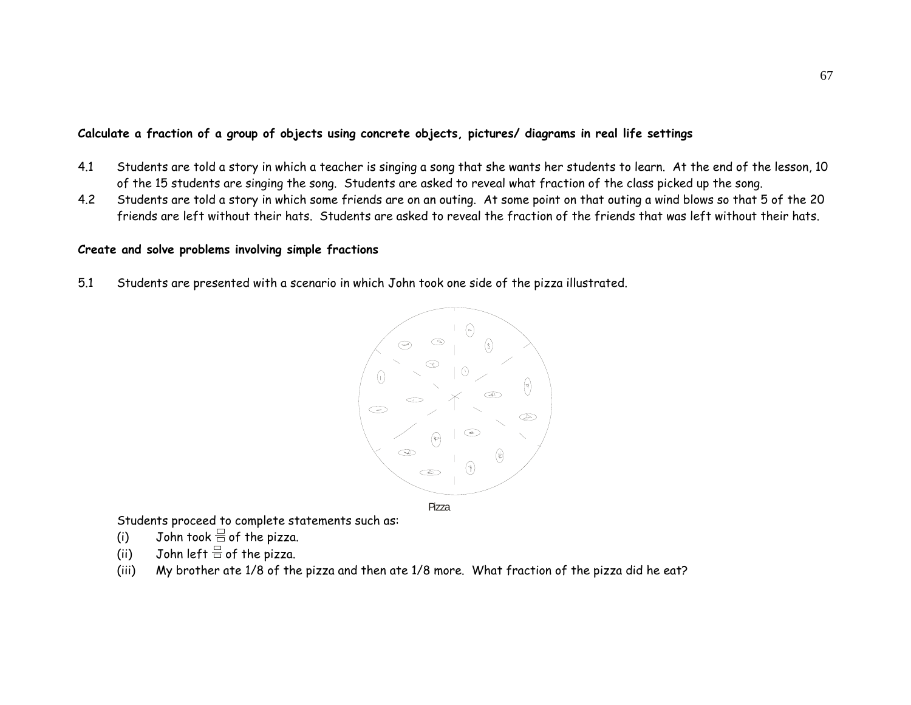## **Calculate a fraction of a group of objects using concrete objects, pictures/ diagrams in real life settings**

- 4.1 Students are told a story in which a teacher is singing a song that she wants her students to learn. At the end of the lesson, 10 of the 15 students are singing the song. Students are asked to reveal what fraction of the class picked up the song.
- 4.2 Students are told a story in which some friends are on an outing. At some point on that outing a wind blows so that 5 of the 20 friends are left without their hats. Students are asked to reveal the fraction of the friends that was left without their hats.

#### **Create and solve problems involving simple fractions**

5.1 Students are presented with a scenario in which John took one side of the pizza illustrated.



Students proceed to complete statements such as:

- (i)  $\hspace{0.15cm}$  John took  $\equiv$  of the pizza.
- (ii) John left  $\stackrel{\square}{\equiv}$  of the pizza.
- (iii) My brother ate 1/8 of the pizza and then ate 1/8 more. What fraction of the pizza did he eat?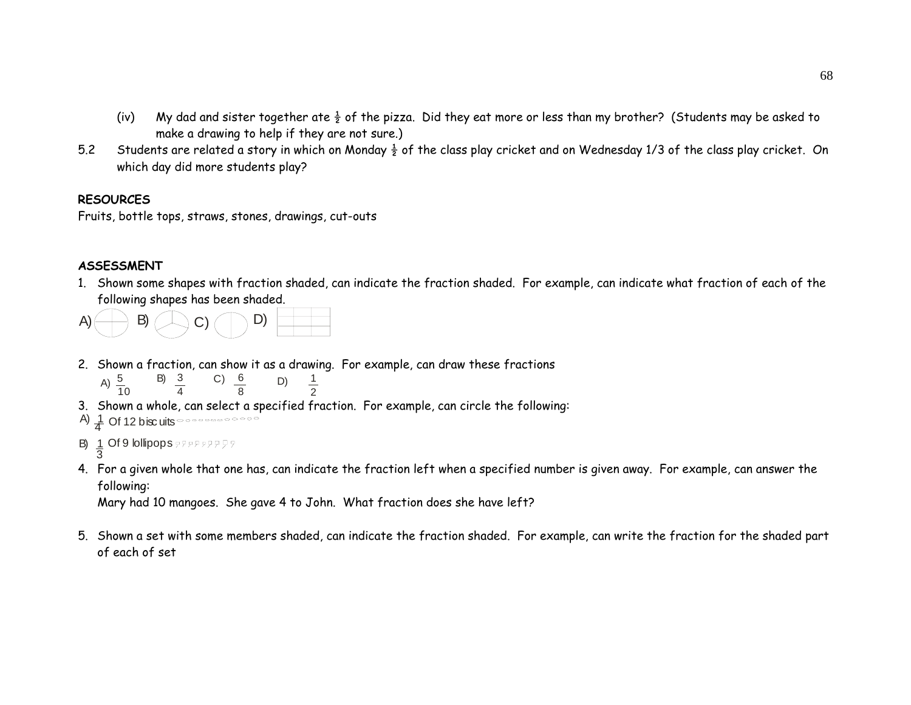- (iv) My dad and sister together ate  $\frac{1}{2}$  of the pizza. Did they eat more or less than my brother? (Students may be asked to make a drawing to help if they are not sure.)
- 5.2Students are related a story in which on Monday  $\frac{1}{2}$  of the class play cricket and on Wednesday 1/3 of the class play cricket. On which day did more students play?

#### **RESOURCES**

Fruits, bottle tops, straws, stones, drawings, cut-outs

## **ASSESSMENT**

1. Shown some shapes with fraction shaded, can indicate the fraction shaded. For example, can indicate what fraction of each of the following shapes has been shaded.



2. Shown a fraction, can show it as a drawing. For example, can draw these fractions

A) 
$$
\frac{5}{10}
$$
 B)  $\frac{3}{4}$  C)  $\frac{6}{8}$  D)  $\frac{1}{2}$ 

3. Shown a whole, can select a specified fraction. For example, can circle the following:

A) 
$$
\frac{1}{4}
$$
 Of 12 biscuits

- B) dended 19 lollipops<br>3
- 4. For a given whole that one has, can indicate the fraction left when a specified number is given away. For example, can answer the following:

Mary had 10 mangoes. She gave 4 to John. What fraction does she have left?

5. Shown a set with some members shaded, can indicate the fraction shaded. For example, can write the fraction for the shaded part of each of set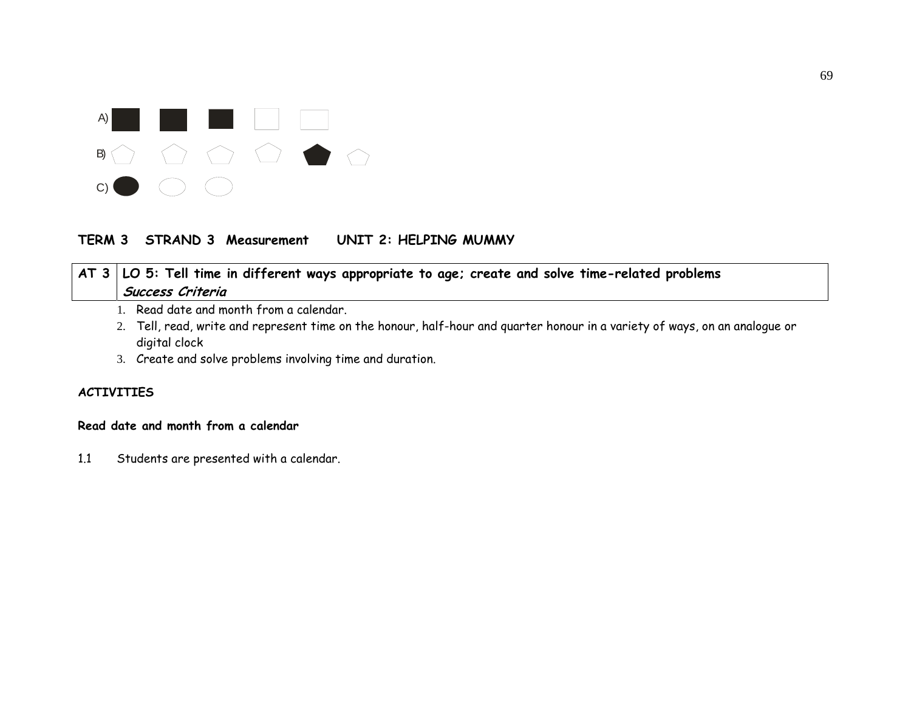

# **TERM 3 STRAND 3 Measurement UNIT 2: HELPING MUMMY**

# **AT 3 LO 5: Tell time in different ways appropriate to age; create and solve time-related problems Success Criteria**

- 1. Read date and month from a calendar.
- 2. Tell, read, write and represent time on the honour, half-hour and quarter honour in a variety of ways, on an analogue or digital clock
- 3. Create and solve problems involving time and duration.

## **ACTIVITIES**

#### **Read date and month from a calendar**

1.1 Students are presented with a calendar.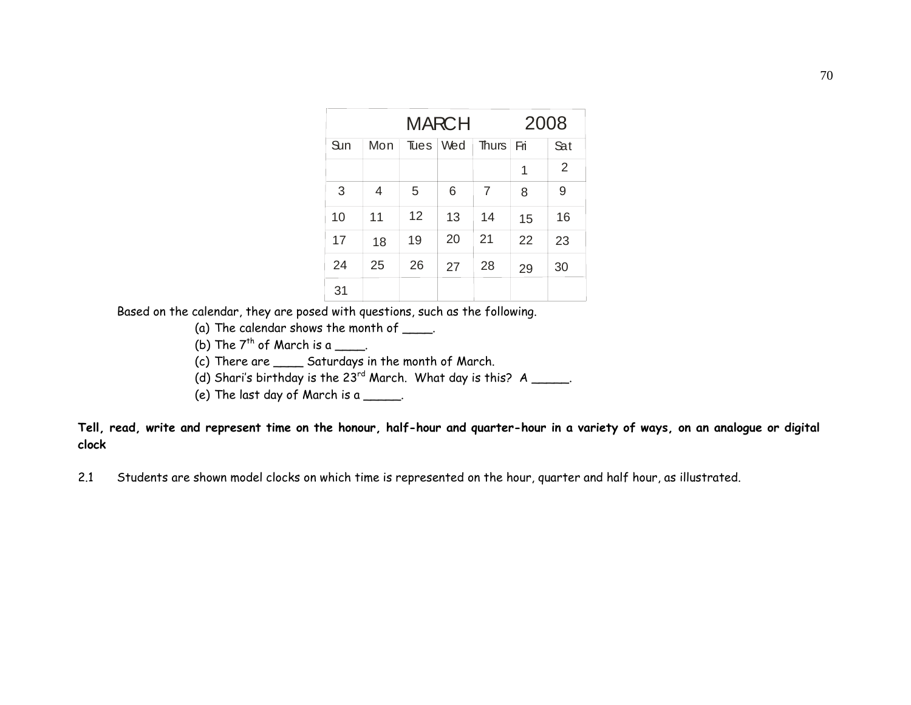| <b>MARCH</b> |     |      |     |                | 2008 |                |
|--------------|-----|------|-----|----------------|------|----------------|
| Sun          | Mon | Tues | Wed | Thurs $ $ Fri  |      | <b>Sat</b>     |
|              |     |      |     |                | 1    | $\overline{2}$ |
| 3            | 4   | 5    | 6   | $\overline{7}$ | 8    | 9              |
| 10           | 11  | 12   | 13  | 14             | 15   | 16             |
| 17           | 18  | 19   | 20  | 21             | 22   | 23             |
| 24           | 25  | 26   | 27  | 28             | 29   | 30             |
| 31           |     |      |     |                |      |                |

Based on the calendar, they are posed with questions, such as the following.

(a) The calendar shows the month of  $\frac{1}{\sqrt{1-\frac{1}{n}}}\$ .

(b) The  $7^{th}$  of March is a \_\_\_\_.

(c) There are \_\_\_\_ Saturdays in the month of March.

(d) Shari's birthday is the  $23^{rd}$  March. What day is this? A \_\_\_\_\_.

(e) The last day of March is a  $\frac{1}{\sqrt{1-\frac{1}{n}}}\$ .

**Tell, read, write and represent time on the honour, half-hour and quarter-hour in a variety of ways, on an analogue or digital clock** 

2.1 Students are shown model clocks on which time is represented on the hour, quarter and half hour, as illustrated.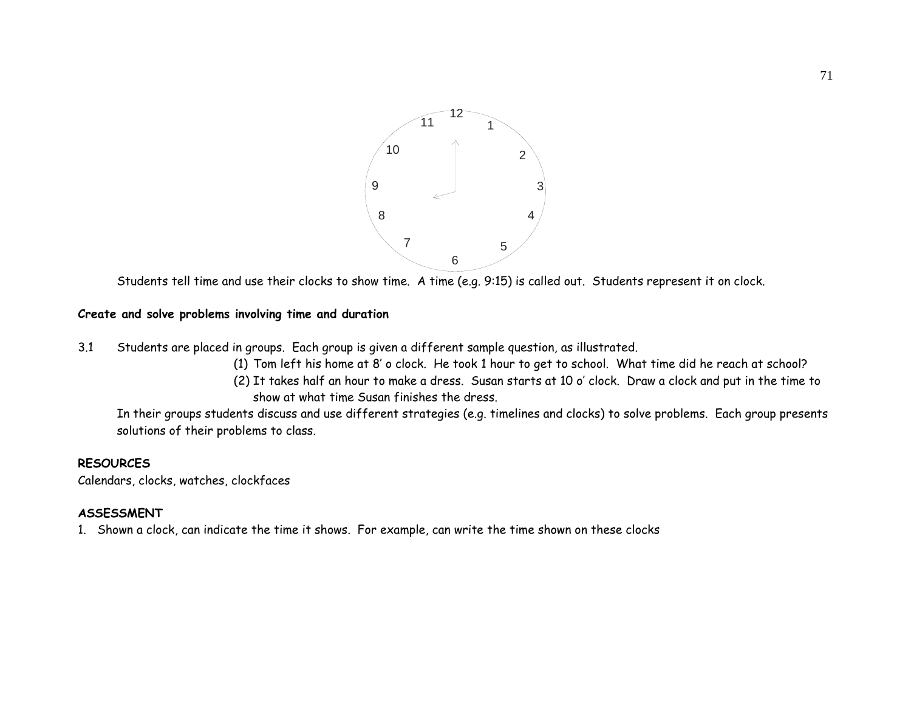

Students tell time and use their clocks to show time. A time (e.g. 9:15) is called out. Students represent it on clock.

#### **Create and solve problems involving time and duration**

- 3.1 Students are placed in groups. Each group is given a different sample question, as illustrated.
	- (1) Tom left his home at 8' o clock. He took 1 hour to get to school. What time did he reach at school?
	- (2) It takes half an hour to make a dress. Susan starts at 10 o' clock. Draw a clock and put in the time to show at what time Susan finishes the dress.

In their groups students discuss and use different strategies (e.g. timelines and clocks) to solve problems. Each group presents solutions of their problems to class.

#### **RESOURCES**

Calendars, clocks, watches, clockfaces

#### **ASSESSMENT**

1. Shown a clock, can indicate the time it shows. For example, can write the time shown on these clocks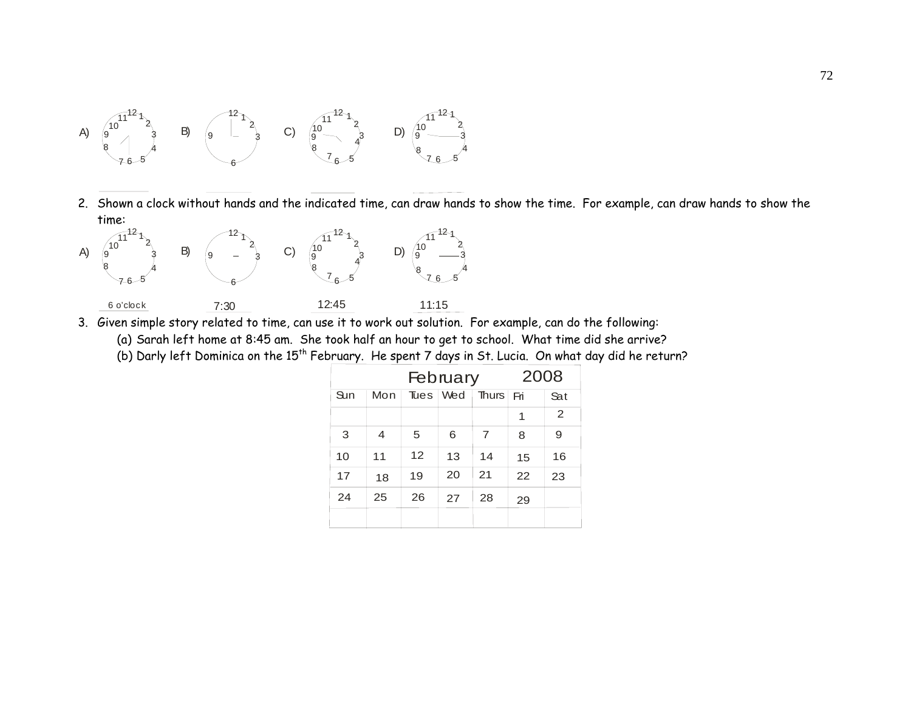

2. Shown a clock without hands and the indicated time, can draw hands to show the time. For example, can draw hands to show the time:



3. Given simple story related to time, can use it to work out solution. For example, can do the following:

(a) Sarah left home at 8:45 am. She took half an hour to get to school. What time did she arrive?

(b) Darly left Dominica on the 15<sup>th</sup> February. He spent 7 days in St. Lucia. On what day did he return?

| February |     |             |     |           | 2008 |     |
|----------|-----|-------------|-----|-----------|------|-----|
| Sun      | Mon | <b>Tues</b> | Wed | Thurs Fri |      | Sat |
|          |     |             |     |           | 1    | 2   |
| 3        | 4   | 5           | 6   | 7         | 8    | 9   |
| 10       | 11  | 12          | 13  | 14        | 15   | 16  |
| 17       | 18  | 19          | 20  | 21        | 22   | 23  |
| 24       | 25  | 26          | 27  | 28        | 29   |     |
|          |     |             |     |           |      |     |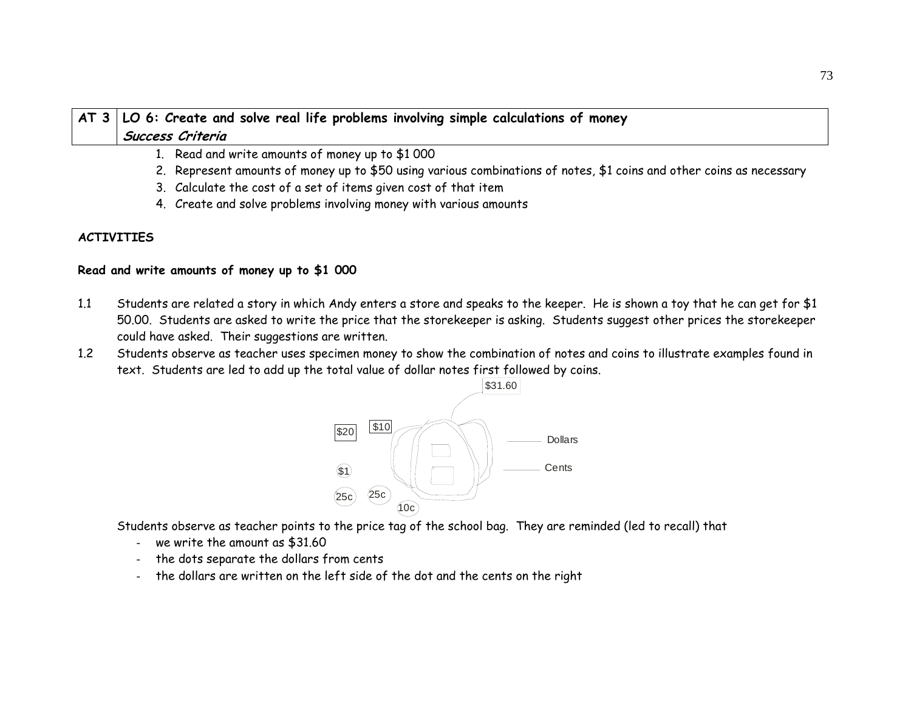# **AT 3 LO 6: Create and solve real life problems involving simple calculations of money Success Criteria**

- 1. Read and write amounts of money up to \$1 000
- 2. Represent amounts of money up to \$50 using various combinations of notes, \$1 coins and other coins as necessary
- 3. Calculate the cost of a set of items given cost of that item
- 4. Create and solve problems involving money with various amounts

## **ACTIVITIES**

## **Read and write amounts of money up to \$1 000**

- 1.1 Students are related a story in which Andy enters a store and speaks to the keeper. He is shown a toy that he can get for \$1 50.00. Students are asked to write the price that the storekeeper is asking. Students suggest other prices the storekeeper could have asked. Their suggestions are written.
- 1.2 Students observe as teacher uses specimen money to show the combination of notes and coins to illustrate examples found in text. Students are led to add up the total value of dollar notes first followed by coins.



Students observe as teacher points to the price tag of the school bag. They are reminded (led to recall) that

- we write the amount as \$31.60
- the dots separate the dollars from cents
- the dollars are written on the left side of the dot and the cents on the right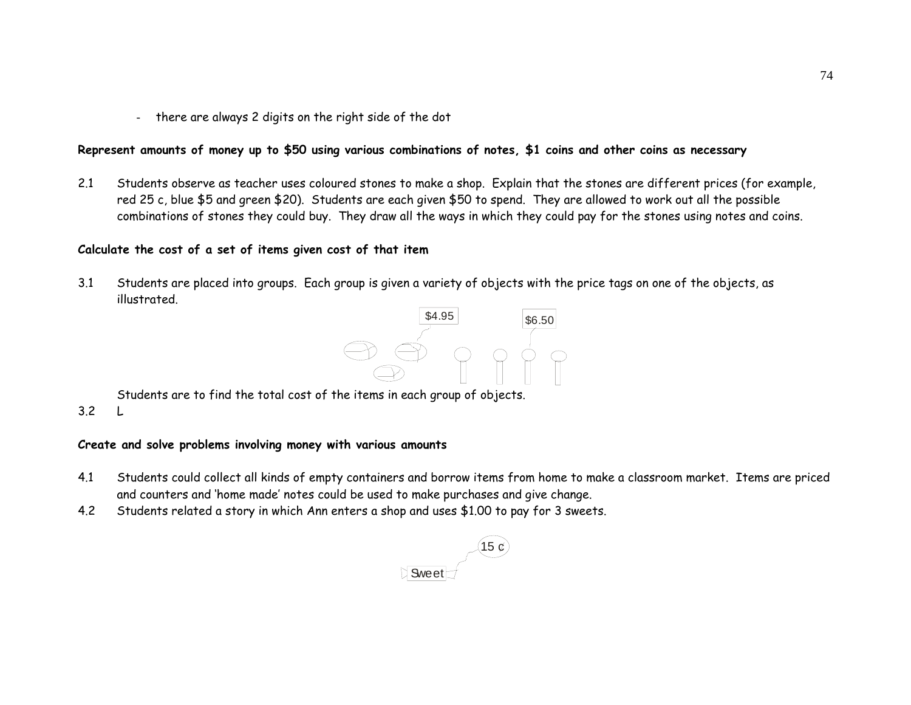- there are always 2 digits on the right side of the dot

## **Represent amounts of money up to \$50 using various combinations of notes, \$1 coins and other coins as necessary**

2.1 Students observe as teacher uses coloured stones to make a shop. Explain that the stones are different prices (for example, red 25 c, blue \$5 and green \$20). Students are each given \$50 to spend. They are allowed to work out all the possible combinations of stones they could buy. They draw all the ways in which they could pay for the stones using notes and coins.

## **Calculate the cost of a set of items given cost of that item**

3.1 Students are placed into groups. Each group is given a variety of objects with the price tags on one of the objects, as illustrated.



Students are to find the total cost of the items in each group of objects.

3.2 L

#### **Create and solve problems involving money with various amounts**

- 4.1 Students could collect all kinds of empty containers and borrow items from home to make a classroom market. Items are priced and counters and 'home made' notes could be used to make purchases and give change.
- 4.2Students related a story in which Ann enters a shop and uses \$1.00 to pay for 3 sweets.

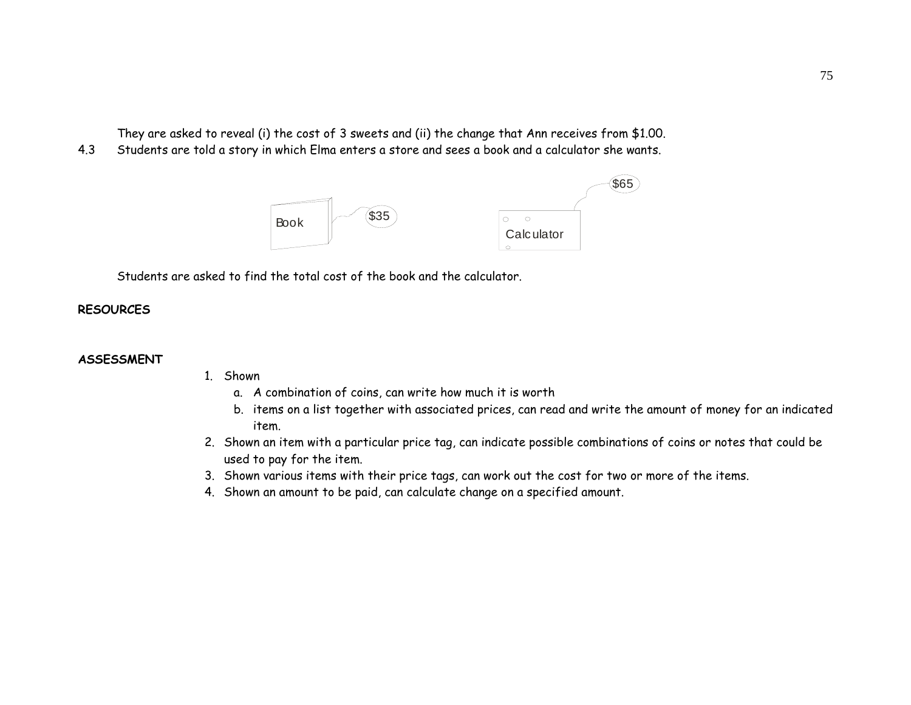They are asked to reveal (i) the cost of 3 sweets and (ii) the change that Ann receives from \$1.00.

4.3Students are told a story in which Elma enters a store and sees a book and a calculator she wants.



Students are asked to find the total cost of the book and the calculator.

## **RESOURCES**

#### **ASSESSMENT**

- 1. Shown
	- a. A combination of coins, can write how much it is worth
	- b. items on a list together with associated prices, can read and write the amount of money for an indicated item.
- 2. Shown an item with a particular price tag, can indicate possible combinations of coins or notes that could be used to pay for the item.
- 3. Shown various items with their price tags, can work out the cost for two or more of the items.
- 4. Shown an amount to be paid, can calculate change on a specified amount.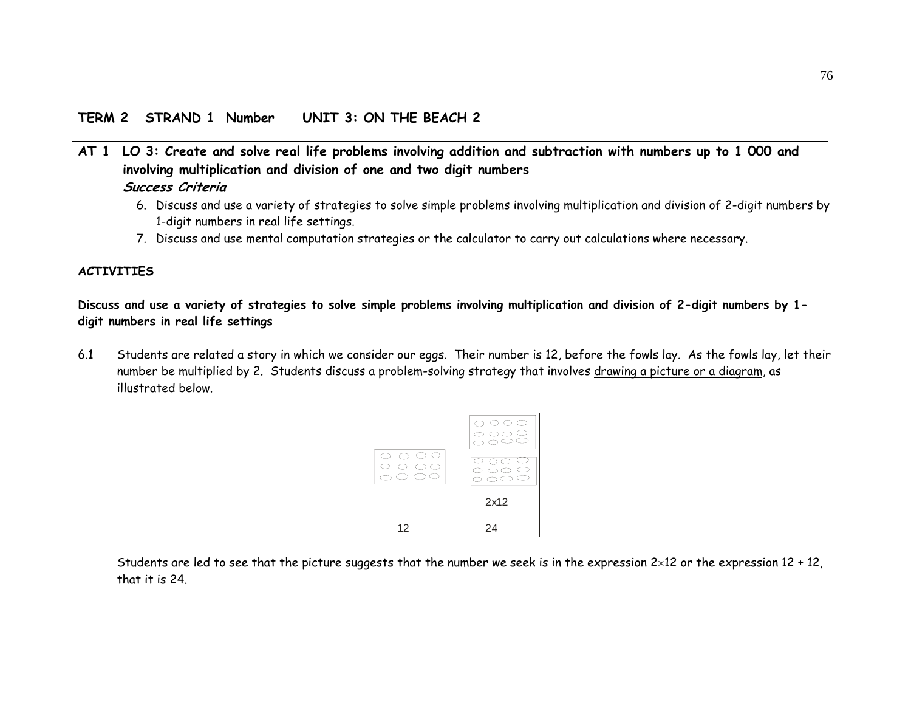## **TERM 2 STRAND 1 Number UNIT 3: ON THE BEACH 2**

# **AT 1 LO 3: Create and solve real life problems involving addition and subtraction with numbers up to 1 000 and involving multiplication and division of one and two digit numbers Success Criteria**

- 6. Discuss and use a variety of strategies to solve simple problems involving multiplication and division of 2-digit numbers by 1-digit numbers in real life settings.
- 7. Discuss and use mental computation strategies or the calculator to carry out calculations where necessary.

## **ACTIVITIES**

**Discuss and use a variety of strategies to solve simple problems involving multiplication and division of 2-digit numbers by 1 digit numbers in real life settings** 

6.1 Students are related a story in which we consider our eggs. Their number is 12, before the fowls lay. As the fowls lay, let their number be multiplied by 2. Students discuss a problem-solving strategy that involves drawing a picture or a diagram, as illustrated below.



Students are led to see that the picture suggests that the number we seek is in the expression  $2\times12$  or the expression  $12 + 12$ , that it is 24.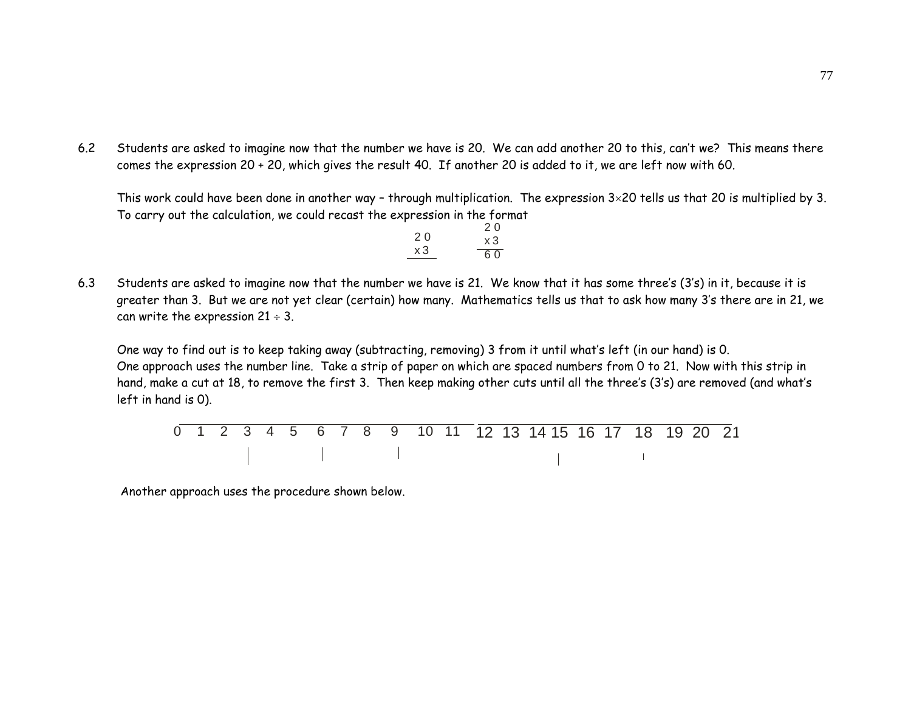6.2 Students are asked to imagine now that the number we have is 20. We can add another 20 to this, can't we? This means there comes the expression 20 + 20, which gives the result 40. If another 20 is added to it, we are left now with 60.

This work could have been done in another way – through multiplication. The expression 3×20 tells us that 20 is multiplied by 3. To carry out the calculation, we could recast the expression in the format

|    | 20 |
|----|----|
| 20 | x3 |
| xЗ | 60 |

6.3 Students are asked to imagine now that the number we have is 21. We know that it has some three's (3's) in it, because it is greater than 3. But we are not yet clear (certain) how many. Mathematics tells us that to ask how many 3's there are in 21, we can write the expression  $21 \div 3$ .

 One way to find out is to keep taking away (subtracting, removing) 3 from it until what's left (in our hand) is 0. One approach uses the number line. Take a strip of paper on which are spaced numbers from 0 to 21. Now with this strip in hand, make a cut at 18, to remove the first 3. Then keep making other cuts until all the three's (3's) are removed (and what's left in hand is 0).

|  |  |  |  |  |  |  | 0 1 2 3 4 5 6 7 8 9 10 11 12 13 14 15 16 17 18 19 20 21 |  |  |  |
|--|--|--|--|--|--|--|---------------------------------------------------------|--|--|--|
|  |  |  |  |  |  |  |                                                         |  |  |  |

Another approach uses the procedure shown below.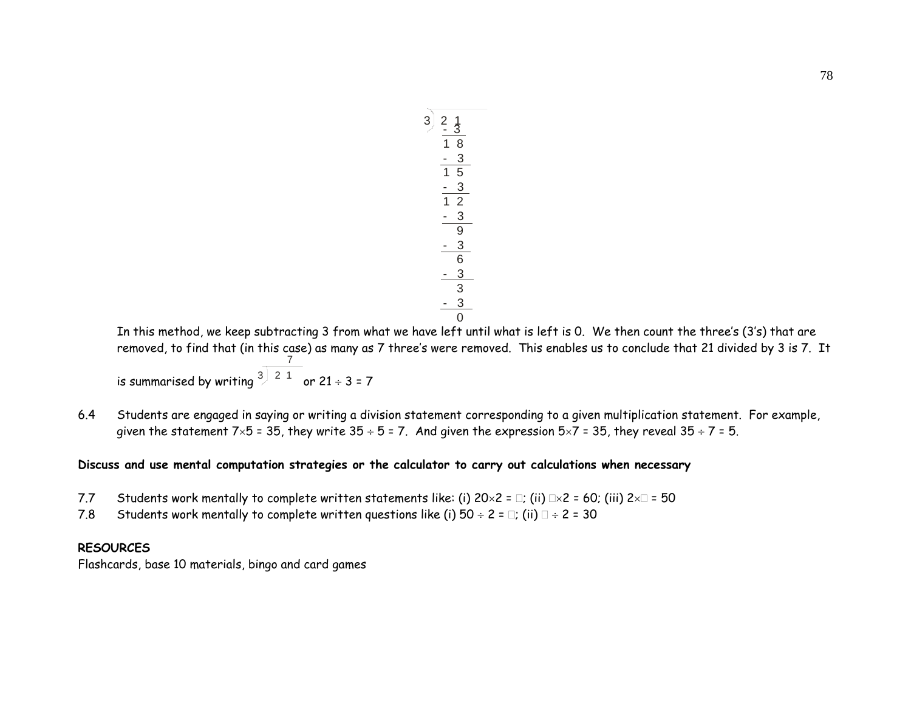$$
\begin{array}{r} 3)2 \underline{1} \\ 2 \underline{3} \\ 1 \underline{8} \\ 1 \underline{3} \\ 1 \underline{5} \\ 1 \underline{2} \\ 1 \underline{3} \\ 2 \underline{3} \\ 0 \\ 2 \underline{3} \\ 6 \\ 3 \underline{3} \\ 0 \\ 0 \end{array}
$$

In this method, we keep subtracting 3 from what we have left until what is left is 0. We then count the three's (3's) that are removed, to find that (in this case) as many as 7 three's were removed. This enables us to conclude that 21 divided by 3 is 7. It is summarised by writing  $^3)^{-2-1}$ 7 or 21 ÷ 3 = 7

6.4 Students are engaged in saying or writing a division statement corresponding to a given multiplication statement. For example, given the statement  $7\times5$  = 35, they write  $35 \div 5$  = 7. And given the expression  $5\times7$  = 35, they reveal  $35 \div 7$  = 5.

#### **Discuss and use mental computation strategies or the calculator to carry out calculations when necessary**

- 7.7Students work mentally to complete written statements like: (i)  $20 \times 2 = \Box$ ; (ii)  $\Box \times 2 = 60$ ; (iii)  $2 \times \Box = 50$
- 7.8Students work mentally to complete written questions like (i)  $50 \div 2 = \Box$ ; (ii)  $\Box \div 2 = 30$

#### **RESOURCES**

Flashcards, base 10 materials, bingo and card games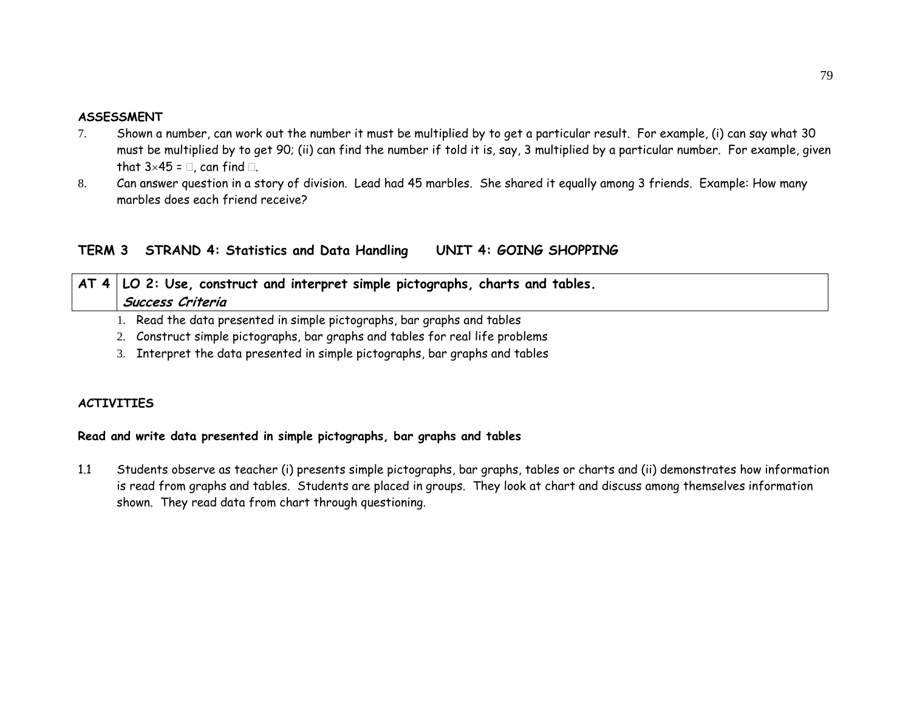#### **ASSESSMENT**

- 7. Shown a number, can work out the number it must be multiplied by to get a particular result. For example, (i) can say what 30 must be multiplied by to get 90; (ii) can find the number if told it is, say, 3 multiplied by a particular number. For example, given that  $3\times45 = 0$ , can find  $\Box$ .
- 8. Can answer question in a story of division. Lead had 45 marbles. She shared it equally among 3 friends. Example: How many marbles does each friend receive?

## **TERM 3 STRAND 4: Statistics and Data Handling UNIT 4: GOING SHOPPING**

|  | $\vert$ AT 4 $\vert$ LO 2: Use, construct and interpret simple pictographs, charts and tables. |
|--|------------------------------------------------------------------------------------------------|
|  | Success Criteria                                                                               |
|  |                                                                                                |

1. Read the data presented in simple pictographs, bar graphs and tables

- 2. Construct simple pictographs, bar graphs and tables for real life problems
- 3. Interpret the data presented in simple pictographs, bar graphs and tables

## **ACTIVITIES**

## **Read and write data presented in simple pictographs, bar graphs and tables**

1.1 Students observe as teacher (i) presents simple pictographs, bar graphs, tables or charts and (ii) demonstrates how information is read from graphs and tables. Students are placed in groups. They look at chart and discuss among themselves information shown. They read data from chart through questioning.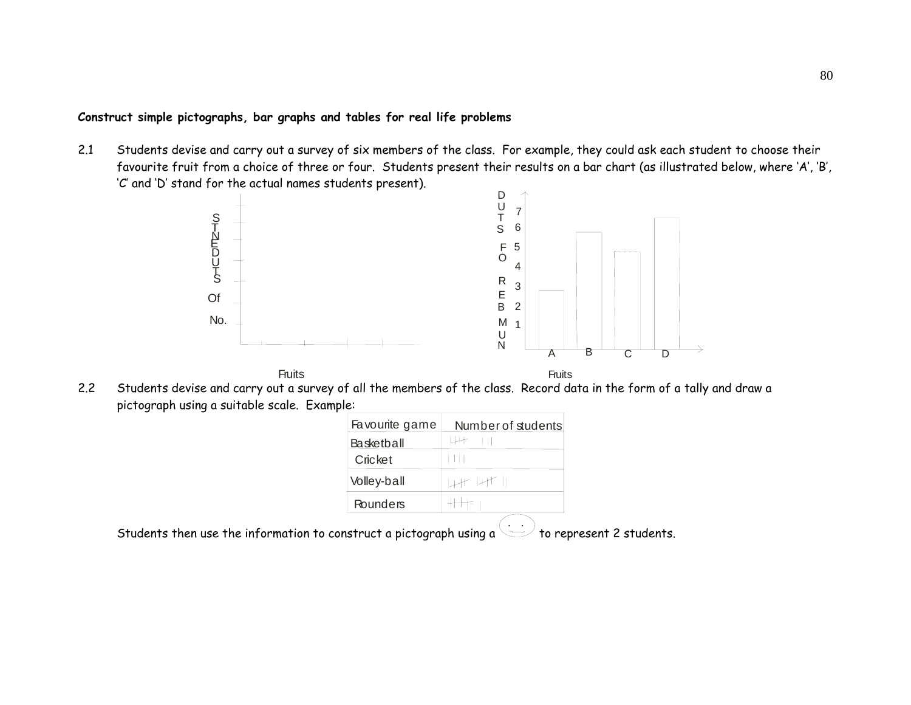## **Construct simple pictographs, bar graphs and tables for real life problems**

2.1 Students devise and carry out a survey of six members of the class. For example, they could ask each student to choose their favourite fruit from a choice of three or four. Students present their results on a bar chart (as illustrated below, where 'A', 'B', 'C' and 'D' stand for the actual names students present).



2.2 Students devise and carry out a survey of all the members of the class. Record data in the form of a tally and draw a pictograph using a suitable scale. Example:

| Favourite game | Number of students |
|----------------|--------------------|
| Basketball     |                    |
| Cricket        |                    |
| Volley-ball    | H H 1              |
| Rounders       |                    |

Students then use the information to construct a pictograph using a  $\searrow$  to represent 2 students.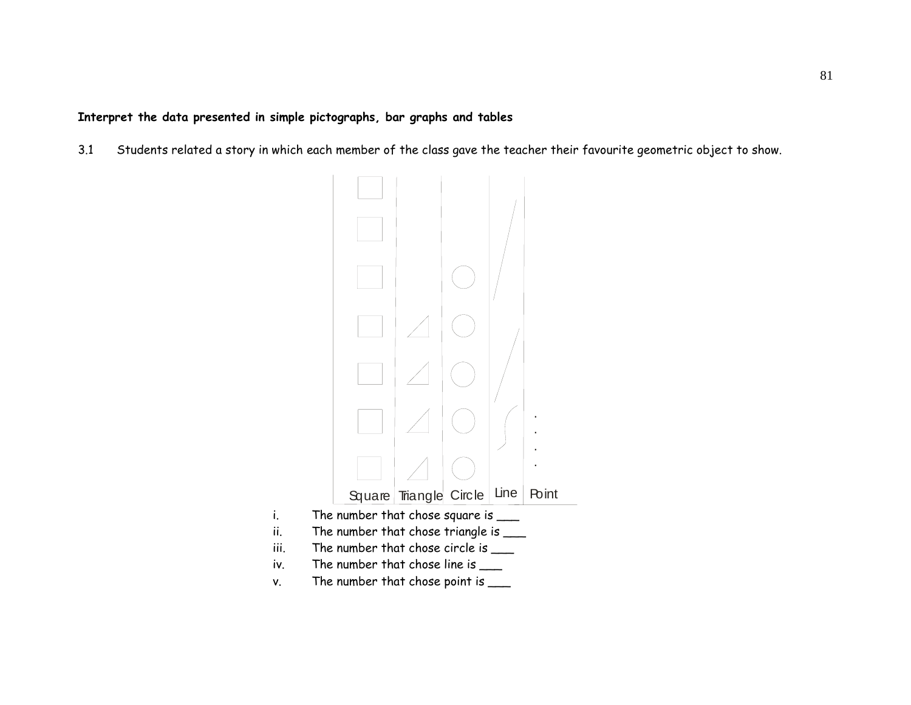**Interpret the data presented in simple pictographs, bar graphs and tables** 

3.1 Students related a story in which each member of the class gave the teacher their favourite geometric object to show.

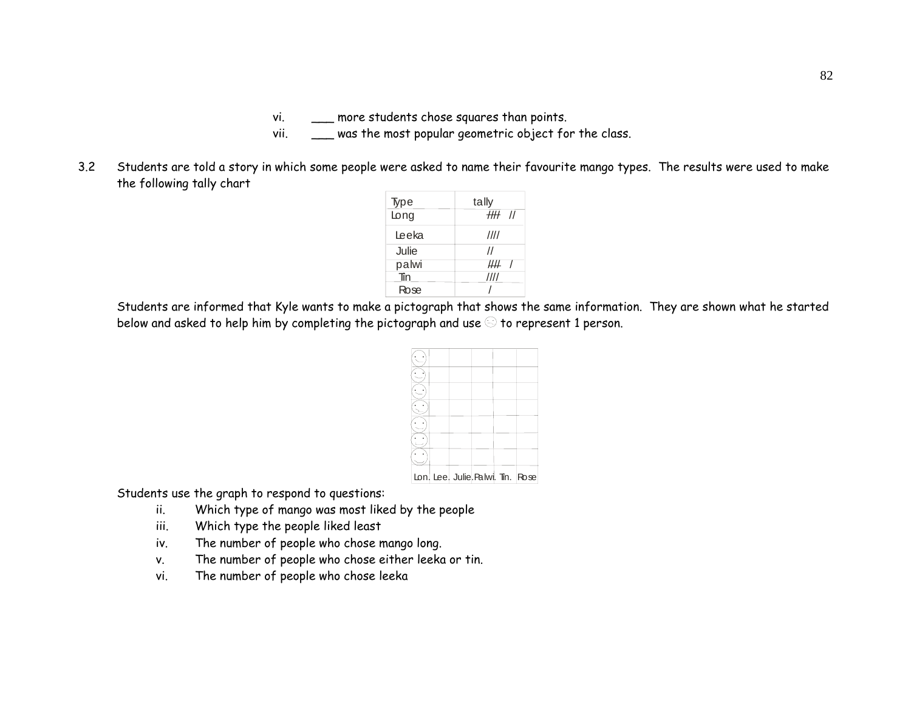vi. \_\_\_ more students chose squares than points.

- vii. \_\_\_\_ was the most popular geometric object for the class.
- 3.2 Students are told a story in which some people were asked to name their favourite mango types. The results were used to make the following tally chart

| Type  | tally             |
|-------|-------------------|
| Long  | 1111 II           |
| Leeka | 1111              |
| Julie | $^{\prime\prime}$ |
| palwi | ₩₩                |
| Tin   | ////              |
| Rose  |                   |

Students are informed that Kyle wants to make a pictograph that shows the same information. They are shown what he started below and asked to help him by completing the pictograph and use  $\odot$  to represent 1 person.

|  |  | Lon Lee Julie Palwi Tin. Rose |  |
|--|--|-------------------------------|--|
|  |  |                               |  |

Students use the graph to respond to questions:

- ii. Which type of mango was most liked by the people
- iii. Which type the people liked least
- iv. The number of people who chose mango long.
- v. The number of people who chose either leeka or tin.
- vi. The number of people who chose leeka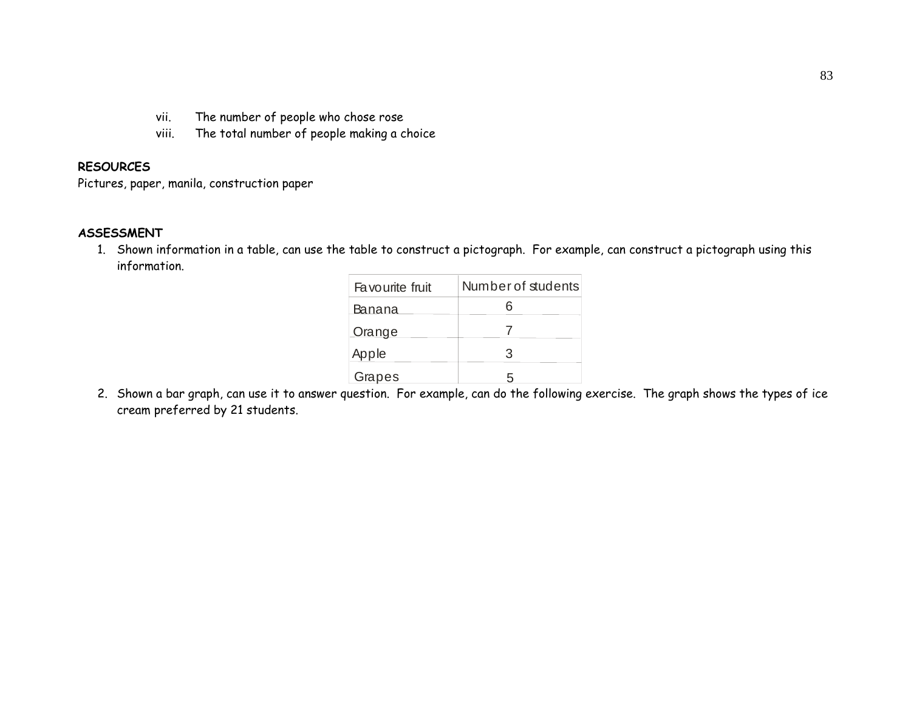- vii. The number of people who chose rose
- viii. The total number of people making a choice

#### **RESOURCES**

Pictures, paper, manila, construction paper

#### **ASSESSMENT**

1. Shown information in a table, can use the table to construct a pictograph. For example, can construct a pictograph using this information.

| Favourite fruit | Number of students |
|-----------------|--------------------|
| Banana          |                    |
| <b>Orange</b>   |                    |
| Apple           | З                  |
| Grapes          |                    |

2. Shown a bar graph, can use it to answer question. For example, can do the following exercise. The graph shows the types of ice cream preferred by 21 students.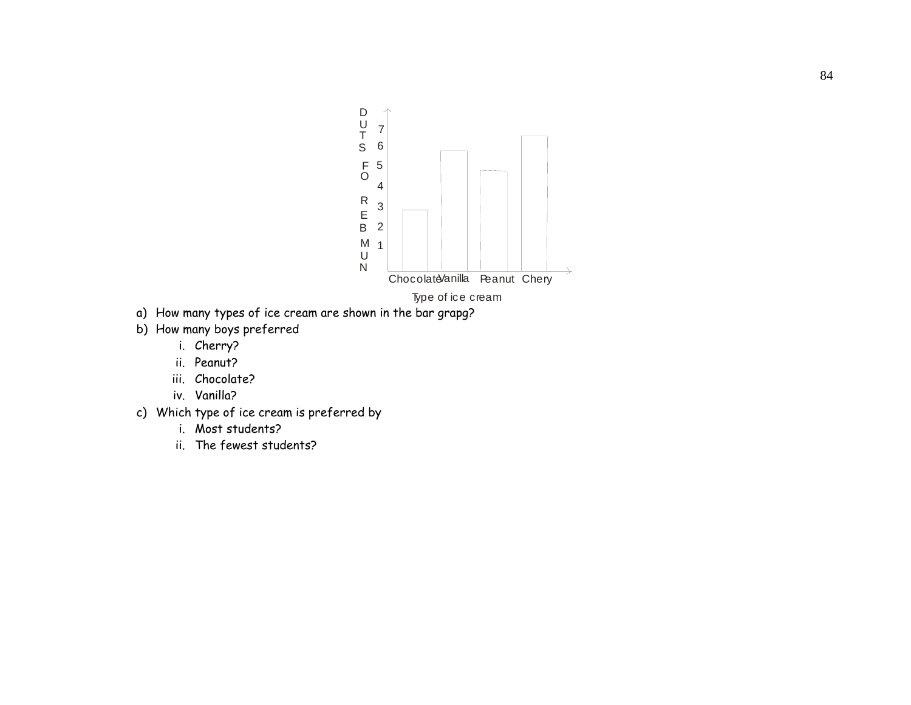

- a) How many types of ice cream are shown in the bar grapg?
- b) How many boys preferred
	- i. Cherry?
	- ii. Peanut?
	- iii. Chocolate?
	- iv. Vanilla?
- c) Which type of ice cream is preferred by
	- i. Most students?
	- ii. The fewest students?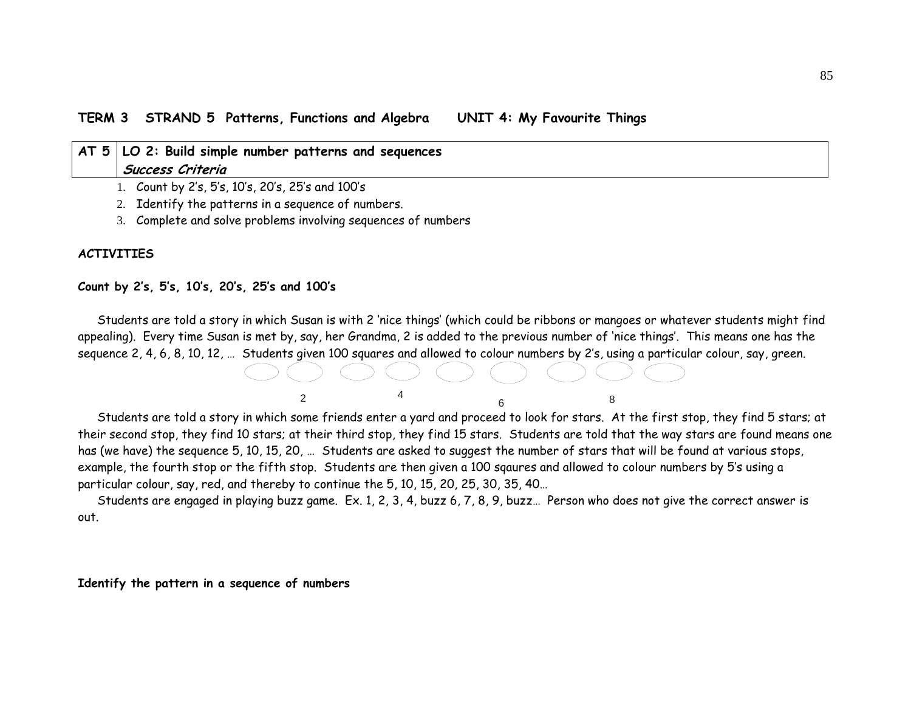| AT 5   LO 2: Build simple number patterns and sequences |  |  |  |  |  |
|---------------------------------------------------------|--|--|--|--|--|
| Success Criteria                                        |  |  |  |  |  |
| 1. Count by 2's, 5's, 10's, 20's, 25's and 100's        |  |  |  |  |  |
| 2. Identify the patterns in a sequence of numbers.      |  |  |  |  |  |

3. Complete and solve problems involving sequences of numbers

#### **ACTIVITIES**

#### **Count by 2's, 5's, 10's, 20's, 25's and 100's**

Students are told a story in which Susan is with 2 'nice things' (which could be ribbons or mangoes or whatever students might find appealing). Every time Susan is met by, say, her Grandma, 2 is added to the previous number of 'nice things'. This means one has the sequence 2, 4, 6, 8, 10, 12, … Students given 100 squares and allowed to colour numbers by 2's, using a particular colour, say, green.



Students are told a story in which some friends enter a yard and proceed to look for stars. At the first stop, they find 5 stars; at their second stop, they find 10 stars; at their third stop, they find 15 stars. Students are told that the way stars are found means one has (we have) the sequence 5, 10, 15, 20, … Students are asked to suggest the number of stars that will be found at various stops, example, the fourth stop or the fifth stop. Students are then given a 100 sqaures and allowed to colour numbers by 5's using a particular colour, say, red, and thereby to continue the 5, 10, 15, 20, 25, 30, 35, 40…

Students are engaged in playing buzz game. Ex. 1, 2, 3, 4, buzz 6, 7, 8, 9, buzz… Person who does not give the correct answer is out.

#### **Identify the pattern in a sequence of numbers**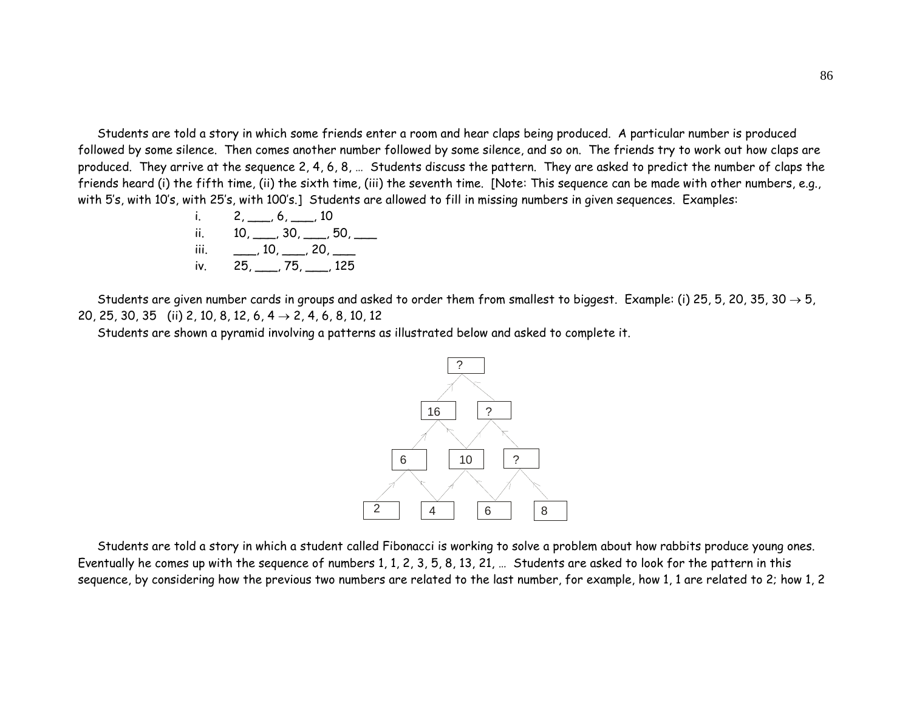Students are told a story in which some friends enter a room and hear claps being produced. A particular number is produced followed by some silence. Then comes another number followed by some silence, and so on. The friends try to work out how claps are produced. They arrive at the sequence 2, 4, 6, 8, … Students discuss the pattern. They are asked to predict the number of claps the friends heard (i) the fifth time, (ii) the sixth time, (iii) the seventh time. [Note: This sequence can be made with other numbers, e.g., with 5's, with 10's, with 25's, with 100's.] Students are allowed to fill in missing numbers in given sequences. Examples:

i. 2, \_\_\_, 6, \_\_\_, 10 ii. 10, \_\_\_, 30, \_\_\_, 50, \_\_\_ iii. \_\_\_, 10, \_\_\_, 20, \_\_\_ iv. 25, \_\_\_, 75, \_\_\_, 125

Students are given number cards in groups and asked to order them from smallest to biggest. Example: (i) 25, 5, 20, 35, 30  $\to$  5, 20, 25, 30, 35 (ii) 2, 10, 8, 12, 6, 4  $\rightarrow$  2, 4, 6, 8, 10, 12

Students are shown a pyramid involving a patterns as illustrated below and asked to complete it.



Students are told a story in which a student called Fibonacci is working to solve a problem about how rabbits produce young ones. Eventually he comes up with the sequence of numbers 1, 1, 2, 3, 5, 8, 13, 21, … Students are asked to look for the pattern in this sequence, by considering how the previous two numbers are related to the last number, for example, how 1, 1 are related to 2; how 1, 2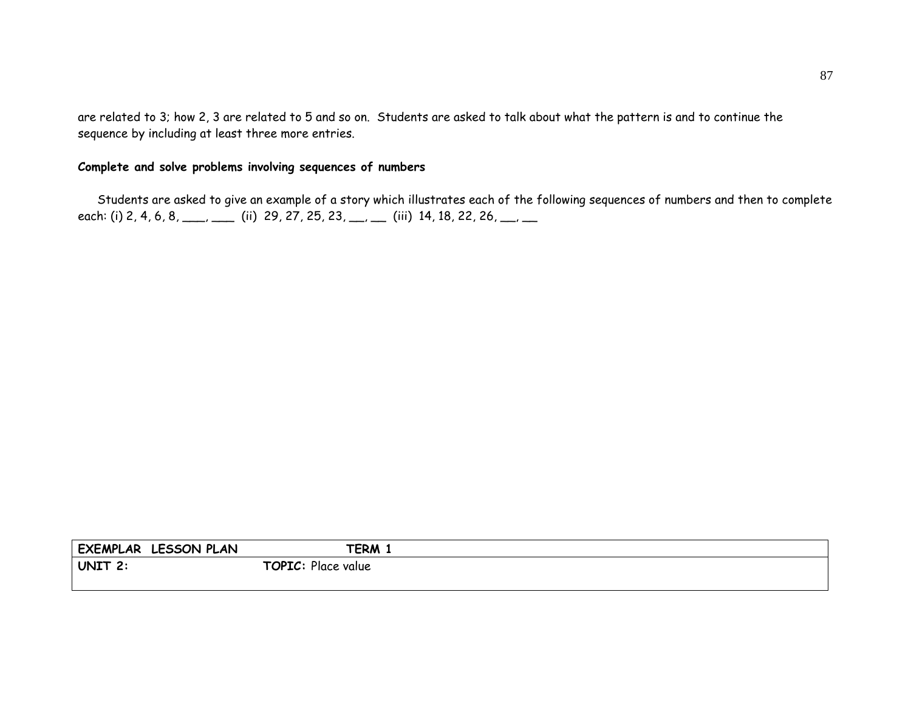are related to 3; how 2, 3 are related to 5 and so on. Students are asked to talk about what the pattern is and to continue the sequence by including at least three more entries.

# **Complete and solve problems involving sequences of numbers**

Students are asked to give an example of a story which illustrates each of the following sequences of numbers and then to complete each: (i) 2, 4, 6, 8, \_\_\_, \_\_\_ (ii) 29, 27, 25, 23, \_\_, \_\_ (iii) 14, 18, 22, 26, \_\_, \_\_

| <b>EXEMPLAR</b> | <b>LESSON PLAN</b> | TERM <sub>1</sub>     |  |
|-----------------|--------------------|-----------------------|--|
| UNIT 2.         |                    | TOPIC:<br>Place value |  |
|                 |                    |                       |  |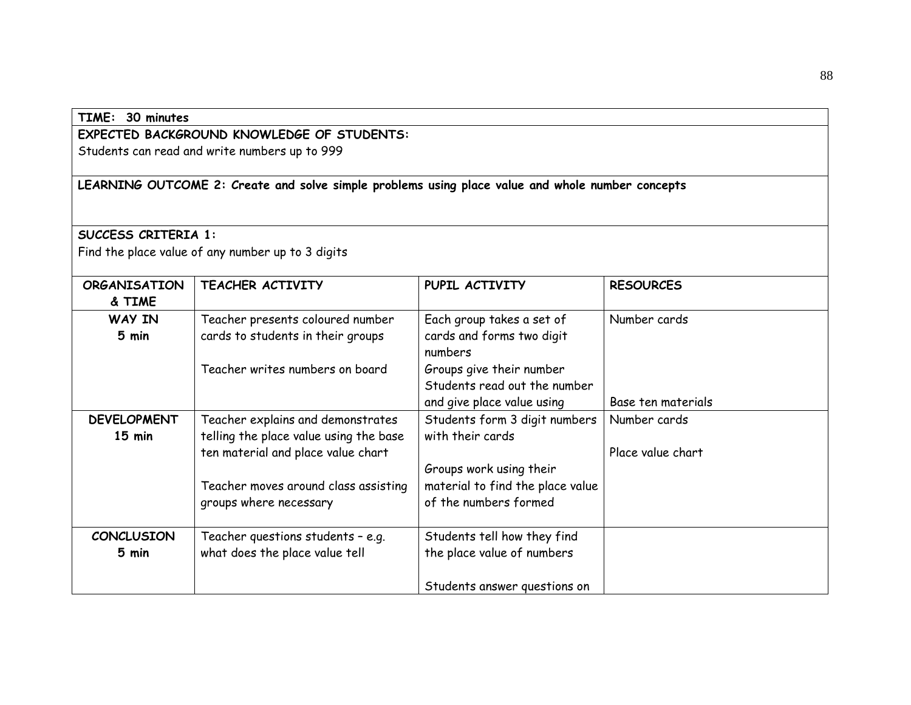| TIME: 30 minutes           |                                                                                                  |                                  |                    |
|----------------------------|--------------------------------------------------------------------------------------------------|----------------------------------|--------------------|
|                            | EXPECTED BACKGROUND KNOWLEDGE OF STUDENTS:                                                       |                                  |                    |
|                            | Students can read and write numbers up to 999                                                    |                                  |                    |
|                            |                                                                                                  |                                  |                    |
|                            | LEARNING OUTCOME 2: Create and solve simple problems using place value and whole number concepts |                                  |                    |
|                            |                                                                                                  |                                  |                    |
| <b>SUCCESS CRITERIA 1:</b> |                                                                                                  |                                  |                    |
|                            | Find the place value of any number up to 3 digits                                                |                                  |                    |
|                            |                                                                                                  |                                  |                    |
| <b>ORGANISATION</b>        | TEACHER ACTIVITY                                                                                 | PUPIL ACTIVITY                   | <b>RESOURCES</b>   |
| & TIME                     |                                                                                                  |                                  |                    |
| <b>WAY IN</b>              | Teacher presents coloured number                                                                 | Each group takes a set of        | Number cards       |
| 5 min                      | cards to students in their groups                                                                | cards and forms two digit        |                    |
|                            |                                                                                                  | numbers                          |                    |
|                            | Teacher writes numbers on board                                                                  | Groups give their number         |                    |
|                            |                                                                                                  | Students read out the number     |                    |
|                            |                                                                                                  | and give place value using       | Base ten materials |
| <b>DEVELOPMENT</b>         | Teacher explains and demonstrates                                                                | Students form 3 digit numbers    | Number cards       |
| $15$ min                   | telling the place value using the base                                                           | with their cards                 |                    |
|                            | ten material and place value chart                                                               |                                  | Place value chart  |
|                            |                                                                                                  | Groups work using their          |                    |
|                            | Teacher moves around class assisting                                                             | material to find the place value |                    |
|                            | groups where necessary                                                                           | of the numbers formed            |                    |
| <b>CONCLUSION</b>          | Teacher questions students - e.g.                                                                | Students tell how they find      |                    |
| 5 min                      | what does the place value tell                                                                   | the place value of numbers       |                    |
|                            |                                                                                                  |                                  |                    |
|                            |                                                                                                  | Students answer questions on     |                    |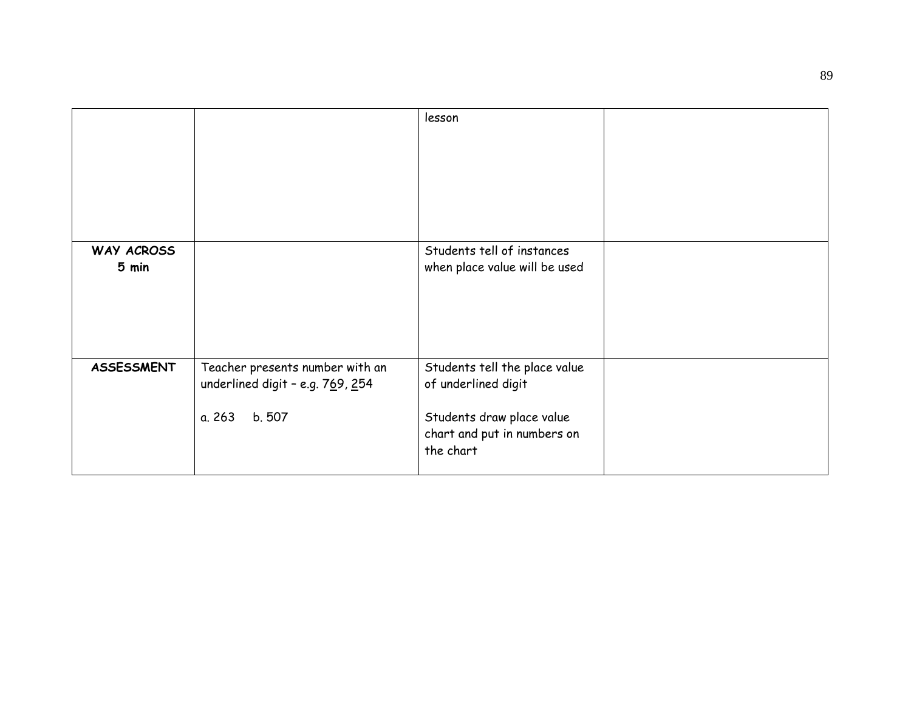|                     |                                                                                         | lesson                                                                                                                        |  |
|---------------------|-----------------------------------------------------------------------------------------|-------------------------------------------------------------------------------------------------------------------------------|--|
|                     |                                                                                         |                                                                                                                               |  |
| WAY ACROSS<br>5 min |                                                                                         | Students tell of instances<br>when place value will be used                                                                   |  |
| <b>ASSESSMENT</b>   | Teacher presents number with an<br>underlined digit - e.g. 769, 254<br>a. 263<br>b. 507 | Students tell the place value<br>of underlined digit<br>Students draw place value<br>chart and put in numbers on<br>the chart |  |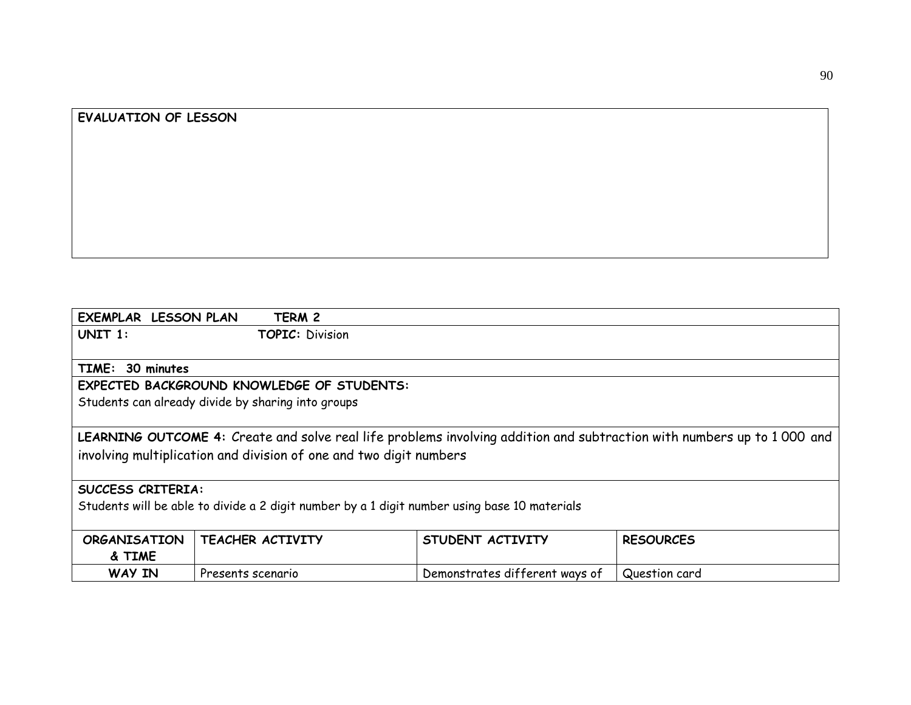# **EVALUATION OF LESSON**

| <b>EXEMPLAR LESSON PLAN</b> | TERM 2                                                                                       |                                |                                                                                                                        |  |  |  |
|-----------------------------|----------------------------------------------------------------------------------------------|--------------------------------|------------------------------------------------------------------------------------------------------------------------|--|--|--|
| UNIT 1:                     | <b>TOPIC: Division</b>                                                                       |                                |                                                                                                                        |  |  |  |
|                             |                                                                                              |                                |                                                                                                                        |  |  |  |
| TIME: 30 minutes            |                                                                                              |                                |                                                                                                                        |  |  |  |
|                             | <b>EXPECTED BACKGROUND KNOWLEDGE OF STUDENTS:</b>                                            |                                |                                                                                                                        |  |  |  |
|                             | Students can already divide by sharing into groups                                           |                                |                                                                                                                        |  |  |  |
|                             |                                                                                              |                                |                                                                                                                        |  |  |  |
|                             |                                                                                              |                                | LEARNING OUTCOME 4: Create and solve real life problems involving addition and subtraction with numbers up to 1000 and |  |  |  |
|                             | involving multiplication and division of one and two digit numbers                           |                                |                                                                                                                        |  |  |  |
|                             |                                                                                              |                                |                                                                                                                        |  |  |  |
| <b>SUCCESS CRITERIA:</b>    |                                                                                              |                                |                                                                                                                        |  |  |  |
|                             | Students will be able to divide a 2 digit number by a 1 digit number using base 10 materials |                                |                                                                                                                        |  |  |  |
|                             |                                                                                              |                                |                                                                                                                        |  |  |  |
| <b>ORGANISATION</b>         | TEACHER ACTIVITY                                                                             | STUDENT ACTIVITY               | <b>RESOURCES</b>                                                                                                       |  |  |  |
| & TIME                      |                                                                                              |                                |                                                                                                                        |  |  |  |
| WAY IN                      | Presents scenario                                                                            | Demonstrates different ways of | Question card                                                                                                          |  |  |  |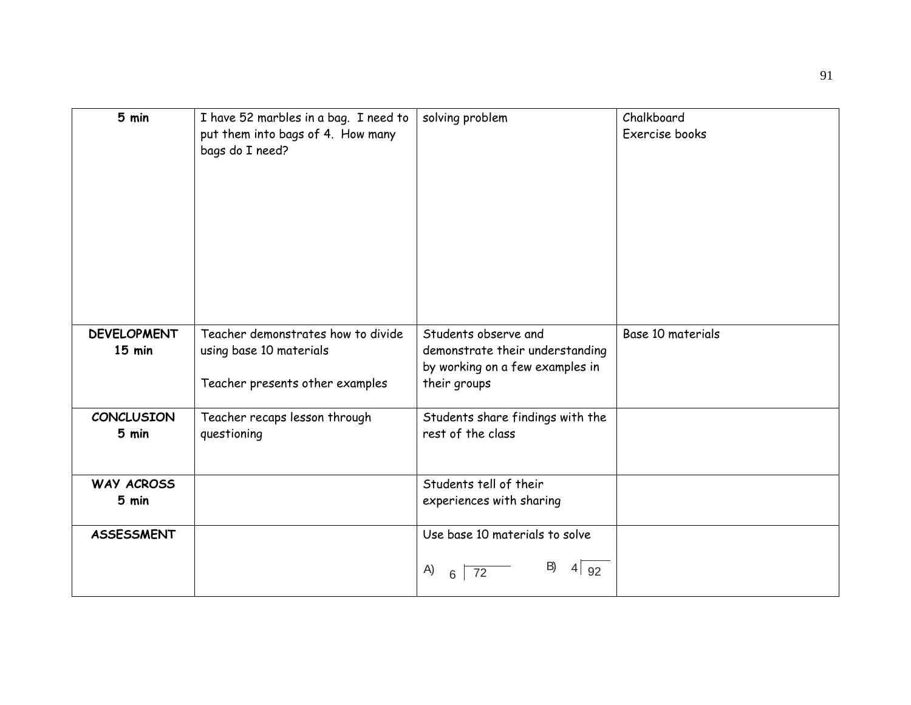| 5 min                          | I have 52 marbles in a bag. I need to<br>put them into bags of 4. How many<br>bags do I need?    | solving problem                                                                                            | Chalkboard<br>Exercise books |
|--------------------------------|--------------------------------------------------------------------------------------------------|------------------------------------------------------------------------------------------------------------|------------------------------|
| <b>DEVELOPMENT</b><br>$15$ min | Teacher demonstrates how to divide<br>using base 10 materials<br>Teacher presents other examples | Students observe and<br>demonstrate their understanding<br>by working on a few examples in<br>their groups | Base 10 materials            |
| <b>CONCLUSION</b><br>5 min     | Teacher recaps lesson through<br>questioning                                                     | Students share findings with the<br>rest of the class                                                      |                              |
| <b>WAY ACROSS</b><br>5 min     |                                                                                                  | Students tell of their<br>experiences with sharing                                                         |                              |
| <b>ASSESSMENT</b>              |                                                                                                  | Use base 10 materials to solve<br>B)<br>4 <sup>1</sup><br>92<br>A)<br>72<br>6                              |                              |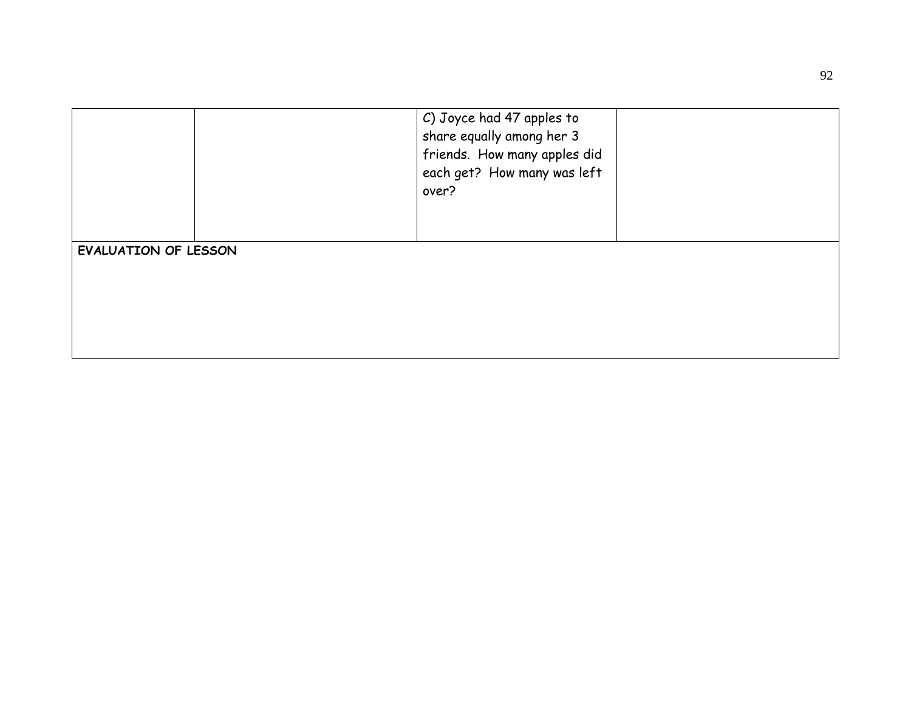|                             |  | C) Joyce had 47 apples to<br>share equally among her 3<br>friends. How many apples did<br>each get? How many was left<br>over? |  |
|-----------------------------|--|--------------------------------------------------------------------------------------------------------------------------------|--|
| <b>EVALUATION OF LESSON</b> |  |                                                                                                                                |  |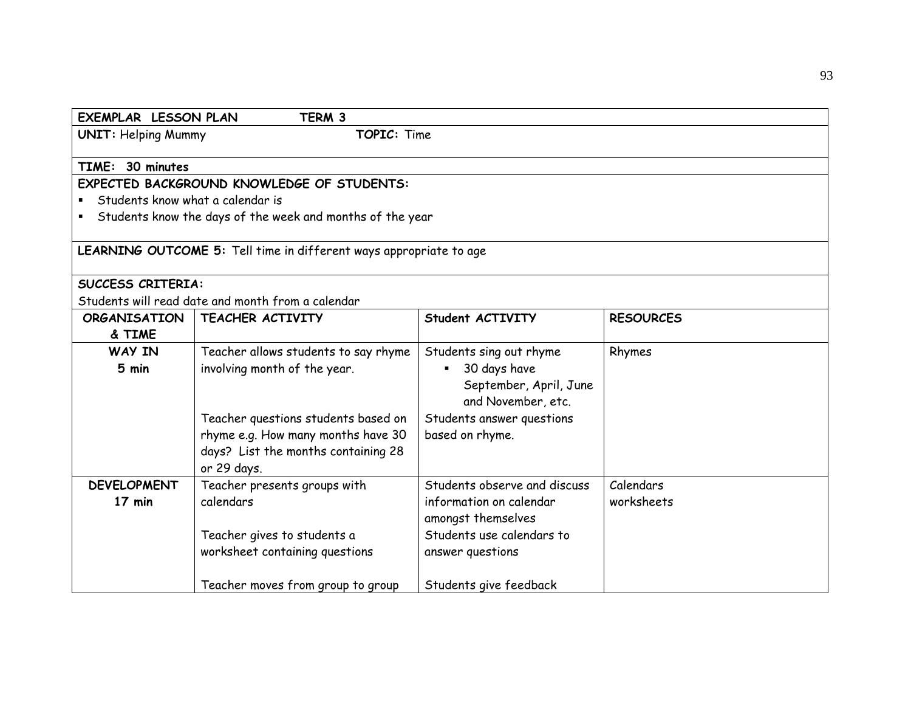| <b>EXEMPLAR LESSON PLAN</b>                       | TERM 3                                                             |                                |                  |  |
|---------------------------------------------------|--------------------------------------------------------------------|--------------------------------|------------------|--|
| <b>UNIT: Helping Mummy</b><br>TOPIC: Time         |                                                                    |                                |                  |  |
|                                                   |                                                                    |                                |                  |  |
| TIME: 30 minutes                                  |                                                                    |                                |                  |  |
|                                                   | EXPECTED BACKGROUND KNOWLEDGE OF STUDENTS:                         |                                |                  |  |
| Students know what a calendar is                  |                                                                    |                                |                  |  |
|                                                   | Students know the days of the week and months of the year          |                                |                  |  |
|                                                   | LEARNING OUTCOME 5: Tell time in different ways appropriate to age |                                |                  |  |
|                                                   |                                                                    |                                |                  |  |
| <b>SUCCESS CRITERIA:</b>                          |                                                                    |                                |                  |  |
| Students will read date and month from a calendar |                                                                    |                                |                  |  |
| <b>ORGANISATION</b>                               | TEACHER ACTIVITY                                                   | Student ACTIVITY               | <b>RESOURCES</b> |  |
| & TIME                                            |                                                                    |                                |                  |  |
| WAY IN                                            | Teacher allows students to say rhyme                               | Students sing out rhyme        | Rhymes           |  |
| 5 min                                             | involving month of the year.                                       | 30 days have<br>$\blacksquare$ |                  |  |
|                                                   |                                                                    | September, April, June         |                  |  |
|                                                   |                                                                    | and November, etc.             |                  |  |
|                                                   | Teacher questions students based on                                | Students answer questions      |                  |  |
|                                                   | rhyme e.g. How many months have 30                                 | based on rhyme.                |                  |  |
|                                                   | days? List the months containing 28                                |                                |                  |  |
|                                                   | or 29 days.                                                        |                                |                  |  |
| <b>DEVELOPMENT</b>                                | Teacher presents groups with                                       | Students observe and discuss   | Calendars        |  |
| 17 min                                            | calendars                                                          | information on calendar        | worksheets       |  |
|                                                   |                                                                    | amongst themselves             |                  |  |
|                                                   | Teacher gives to students a                                        | Students use calendars to      |                  |  |
|                                                   | worksheet containing questions                                     | answer questions               |                  |  |
|                                                   |                                                                    |                                |                  |  |
|                                                   | Teacher moves from group to group                                  | Students give feedback         |                  |  |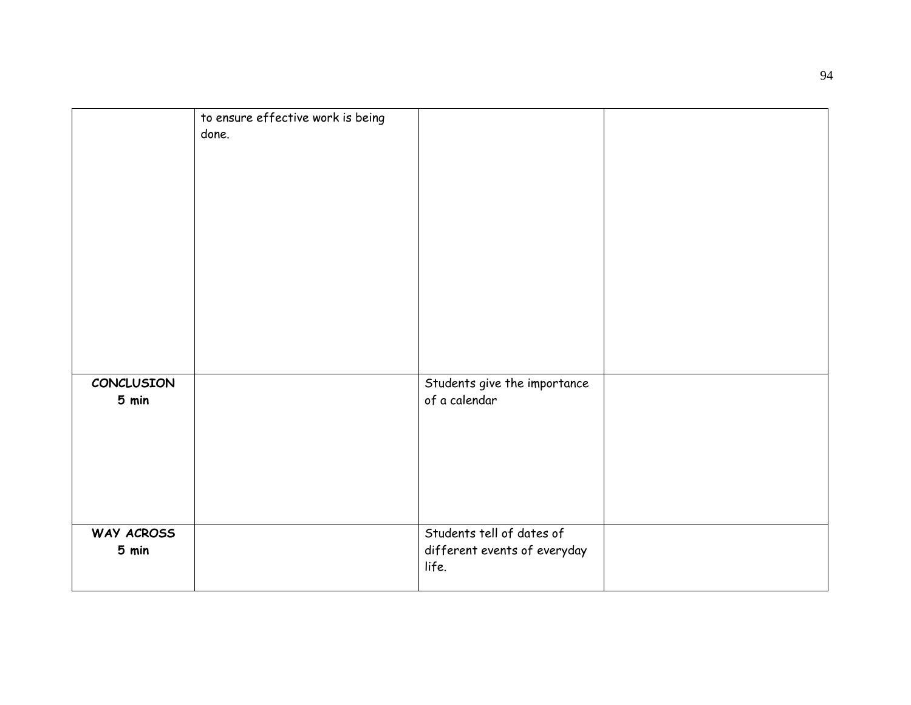|                     | to ensure effective work is being<br>done. |                                                                    |  |
|---------------------|--------------------------------------------|--------------------------------------------------------------------|--|
| CONCLUSION<br>5 min |                                            | Students give the importance<br>of a calendar                      |  |
| WAY ACROSS<br>5 min |                                            | Students tell of dates of<br>different events of everyday<br>life. |  |